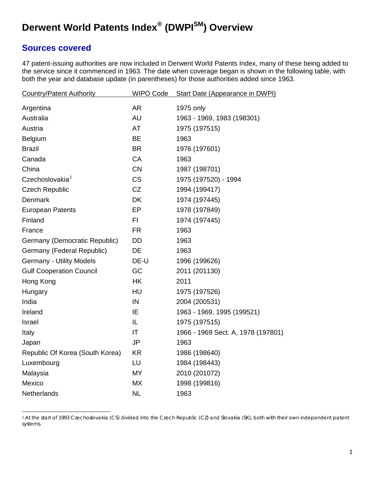# **Derwent World Patents Index® (DWPISM) Overview**

## **Sources covered**

47 patent-issuing authorities are now included in Derwent World Patents Index, many of these being added to the service since it commenced in 1963. The date when coverage began is shown in the following table, with both the year and database update (in parentheses) for those authorities added since 1963.

| <b>Country/Patent Authority</b> | <b>WIPO Code</b> | <b>Start Date (Appearance in DWPI)</b> |
|---------------------------------|------------------|----------------------------------------|
| Argentina                       | <b>AR</b>        | 1975 only                              |
| Australia                       | <b>AU</b>        | 1963 - 1969, 1983 (198301)             |
| Austria                         | AT               | 1975 (197515)                          |
| Belgium                         | <b>BE</b>        | 1963                                   |
| <b>Brazil</b>                   | <b>BR</b>        | 1976 (197601)                          |
| Canada                          | CA               | 1963                                   |
| China                           | <b>CN</b>        | 1987 (198701)                          |
| Czechoslovakia <sup>1</sup>     | <b>CS</b>        | 1975 (197520) - 1994                   |
| <b>Czech Republic</b>           | <b>CZ</b>        | 1994 (199417)                          |
| <b>Denmark</b>                  | <b>DK</b>        | 1974 (197445)                          |
| <b>European Patents</b>         | EP               | 1978 (197849)                          |
| Finland                         | FI               | 1974 (197445)                          |
| France                          | <b>FR</b>        | 1963                                   |
| Germany (Democratic Republic)   | DD               | 1963                                   |
| Germany (Federal Republic)      | DE               | 1963                                   |
| <b>Germany - Utility Models</b> | DE-U             | 1996 (199626)                          |
| <b>Gulf Cooperation Council</b> | GC               | 2011 (201130)                          |
| Hong Kong                       | <b>HK</b>        | 2011                                   |
| Hungary                         | HU               | 1975 (197526)                          |
| India                           | IN               | 2004 (200531)                          |
| Ireland                         | IE               | 1963 - 1969, 1995 (199521)             |
| Israel                          | IL               | 1975 (197515)                          |
| Italy                           | IT               | 1966 - 1969 Sect. A, 1978 (197801)     |
| Japan                           | <b>JP</b>        | 1963                                   |
| Republic Of Korea (South Korea) | <b>KR</b>        | 1986 (198640)                          |
| Luxembourg                      | LU               | 1984 (198443)                          |
| Malaysia                        | <b>MY</b>        | 2010 (201072)                          |
| Mexico                          | <b>MX</b>        | 1998 (199816)                          |
| Netherlands                     | <b>NL</b>        | 1963                                   |

<span id="page-0-0"></span><sup>1</sup> At the start of 1993 Czechoslovakia (CS) divided into the Czech Republic (CZ) and Slovakia (SK), both with their own independent patent systems.  $\overline{a}$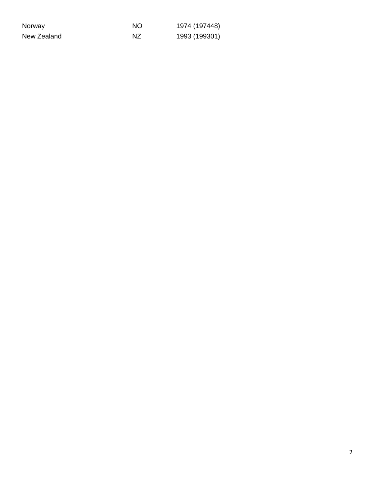| Norway      | NΟ | 1974 (197448) |
|-------------|----|---------------|
| New Zealand | ΝZ | 1993 (199301) |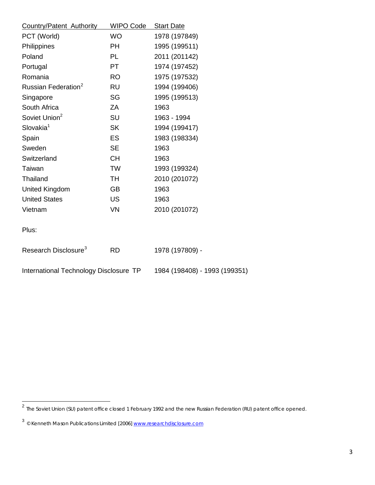| <b>Country/Patent Authority</b>        | <b>WIPO Code</b> | <b>Start Date</b>             |
|----------------------------------------|------------------|-------------------------------|
| PCT (World)                            | <b>WO</b>        | 1978 (197849)                 |
| Philippines                            | <b>PH</b>        | 1995 (199511)                 |
| Poland                                 | PL               | 2011 (201142)                 |
| Portugal                               | PT               | 1974 (197452)                 |
| Romania                                | RO.              | 1975 (197532)                 |
| Russian Federation <sup>2</sup>        | <b>RU</b>        | 1994 (199406)                 |
| Singapore                              | SG               | 1995 (199513)                 |
| South Africa                           | ZA               | 1963                          |
| Soviet Union <sup>2</sup>              | SU               | 1963 - 1994                   |
| Slovakia <sup>1</sup>                  | <b>SK</b>        | 1994 (199417)                 |
| Spain                                  | <b>ES</b>        | 1983 (198334)                 |
| Sweden                                 | <b>SE</b>        | 1963                          |
| Switzerland                            | <b>CH</b>        | 1963                          |
| Taiwan                                 | <b>TW</b>        | 1993 (199324)                 |
| Thailand                               | <b>TH</b>        | 2010 (201072)                 |
| <b>United Kingdom</b>                  | <b>GB</b>        | 1963                          |
| <b>United States</b>                   | <b>US</b>        | 1963                          |
| Vietnam                                | <b>VN</b>        | 2010 (201072)                 |
| Plus:                                  |                  |                               |
| Research Disclosure <sup>3</sup>       | <b>RD</b>        | 1978 (197809) -               |
| International Technology Disclosure TP |                  | 1984 (198408) - 1993 (199351) |

 $\overline{a}$ 

<span id="page-2-0"></span><sup>&</sup>lt;sup>2</sup> The Soviet Union (SU) patent office closed 1 February 1992 and the new Russian Federation (RU) patent office opened.

<span id="page-2-1"></span><sup>3</sup> © Kenneth Mason Publications Limited [2006[\] www.researchdisclosure.com](http://www.researchdisclosure.com/)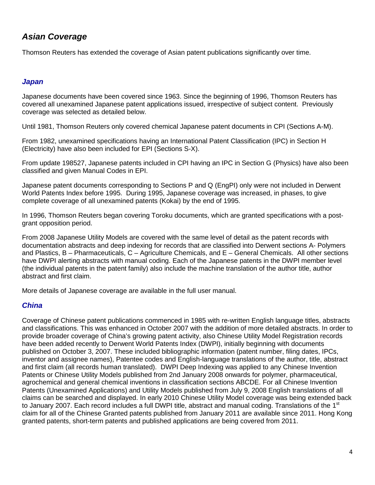# *Asian Coverage*

Thomson Reuters has extended the coverage of Asian patent publications significantly over time.

#### *Japan*

Japanese documents have been covered since 1963. Since the beginning of 1996, Thomson Reuters has covered all unexamined Japanese patent applications issued, irrespective of subject content. Previously coverage was selected as detailed below.

Until 1981, Thomson Reuters only covered chemical Japanese patent documents in CPI (Sections A-M).

From 1982, unexamined specifications having an International Patent Classification (IPC) in Section H (Electricity) have also been included for EPI (Sections S-X).

From update 198527, Japanese patents included in CPI having an IPC in Section G (Physics) have also been classified and given Manual Codes in EPI.

Japanese patent documents corresponding to Sections P and Q (EngPI) only were not included in Derwent World Patents Index before 1995. During 1995, Japanese coverage was increased, in phases, to give complete coverage of all unexamined patents (Kokai) by the end of 1995.

In 1996, Thomson Reuters began covering Toroku documents, which are granted specifications with a postgrant opposition period.

From 2008 Japanese Utility Models are covered with the same level of detail as the patent records with documentation abstracts and deep indexing for records that are classified into Derwent sections A- Polymers and Plastics, B – Pharmaceuticals, C – Agriculture Chemicals, and E – General Chemicals. All other sections have DWPI alerting abstracts with manual coding. Each of the Japanese patents in the DWPI member level (the individual patents in the patent family) also include the machine translation of the author title, author abstract and first claim.

More details of Japanese coverage are available in the full user manual.

#### *China*

Coverage of Chinese patent publications commenced in 1985 with re-written English language titles, abstracts and classifications. This was enhanced in October 2007 with the addition of more detailed abstracts. In order to provide broader coverage of China's growing patent activity, also Chinese Utility Model Registration records have been added recently to Derwent World Patents Index (DWPI), initially beginning with documents published on October 3, 2007. These included bibliographic information (patent number, filing dates, IPCs, inventor and assignee names), Patentee codes and English-language translations of the author, title, abstract and first claim (all records human translated). DWPI Deep Indexing was applied to any Chinese Invention Patents or Chinese Utility Models published from 2nd January 2008 onwards for polymer, pharmaceutical, agrochemical and general chemical inventions in classification sections ABCDE. For all Chinese Invention Patents (Unexamined Applications) and Utility Models published from July 9, 2008 English translations of all claims can be searched and displayed. In early 2010 Chinese Utility Model coverage was being extended back to January 2007. Each record includes a full DWPI title, abstract and manual coding. Translations of the 1<sup>st</sup> claim for all of the Chinese Granted patents published from January 2011 are available since 2011. Hong Kong granted patents, short-term patents and published applications are being covered from 2011.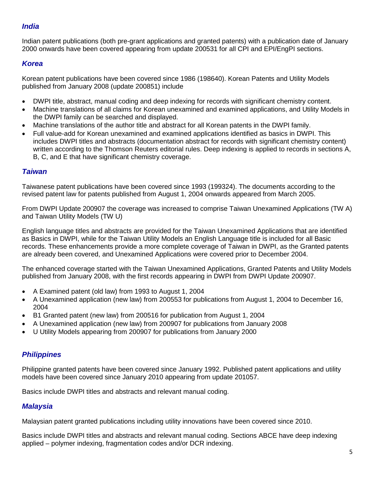### *India*

Indian patent publications (both pre-grant applications and granted patents) with a publication date of January 2000 onwards have been covered appearing from update 200531 for all CPI and EPI/EngPI sections.

### *Korea*

Korean patent publications have been covered since 1986 (198640). Korean Patents and Utility Models published from January 2008 (update 200851) include

- DWPI title, abstract, manual coding and deep indexing for records with significant chemistry content.
- Machine translations of all claims for Korean unexamined and examined applications, and Utility Models in the DWPI family can be searched and displayed.
- Machine translations of the author title and abstract for all Korean patents in the DWPI family.
- Full value-add for Korean unexamined and examined applications identified as basics in DWPI. This includes DWPI titles and abstracts (documentation abstract for records with significant chemistry content) written according to the Thomson Reuters editorial rules. Deep indexing is applied to records in sections A, B, C, and E that have significant chemistry coverage.

#### *Taiwan*

Taiwanese patent publications have been covered since 1993 (199324). The documents according to the revised patent law for patents published from August 1, 2004 onwards appeared from March 2005.

From DWPI Update 200907 the coverage was increased to comprise Taiwan Unexamined Applications (TW A) and Taiwan Utility Models (TW U)

English language titles and abstracts are provided for the Taiwan Unexamined Applications that are identified as Basics in DWPI, while for the Taiwan Utility Models an English Language title is included for all Basic records. These enhancements provide a more complete coverage of Taiwan in DWPI, as the Granted patents are already been covered, and Unexamined Applications were covered prior to December 2004.

The enhanced coverage started with the Taiwan Unexamined Applications, Granted Patents and Utility Models published from January 2008, with the first records appearing in DWPI from DWPI Update 200907.

- A Examined patent (old law) from 1993 to August 1, 2004
- A Unexamined application (new law) from 200553 for publications from August 1, 2004 to December 16, 2004
- B1 Granted patent (new law) from 200516 for publication from August 1, 2004
- A Unexamined application (new law) from 200907 for publications from January 2008
- U Utility Models appearing from 200907 for publications from January 2000

### *Philippines*

Philippine granted patents have been covered since January 1992. Published patent applications and utility models have been covered since January 2010 appearing from update 201057.

Basics include DWPI titles and abstracts and relevant manual coding.

### *Malaysia*

Malaysian patent granted publications including utility innovations have been covered since 2010.

Basics include DWPI titles and abstracts and relevant manual coding. Sections ABCE have deep indexing applied – polymer indexing, fragmentation codes and/or DCR indexing.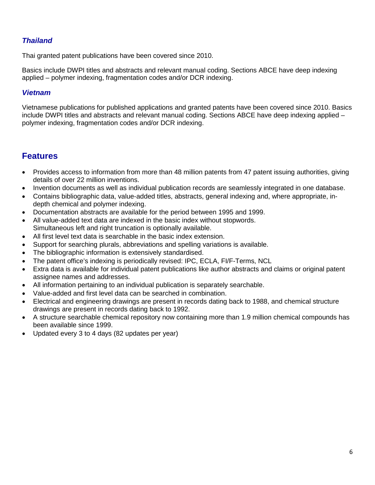### *Thailand*

Thai granted patent publications have been covered since 2010.

Basics include DWPI titles and abstracts and relevant manual coding. Sections ABCE have deep indexing applied – polymer indexing, fragmentation codes and/or DCR indexing.

#### *Vietnam*

Vietnamese publications for published applications and granted patents have been covered since 2010. Basics include DWPI titles and abstracts and relevant manual coding. Sections ABCE have deep indexing applied – polymer indexing, fragmentation codes and/or DCR indexing.

### **Features**

- Provides access to information from more than 48 million patents from 47 patent issuing authorities, giving details of over 22 million inventions.
- Invention documents as well as individual publication records are seamlessly integrated in one database.
- Contains bibliographic data, value-added titles, abstracts, general indexing and, where appropriate, indepth chemical and polymer indexing.
- Documentation abstracts are available for the period between 1995 and 1999.
- All value-added text data are indexed in the basic index without stopwords. Simultaneous left and right truncation is optionally available.
- All first level text data is searchable in the basic index extension.
- Support for searching plurals, abbreviations and spelling variations is available.
- The bibliographic information is extensively standardised.
- The patent office's indexing is periodically revised: IPC, ECLA, FI/F-Terms, NCL
- Extra data is available for individual patent publications like author abstracts and claims or original patent assignee names and addresses.
- All information pertaining to an individual publication is separately searchable.
- Value-added and first level data can be searched in combination.
- Electrical and engineering drawings are present in records dating back to 1988, and chemical structure drawings are present in records dating back to 1992.
- A structure searchable chemical repository now containing more than 1.9 million chemical compounds has been available since 1999.
- Updated every 3 to 4 days (82 updates per year)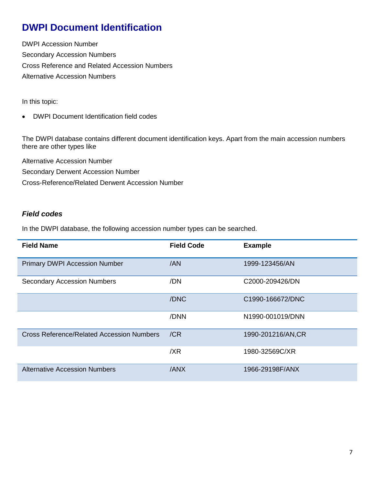# **DWPI Document Identification**

DWPI Accession Number Secondary Accession Numbers Cross Reference and Related Accession Numbers Alternative Accession Numbers

In this topic:

• DWPI Document Identification field codes

The DWPI database contains different document identification keys. Apart from the main accession numbers there are other types like

Alternative Accession Number Secondary Derwent Accession Number Cross-Reference/Related Derwent Accession Number

### *Field codes*

In the DWPI database, the following accession number types can be searched.

| <b>Field Name</b>                         | <b>Field Code</b> | <b>Example</b>    |
|-------------------------------------------|-------------------|-------------------|
| <b>Primary DWPI Accession Number</b>      | /AN               | 1999-123456/AN    |
| <b>Secondary Accession Numbers</b>        | /DN               | C2000-209426/DN   |
|                                           | /DNC              | C1990-166672/DNC  |
|                                           | /DNN              | N1990-001019/DNN  |
| Cross Reference/Related Accession Numbers | /CR               | 1990-201216/AN,CR |
|                                           | /XR               | 1980-32569C/XR    |
| <b>Alternative Accession Numbers</b>      | /ANX              | 1966-29198F/ANX   |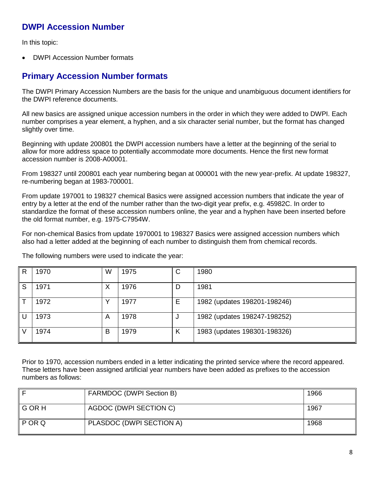## **DWPI Accession Number**

In this topic:

• DWPI Accession Number formats

### **Primary Accession Number formats**

The DWPI Primary Accession Numbers are the basis for the unique and unambiguous document identifiers for the DWPI reference documents.

All new basics are assigned unique accession numbers in the order in which they were added to DWPI. Each number comprises a year element, a hyphen, and a six character serial number, but the format has changed slightly over time.

Beginning with update 200801 the DWPI accession numbers have a letter at the beginning of the serial to allow for more address space to potentially accommodate more documents. Hence the first new format accession number is 2008-A00001.

From 198327 until 200801 each year numbering began at 000001 with the new year-prefix. At update 198327, re-numbering began at 1983-700001.

From update 197001 to 198327 chemical Basics were assigned accession numbers that indicate the year of entry by a letter at the end of the number rather than the two-digit year prefix, e.g. 45982C. In order to standardize the format of these accession numbers online, the year and a hyphen have been inserted before the old format number, e.g. 1975-C7954W.

For non-chemical Basics from update 1970001 to 198327 Basics were assigned accession numbers which also had a letter added at the beginning of each number to distinguish them from chemical records.

|   | 1970 | W | 1975 | ◠<br>U | 1980                         |
|---|------|---|------|--------|------------------------------|
| S | 1971 | Х | 1976 | D      | 1981                         |
|   | 1972 | v | 1977 | E      | 1982 (updates 198201-198246) |
|   | 1973 | A | 1978 |        | 1982 (updates 198247-198252) |
|   | 1974 | В | 1979 | Κ      | 1983 (updates 198301-198326) |

The following numbers were used to indicate the year:

Prior to 1970, accession numbers ended in a letter indicating the printed service where the record appeared. These letters have been assigned artificial year numbers have been added as prefixes to the accession numbers as follows:

|                    | FARMDOC (DWPI Section B) | 1966 |
|--------------------|--------------------------|------|
| ll G OR H          | AGDOC (DWPI SECTION C)   | 1967 |
| $\parallel$ P OR Q | PLASDOC (DWPI SECTION A) | 1968 |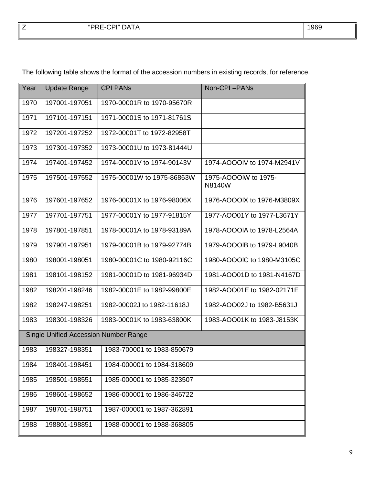| -<br>└ | -CPI" DA<br>MDDF<br>៶┳៱<br>DATA<br>.<br>an an an an an an an an a<br>.<br>. | 1969 |
|--------|-----------------------------------------------------------------------------|------|
|        |                                                                             |      |

| Year                                         | <b>Update Range</b> | <b>CPI PANS</b>            | Non-CPI-PANs                   |  |
|----------------------------------------------|---------------------|----------------------------|--------------------------------|--|
| 1970                                         | 197001-197051       | 1970-00001R to 1970-95670R |                                |  |
| 1971                                         | 197101-197151       | 1971-00001S to 1971-81761S |                                |  |
| 1972                                         | 197201-197252       | 1972-00001T to 1972-82958T |                                |  |
| 1973                                         | 197301-197352       | 1973-00001U to 1973-81444U |                                |  |
| 1974                                         | 197401-197452       | 1974-00001V to 1974-90143V | 1974-AOOOIV to 1974-M2941V     |  |
| 1975                                         | 197501-197552       | 1975-00001W to 1975-86863W | 1975-AOOOIW to 1975-<br>N8140W |  |
| 1976                                         | 197601-197652       | 1976-00001X to 1976-98006X | 1976-AOOOIX to 1976-M3809X     |  |
| 1977                                         | 197701-197751       | 1977-00001Y to 1977-91815Y | 1977-AOO01Y to 1977-L3671Y     |  |
| 1978                                         | 197801-197851       | 1978-00001A to 1978-93189A | 1978-AOOOIA to 1978-L2564A     |  |
| 1979                                         | 197901-197951       | 1979-00001B to 1979-92774B | 1979-AOOOIB to 1979-L9040B     |  |
| 1980                                         | 198001-198051       | 1980-00001C to 1980-92116C | 1980-AOOOIC to 1980-M3105C     |  |
| 1981                                         | 198101-198152       | 1981-00001D to 1981-96934D | 1981-AOO01D to 1981-N4167D     |  |
| 1982                                         | 198201-198246       | 1982-00001E to 1982-99800E | 1982-AOO01E to 1982-02171E     |  |
| 1982                                         | 198247-198251       | 1982-00002J to 1982-11618J | 1982-AOO02J to 1982-B5631J     |  |
| 1983                                         | 198301-198326       | 1983-00001K to 1983-63800K | 1983-AOO01K to 1983-J8153K     |  |
| <b>Single Unified Accession Number Range</b> |                     |                            |                                |  |
| 1983                                         | 198327-198351       | 1983-700001 to 1983-850679 |                                |  |
| 1984                                         | 198401-198451       | 1984-000001 to 1984-318609 |                                |  |
| 1985                                         | 198501-198551       | 1985-000001 to 1985-323507 |                                |  |
| 1986                                         | 198601-198652       | 1986-000001 to 1986-346722 |                                |  |
| 1987                                         | 198701-198751       | 1987-000001 to 1987-362891 |                                |  |
| 1988                                         | 198801-198851       | 1988-000001 to 1988-368805 |                                |  |

The following table shows the format of the accession numbers in existing records, for reference.

 $\blacksquare$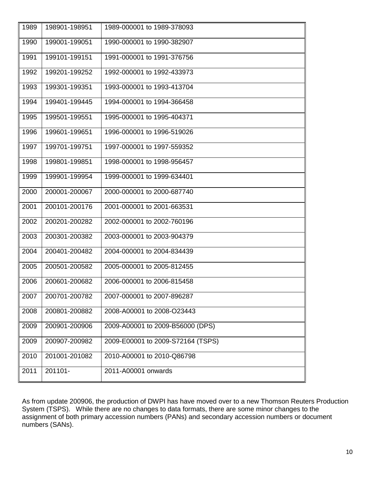| 1989 | 198901-198951 | 1989-000001 to 1989-378093        |
|------|---------------|-----------------------------------|
| 1990 | 199001-199051 | 1990-000001 to 1990-382907        |
| 1991 | 199101-199151 | 1991-000001 to 1991-376756        |
| 1992 | 199201-199252 | 1992-000001 to 1992-433973        |
| 1993 | 199301-199351 | 1993-000001 to 1993-413704        |
| 1994 | 199401-199445 | 1994-000001 to 1994-366458        |
| 1995 | 199501-199551 | 1995-000001 to 1995-404371        |
| 1996 | 199601-199651 | 1996-000001 to 1996-519026        |
| 1997 | 199701-199751 | 1997-000001 to 1997-559352        |
| 1998 | 199801-199851 | 1998-000001 to 1998-956457        |
| 1999 | 199901-199954 | 1999-000001 to 1999-634401        |
| 2000 | 200001-200067 | 2000-000001 to 2000-687740        |
| 2001 | 200101-200176 | 2001-000001 to 2001-663531        |
| 2002 | 200201-200282 | 2002-000001 to 2002-760196        |
| 2003 | 200301-200382 | 2003-000001 to 2003-904379        |
| 2004 | 200401-200482 | 2004-000001 to 2004-834439        |
| 2005 | 200501-200582 | 2005-000001 to 2005-812455        |
| 2006 | 200601-200682 | 2006-000001 to 2006-815458        |
| 2007 | 200701-200782 | 2007-000001 to 2007-896287        |
| 2008 | 200801-200882 | 2008-A00001 to 2008-O23443        |
| 2009 | 200901-200906 | 2009-A00001 to 2009-B56000 (DPS)  |
| 2009 | 200907-200982 | 2009-E00001 to 2009-S72164 (TSPS) |
| 2010 | 201001-201082 | 2010-A00001 to 2010-Q86798        |
| 2011 | 201101-       | 2011-A00001 onwards               |
|      |               |                                   |

As from update 200906, the production of DWPI has have moved over to a new Thomson Reuters Production System (TSPS). While there are no changes to data formats, there are some minor changes to the assignment of both primary accession numbers (PANs) and secondary accession numbers or document numbers (SANs).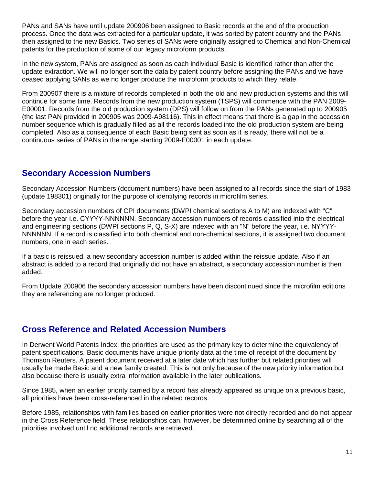PANs and SANs have until update 200906 been assigned to Basic records at the end of the production process. Once the data was extracted for a particular update, it was sorted by patent country and the PANs then assigned to the new Basics. Two series of SANs were originally assigned to Chemical and Non-Chemical patents for the production of some of our legacy microform products.

In the new system, PANs are assigned as soon as each individual Basic is identified rather than after the update extraction. We will no longer sort the data by patent country before assigning the PANs and we have ceased applying SANs as we no longer produce the microform products to which they relate.

From 200907 there is a mixture of records completed in both the old and new production systems and this will continue for some time. Records from the new production system (TSPS) will commence with the PAN 2009- E00001. Records from the old production system (DPS) will follow on from the PANs generated up to 200905 (the last PAN provided in 200905 was 2009-A98116). This in effect means that there is a gap in the accession number sequence which is gradually filled as all the records loaded into the old production system are being completed. Also as a consequence of each Basic being sent as soon as it is ready, there will not be a continuous series of PANs in the range starting 2009-E00001 in each update.

### **Secondary Accession Numbers**

Secondary Accession Numbers (document numbers) have been assigned to all records since the start of 1983 (update 198301) originally for the purpose of identifying records in microfilm series.

Secondary accession numbers of CPI documents (DWPI chemical sections A to M) are indexed with "C" before the year i.e. CYYYY-NNNNNN. Secondary accession numbers of records classified into the electrical and engineering sections (DWPI sections P, Q, S-X) are indexed with an "N" before the year, i.e. NYYYY-NNNNNN. If a record is classified into both chemical and non-chemical sections, it is assigned two document numbers, one in each series.

If a basic is reissued, a new secondary accession number is added within the reissue update. Also if an abstract is added to a record that originally did not have an abstract, a secondary accession number is then added.

From Update 200906 the secondary accession numbers have been discontinued since the microfilm editions they are referencing are no longer produced.

### **Cross Reference and Related Accession Numbers**

In Derwent World Patents Index, the priorities are used as the primary key to determine the equivalency of patent specifications. Basic documents have unique priority data at the time of receipt of the document by Thomson Reuters. A patent document received at a later date which has further but related priorities will usually be made Basic and a new family created. This is not only because of the new priority information but also because there is usually extra information available in the later publications.

Since 1985, when an earlier priority carried by a record has already appeared as unique on a previous basic, all priorities have been cross-referenced in the related records.

Before 1985, relationships with families based on earlier priorities were not directly recorded and do not appear in the Cross Reference field. These relationships can, however, be determined online by searching all of the priorities involved until no additional records are retrieved.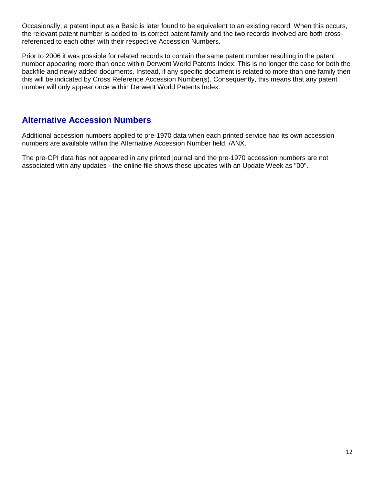Occasionally, a patent input as a Basic is later found to be equivalent to an existing record. When this occurs, the relevant patent number is added to its correct patent family and the two records involved are both crossreferenced to each other with their respective Accession Numbers.

Prior to 2006 it was possible for related records to contain the same patent number resulting in the patent number appearing more than once within Derwent World Patents Index. This is no longer the case for both the backfile and newly added documents. Instead, if any specific document is related to more than one family then this will be indicated by Cross Reference Accession Number(s). Consequently, this means that any patent number will only appear once within Derwent World Patents Index.

### **Alternative Accession Numbers**

Additional accession numbers applied to pre-1970 data when each printed service had its own accession numbers are available within the Alternative Accession Number field, /ANX.

The pre-CPI data has not appeared in any printed journal and the pre-1970 accession numbers are not associated with any updates - the online file shows these updates with an Update Week as "00".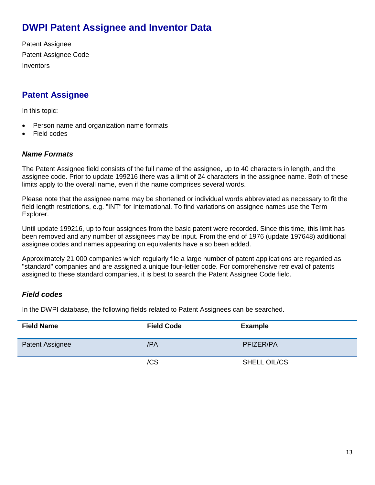# **DWPI Patent Assignee and Inventor Data**

Patent Assignee Patent Assignee Code **Inventors** 

# **Patent Assignee**

In this topic:

- Person name and organization name formats
- Field codes

#### *Name Formats*

The Patent Assignee field consists of the full name of the assignee, up to 40 characters in length, and the assignee code. Prior to update 199216 there was a limit of 24 characters in the assignee name. Both of these limits apply to the overall name, even if the name comprises several words.

Please note that the assignee name may be shortened or individual words abbreviated as necessary to fit the field length restrictions, e.g. "INT" for International. To find variations on assignee names use the Term Explorer.

Until update 199216, up to four assignees from the basic patent were recorded. Since this time, this limit has been removed and any number of assignees may be input. From the end of 1976 (update 197648) additional assignee codes and names appearing on equivalents have also been added.

Approximately 21,000 companies which regularly file a large number of patent applications are regarded as "standard" companies and are assigned a unique four-letter code. For comprehensive retrieval of patents assigned to these standard companies, it is best to search the Patent Assignee Code field.

### *Field codes*

In the DWPI database, the following fields related to Patent Assignees can be searched.

| <b>Field Name</b> | <b>Field Code</b> | <b>Example</b> |
|-------------------|-------------------|----------------|
| Patent Assignee   | /PA               | PFIZER/PA      |
|                   | /CS               | SHELL OIL/CS   |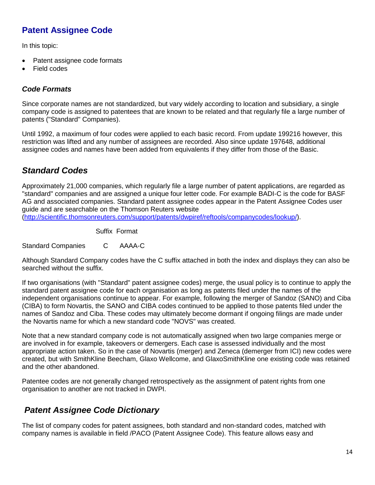# **Patent Assignee Code**

In this topic:

- Patent assignee code formats
- Field codes

### *Code Formats*

Since corporate names are not standardized, but vary widely according to location and subsidiary, a single company code is assigned to patentees that are known to be related and that regularly file a large number of patents ("Standard" Companies).

Until 1992, a maximum of four codes were applied to each basic record. From update 199216 however, this restriction was lifted and any number of assignees are recorded. Also since update 197648, additional assignee codes and names have been added from equivalents if they differ from those of the Basic.

# *Standard Codes*

Approximately 21,000 companies, which regularly file a large number of patent applications, are regarded as "standard" companies and are assigned a unique four letter code. For example BADI-C is the code for BASF AG and associated companies. Standard patent assignee codes appear in the Patent Assignee Codes user guide and are searchable on the Thomson Reuters website

[\(http://scientific.thomsonreuters.com/support/patents/dwpiref/reftools/companycodes/lookup/\)](http://scientific.thomsonreuters.com/support/patents/dwpiref/reftools/companycodes/lookup/).

Suffix Format

Standard Companies C AAAA-C

Although Standard Company codes have the C suffix attached in both the index and displays they can also be searched without the suffix.

If two organisations (with "Standard" patent assignee codes) merge, the usual policy is to continue to apply the standard patent assignee code for each organisation as long as patents filed under the names of the independent organisations continue to appear. For example, following the merger of Sandoz (SANO) and Ciba (CIBA) to form Novartis, the SANO and CIBA codes continued to be applied to those patents filed under the names of Sandoz and Ciba. These codes may ultimately become dormant if ongoing filings are made under the Novartis name for which a new standard code "NOVS" was created.

Note that a new standard company code is not automatically assigned when two large companies merge or are involved in for example, takeovers or demergers. Each case is assessed individually and the most appropriate action taken. So in the case of Novartis (merger) and Zeneca (demerger from ICI) new codes were created, but with SmithKline Beecham, Glaxo Wellcome, and GlaxoSmithKline one existing code was retained and the other abandoned.

Patentee codes are not generally changed retrospectively as the assignment of patent rights from one organisation to another are not tracked in DWPI.

## *Patent Assignee Code Dictionary*

The list of company codes for patent assignees, both standard and non-standard codes, matched with company names is available in field /PACO (Patent Assignee Code). This feature allows easy and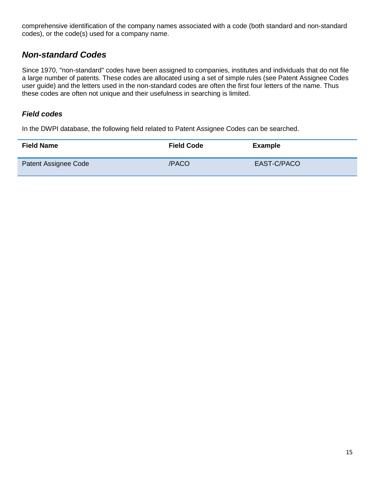comprehensive identification of the company names associated with a code (both standard and non-standard codes), or the code(s) used for a company name.

### *Non-standard Codes*

Since 1970, "non-standard" codes have been assigned to companies, institutes and individuals that do not file a large number of patents. These codes are allocated using a set of simple rules (see Patent Assignee Codes user guide) and the letters used in the non-standard codes are often the first four letters of the name. Thus these codes are often not unique and their usefulness in searching is limited.

#### *Field codes*

In the DWPI database, the following field related to Patent Assignee Codes can be searched.

| <b>Field Name</b>    | <b>Field Code</b> | <b>Example</b> |
|----------------------|-------------------|----------------|
| Patent Assignee Code | /PACO             | EAST-C/PACO    |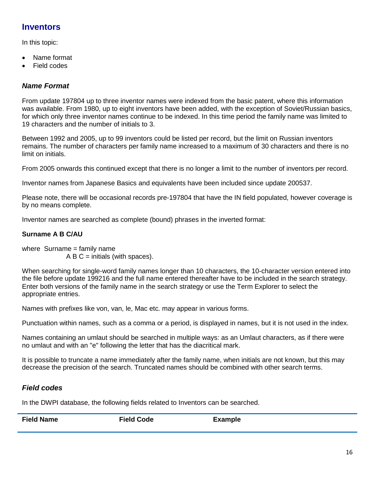## **Inventors**

In this topic:

- Name format
- **Field codes**

### *Name Format*

From update 197804 up to three inventor names were indexed from the basic patent, where this information was available. From 1980, up to eight inventors have been added, with the exception of Soviet/Russian basics, for which only three inventor names continue to be indexed. In this time period the family name was limited to 19 characters and the number of initials to 3.

Between 1992 and 2005, up to 99 inventors could be listed per record, but the limit on Russian inventors remains. The number of characters per family name increased to a maximum of 30 characters and there is no limit on initials.

From 2005 onwards this continued except that there is no longer a limit to the number of inventors per record.

Inventor names from Japanese Basics and equivalents have been included since update 200537.

Please note, there will be occasional records pre-197804 that have the IN field populated, however coverage is by no means complete.

Inventor names are searched as complete (bound) phrases in the inverted format:

### **Surname A B C/AU**

where Surname = family name  $A B C =$  initials (with spaces).

When searching for single-word family names longer than 10 characters, the 10-character version entered into the file before update 199216 and the full name entered thereafter have to be included in the search strategy. Enter both versions of the family name in the search strategy or use the Term Explorer to select the appropriate entries.

Names with prefixes like von, van, le, Mac etc. may appear in various forms.

Punctuation within names, such as a comma or a period, is displayed in names, but it is not used in the index.

Names containing an umlaut should be searched in multiple ways: as an Umlaut characters, as if there were no umlaut and with an "e" following the letter that has the diacritical mark.

It is possible to truncate a name immediately after the family name, when initials are not known, but this may decrease the precision of the search. Truncated names should be combined with other search terms.

### *Field codes*

In the DWPI database, the following fields related to Inventors can be searched.

| <b>Field Name</b> | <b>Field Code</b> | <b>Example</b> |
|-------------------|-------------------|----------------|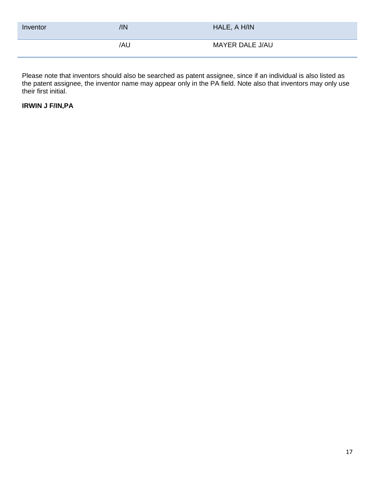| Inventor | /IN | HALE, A H/IN    |
|----------|-----|-----------------|
|          | /AU | MAYER DALE J/AU |

Please note that inventors should also be searched as patent assignee, since if an individual is also listed as the patent assignee, the inventor name may appear only in the PA field. Note also that inventors may only use their first initial.

### **IRWIN J F/IN,PA**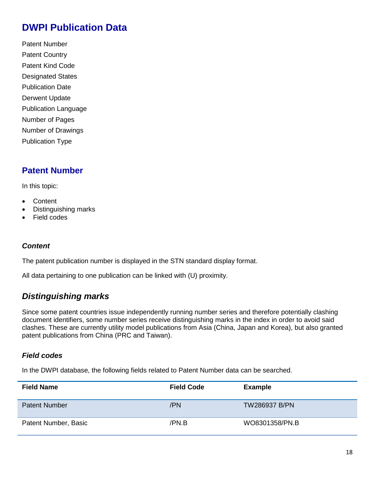# **DWPI Publication Data**

Patent Number Patent Country Patent Kind Code Designated States Publication Date Derwent Update Publication Language Number of Pages Number of Drawings Publication Type

## **Patent Number**

In this topic:

- **Content**
- Distinguishing marks
- Field codes

#### *Content*

The patent publication number is displayed in the STN standard display format.

All data pertaining to one publication can be linked with (U) proximity.

### *Distinguishing marks*

Since some patent countries issue independently running number series and therefore potentially clashing document identifiers, some number series receive distinguishing marks in the index in order to avoid said clashes. These are currently utility model publications from Asia (China, Japan and Korea), but also granted patent publications from China (PRC and Taiwan).

#### *Field codes*

In the DWPI database, the following fields related to Patent Number data can be searched.

| <b>Field Name</b>    | <b>Field Code</b> | <b>Example</b>       |
|----------------------|-------------------|----------------------|
| <b>Patent Number</b> | /PN               | <b>TW286937 B/PN</b> |
| Patent Number, Basic | /PN.B             | WO8301358/PN.B       |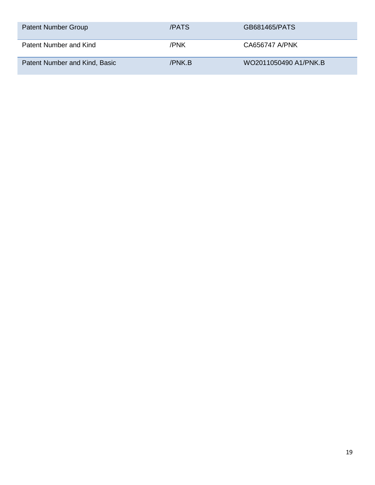| <b>Patent Number Group</b>    | /PATS  | GB681465/PATS         |
|-------------------------------|--------|-----------------------|
| Patent Number and Kind        | /PNK   | CA656747 A/PNK        |
| Patent Number and Kind, Basic | /PNK.B | WO2011050490 A1/PNK.B |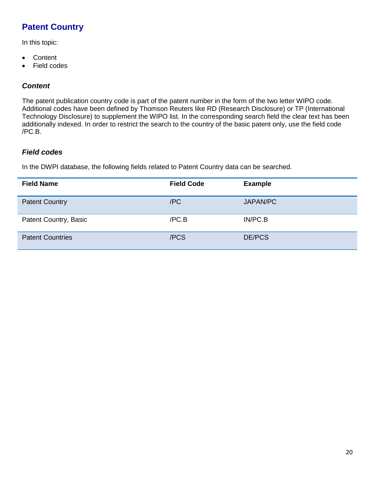# **Patent Country**

In this topic:

- Content
- Field codes

### *Content*

The patent publication country code is part of the patent number in the form of the two letter WIPO code. Additional codes have been defined by Thomson Reuters like RD (Research Disclosure) or TP (International Technology Disclosure) to supplement the WIPO list. In the corresponding search field the clear text has been additionally indexed. In order to restrict the search to the country of the basic patent only, use the field code /PC.B.

#### *Field codes*

In the DWPI database, the following fields related to Patent Country data can be searched.

| <b>Field Name</b>       | <b>Field Code</b> | <b>Example</b> |
|-------------------------|-------------------|----------------|
| <b>Patent Country</b>   | /PC               | JAPAN/PC       |
| Patent Country, Basic   | /PC.B             | IN/PC.B        |
| <b>Patent Countries</b> | /PCS              | DE/PCS         |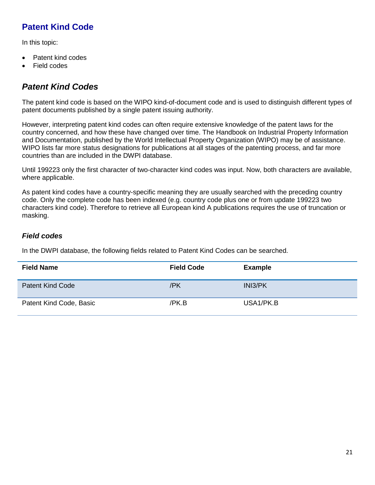# **Patent Kind Code**

In this topic:

- Patent kind codes
- Field codes

# *Patent Kind Codes*

The patent kind code is based on the WIPO kind-of-document code and is used to distinguish different types of patent documents published by a single patent issuing authority.

However, interpreting patent kind codes can often require extensive knowledge of the patent laws for the country concerned, and how these have changed over time. The Handbook on Industrial Property Information and Documentation, published by the World Intellectual Property Organization (WIPO) may be of assistance. WIPO lists far more status designations for publications at all stages of the patenting process, and far more countries than are included in the DWPI database.

Until 199223 only the first character of two-character kind codes was input. Now, both characters are available, where applicable.

As patent kind codes have a country-specific meaning they are usually searched with the preceding country code. Only the complete code has been indexed (e.g. country code plus one or from update 199223 two characters kind code). Therefore to retrieve all European kind A publications requires the use of truncation or masking.

### *Field codes*

In the DWPI database, the following fields related to Patent Kind Codes can be searched.

| <b>Field Name</b>       | <b>Field Code</b> | <b>Example</b> |
|-------------------------|-------------------|----------------|
| <b>Patent Kind Code</b> | /PK               | INI3/PK        |
| Patent Kind Code, Basic | /PK.B             | USA1/PK.B      |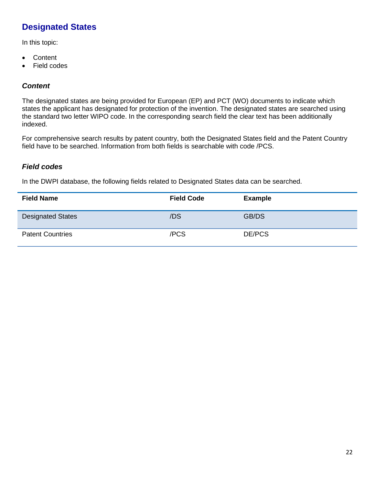# **Designated States**

In this topic:

- Content
- Field codes

### *Content*

The designated states are being provided for European (EP) and PCT (WO) documents to indicate which states the applicant has designated for protection of the invention. The designated states are searched using the standard two letter WIPO code. In the corresponding search field the clear text has been additionally indexed.

For comprehensive search results by patent country, both the Designated States field and the Patent Country field have to be searched. Information from both fields is searchable with code /PCS.

### *Field codes*

In the DWPI database, the following fields related to Designated States data can be searched.

| <b>Field Name</b>        | <b>Field Code</b> | <b>Example</b> |
|--------------------------|-------------------|----------------|
| <b>Designated States</b> | /DS               | GB/DS          |
| <b>Patent Countries</b>  | /PCS              | DE/PCS         |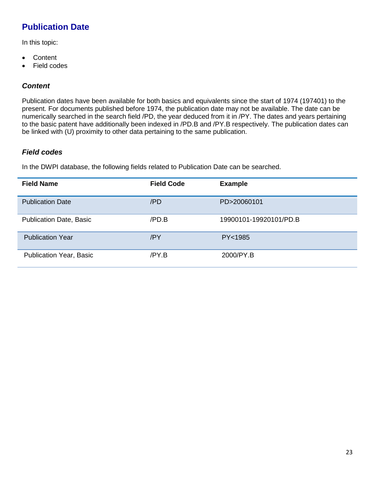# **Publication Date**

In this topic:

- Content
- Field codes

### *Content*

Publication dates have been available for both basics and equivalents since the start of 1974 (197401) to the present. For documents published before 1974, the publication date may not be available. The date can be numerically searched in the search field /PD, the year deduced from it in /PY. The dates and years pertaining to the basic patent have additionally been indexed in /PD.B and /PY.B respectively. The publication dates can be linked with (U) proximity to other data pertaining to the same publication.

### *Field codes*

In the DWPI database, the following fields related to Publication Date can be searched.

| <b>Field Name</b>              | <b>Field Code</b> | <b>Example</b>         |
|--------------------------------|-------------------|------------------------|
| <b>Publication Date</b>        | /PD               | PD>20060101            |
| <b>Publication Date, Basic</b> | /PD.B             | 19900101-19920101/PD.B |
| <b>Publication Year</b>        | /PY               | PY<1985                |
| <b>Publication Year, Basic</b> | /PY.B             | 2000/PY.B              |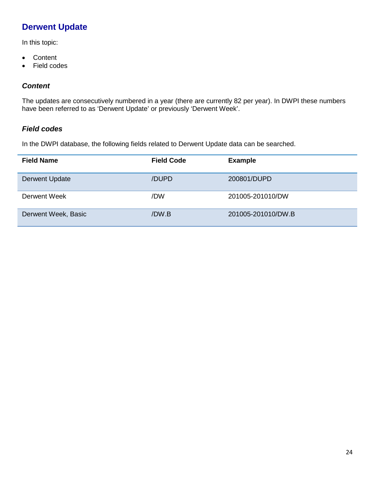# **Derwent Update**

In this topic:

- Content
- Field codes

### *Content*

The updates are consecutively numbered in a year (there are currently 82 per year). In DWPI these numbers have been referred to as 'Derwent Update' or previously 'Derwent Week'.

### *Field codes*

In the DWPI database, the following fields related to Derwent Update data can be searched.

| <b>Field Name</b>     | <b>Field Code</b> | <b>Example</b>     |
|-----------------------|-------------------|--------------------|
| <b>Derwent Update</b> | /DUPD             | 200801/DUPD        |
| Derwent Week          | /DW               | 201005-201010/DW   |
| Derwent Week, Basic   | /DW.B             | 201005-201010/DW.B |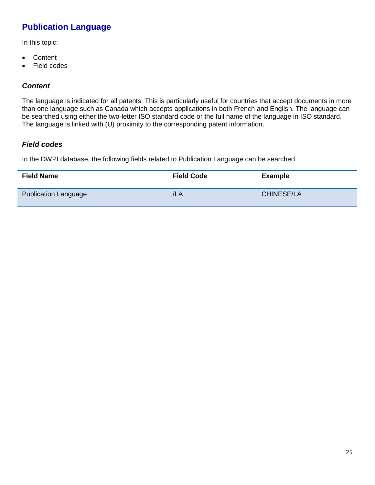# **Publication Language**

In this topic:

- Content
- Field codes

### *Content*

The language is indicated for all patents. This is particularly useful for countries that accept documents in more than one language such as Canada which accepts applications in both French and English. The language can be searched using either the two-letter ISO standard code or the full name of the language in ISO standard. The language is linked with (U) proximity to the corresponding patent information.

#### *Field codes*

In the DWPI database, the following fields related to Publication Language can be searched.

| <b>Field Name</b>           | <b>Field Code</b> | <b>Example</b>    |
|-----------------------------|-------------------|-------------------|
| <b>Publication Language</b> | /LA               | <b>CHINESE/LA</b> |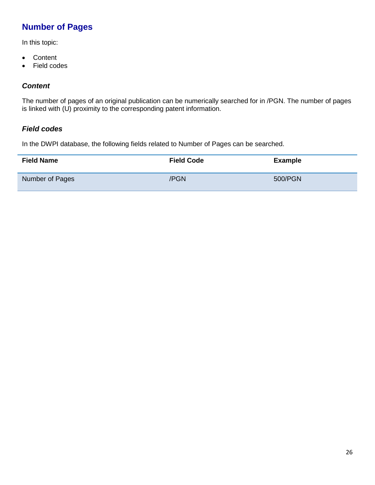# **Number of Pages**

In this topic:

- Content
- Field codes

### *Content*

The number of pages of an original publication can be numerically searched for in /PGN. The number of pages is linked with (U) proximity to the corresponding patent information.

#### *Field codes*

In the DWPI database, the following fields related to Number of Pages can be searched.

| <b>Field Name</b> | <b>Field Code</b> | Example |
|-------------------|-------------------|---------|
| Number of Pages   | /PGN              | 500/PGN |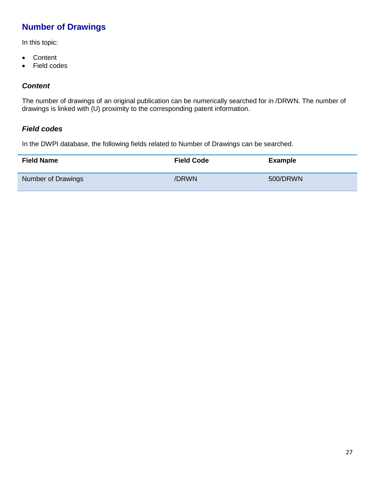# **Number of Drawings**

In this topic:

- Content
- Field codes

### *Content*

The number of drawings of an original publication can be numerically searched for in /DRWN. The number of drawings is linked with (U) proximity to the corresponding patent information.

#### *Field codes*

In the DWPI database, the following fields related to Number of Drawings can be searched.

| <b>Field Name</b>         | <b>Field Code</b> | <b>Example</b> |
|---------------------------|-------------------|----------------|
| <b>Number of Drawings</b> | /DRWN             | 500/DRWN       |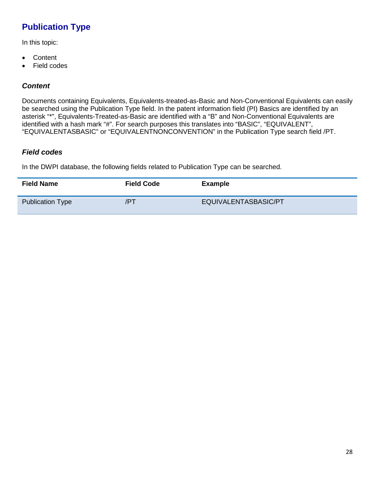# **Publication Type**

In this topic:

- Content
- Field codes

### *Content*

Documents containing Equivalents, Equivalents-treated-as-Basic and Non-Conventional Equivalents can easily be searched using the Publication Type field. In the patent information field (PI) Basics are identified by an asterisk "\*", Equivalents-Treated-as-Basic are identified with a "B" and Non-Conventional Equivalents are identified with a hash mark "#". For search purposes this translates into "BASIC", "EQUIVALENT", "EQUIVALENTASBASIC" or "EQUIVALENTNONCONVENTION" in the Publication Type search field /PT.

#### *Field codes*

In the DWPI database, the following fields related to Publication Type can be searched.

| <b>Field Name</b>       | <b>Field Code</b> | <b>Example</b>       |
|-------------------------|-------------------|----------------------|
| <b>Publication Type</b> | /PT               | EQUIVALENTASBASIC/PT |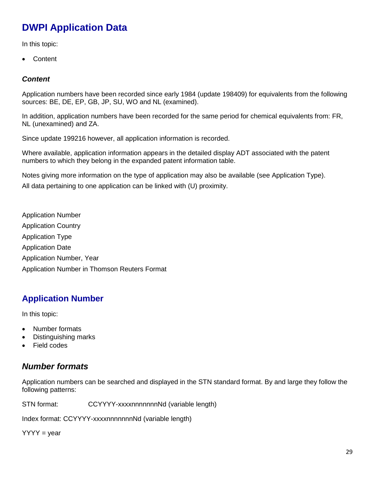# **DWPI Application Data**

In this topic:

• Content

### *Content*

Application numbers have been recorded since early 1984 (update 198409) for equivalents from the following sources: BE, DE, EP, GB, JP, SU, WO and NL (examined).

In addition, application numbers have been recorded for the same period for chemical equivalents from: FR, NL (unexamined) and ZA.

Since update 199216 however, all application information is recorded.

Where available, application information appears in the detailed display ADT associated with the patent numbers to which they belong in the expanded patent information table.

Notes giving more information on the type of application may also be available (see Application Type). All data pertaining to one application can be linked with (U) proximity.

Application Number Application Country Application Type Application Date Application Number, Year Application Number in Thomson Reuters Format

# **Application Number**

In this topic:

- Number formats
- Distinguishing marks
- Field codes

## *Number formats*

Application numbers can be searched and displayed in the STN standard format. By and large they follow the following patterns:

STN format: CCYYYY-xxxxnnnnnnnnNd (variable length)

Index format: CCYYYY-xxxxnnnnnnnNd (variable length)

 $YYYY = year$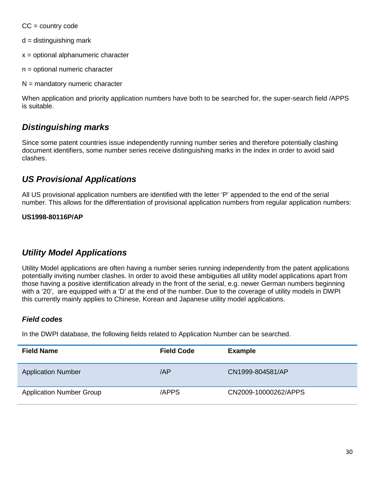$CC = country code$ 

 $d =$  distinguishing mark

- x = optional alphanumeric character
- n = optional numeric character
- $N =$  mandatory numeric character

When application and priority application numbers have both to be searched for, the super-search field /APPS is suitable.

### *Distinguishing marks*

Since some patent countries issue independently running number series and therefore potentially clashing document identifiers, some number series receive distinguishing marks in the index in order to avoid said clashes.

## *US Provisional Applications*

All US provisional application numbers are identified with the letter 'P' appended to the end of the serial number. This allows for the differentiation of provisional application numbers from regular application numbers:

#### **US1998-80116P/AP**

### *Utility Model Applications*

Utility Model applications are often having a number series running independently from the patent applications potentially inviting number clashes. In order to avoid these ambiguities all utility model applications apart from those having a positive identification already in the front of the serial, e.g. newer German numbers beginning with a '20', are equipped with a 'D' at the end of the number. Due to the coverage of utility models in DWPI this currently mainly applies to Chinese, Korean and Japanese utility model applications.

#### *Field codes*

In the DWPI database, the following fields related to Application Number can be searched.

| <b>Field Name</b>               | <b>Field Code</b> | <b>Example</b>       |
|---------------------------------|-------------------|----------------------|
| <b>Application Number</b>       | /AP               | CN1999-804581/AP     |
| <b>Application Number Group</b> | /APPS             | CN2009-10000262/APPS |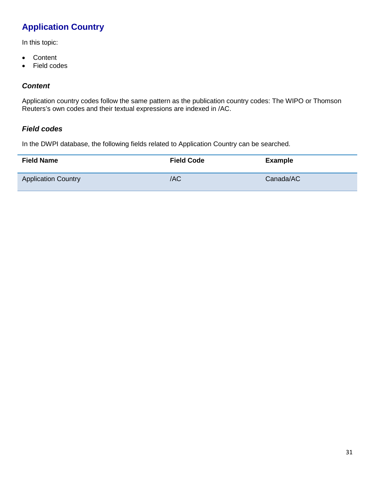# **Application Country**

In this topic:

- Content
- Field codes

### *Content*

Application country codes follow the same pattern as the publication country codes: The WIPO or Thomson Reuters's own codes and their textual expressions are indexed in /AC.

#### *Field codes*

In the DWPI database, the following fields related to Application Country can be searched.

| <b>Field Name</b>          | <b>Field Code</b> | <b>Example</b> |
|----------------------------|-------------------|----------------|
| <b>Application Country</b> | /AC               | Canada/AC      |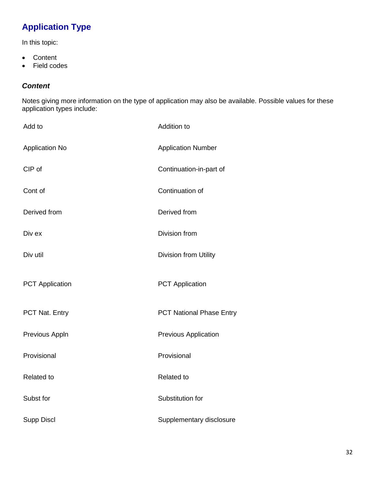# **Application Type**

In this topic:

- Content
- Field codes

### *Content*

Notes giving more information on the type of application may also be available. Possible values for these application types include:

| Add to                 | Addition to                     |
|------------------------|---------------------------------|
| <b>Application No</b>  | <b>Application Number</b>       |
| CIP of                 | Continuation-in-part of         |
| Cont of                | Continuation of                 |
| Derived from           | Derived from                    |
| Div ex                 | Division from                   |
| Div util               | Division from Utility           |
| <b>PCT</b> Application | <b>PCT</b> Application          |
| PCT Nat. Entry         | <b>PCT National Phase Entry</b> |
| Previous Appln         | <b>Previous Application</b>     |
| Provisional            | Provisional                     |
| <b>Related to</b>      | <b>Related to</b>               |
| Subst for              | Substitution for                |
| <b>Supp Discl</b>      | Supplementary disclosure        |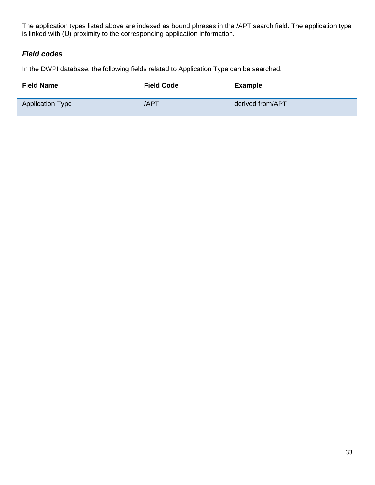The application types listed above are indexed as bound phrases in the /APT search field. The application type is linked with (U) proximity to the corresponding application information.

### *Field codes*

In the DWPI database, the following fields related to Application Type can be searched.

| <b>Field Name</b>       | <b>Field Code</b> | <b>Example</b>   |
|-------------------------|-------------------|------------------|
| <b>Application Type</b> | /APT              | derived from/APT |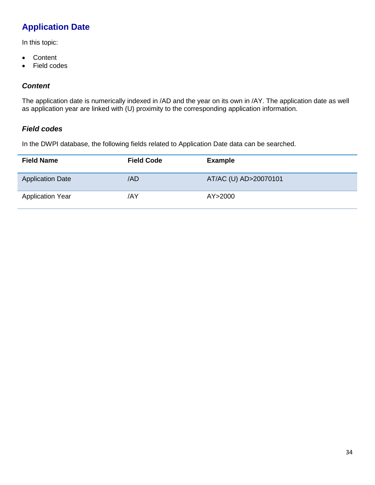# **Application Date**

In this topic:

- Content
- Field codes

### *Content*

The application date is numerically indexed in /AD and the year on its own in /AY. The application date as well as application year are linked with (U) proximity to the corresponding application information.

#### *Field codes*

In the DWPI database, the following fields related to Application Date data can be searched.

| <b>Field Name</b>       | <b>Field Code</b> | <b>Example</b>        |
|-------------------------|-------------------|-----------------------|
| <b>Application Date</b> | /AD               | AT/AC (U) AD>20070101 |
| <b>Application Year</b> | /AY               | AY>2000               |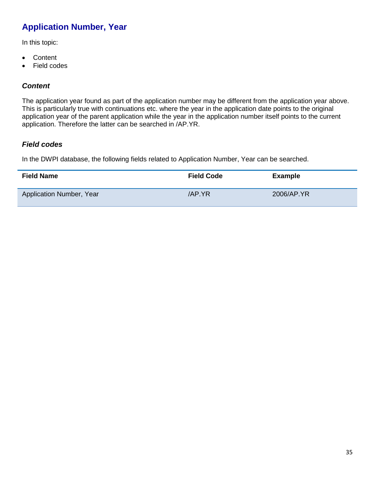# **Application Number, Year**

In this topic:

- Content
- Field codes

### *Content*

The application year found as part of the application number may be different from the application year above. This is particularly true with continuations etc. where the year in the application date points to the original application year of the parent application while the year in the application number itself points to the current application. Therefore the latter can be searched in /AP.YR.

### *Field codes*

In the DWPI database, the following fields related to Application Number, Year can be searched.

| <b>Field Name</b>        | <b>Field Code</b> | <b>Example</b> |
|--------------------------|-------------------|----------------|
| Application Number, Year | /AP.YR            | 2006/AP.YR     |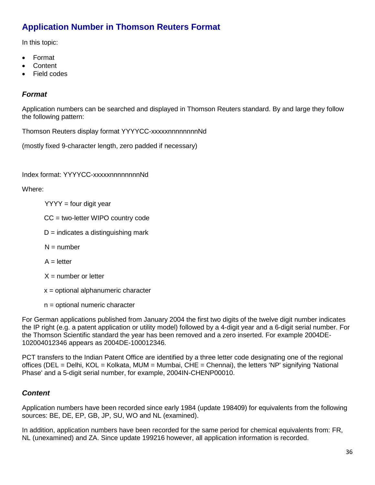# **Application Number in Thomson Reuters Format**

In this topic:

- Format
- **Content**
- **Field codes**

#### *Format*

Application numbers can be searched and displayed in Thomson Reuters standard. By and large they follow the following pattern:

Thomson Reuters display format YYYYCC-xxxxxnnnnnnnnNd

(mostly fixed 9-character length, zero padded if necessary)

Index format: YYYYCC-xxxxxnnnnnnnnNd

Where:

- $YYYY =$  four digit year
- CC = two-letter WIPO country code
- $D =$  indicates a distinguishing mark
- $N =$  number
- $A =$  letter
- $X =$  number or letter
- x = optional alphanumeric character
- n = optional numeric character

For German applications published from January 2004 the first two digits of the twelve digit number indicates the IP right (e.g. a patent application or utility model) followed by a 4-digit year and a 6-digit serial number. For the Thomson Scientific standard the year has been removed and a zero inserted. For example 2004DE-102004012346 appears as 2004DE-100012346.

PCT transfers to the Indian Patent Office are identified by a three letter code designating one of the regional offices (DEL = Delhi, KOL = Kolkata, MUM = Mumbai, CHE = Chennai), the letters 'NP' signifying 'National Phase' and a 5-digit serial number, for example, 2004IN-CHENP00010.

### *Content*

Application numbers have been recorded since early 1984 (update 198409) for equivalents from the following sources: BE, DE, EP, GB, JP, SU, WO and NL (examined).

In addition, application numbers have been recorded for the same period for chemical equivalents from: FR, NL (unexamined) and ZA. Since update 199216 however, all application information is recorded.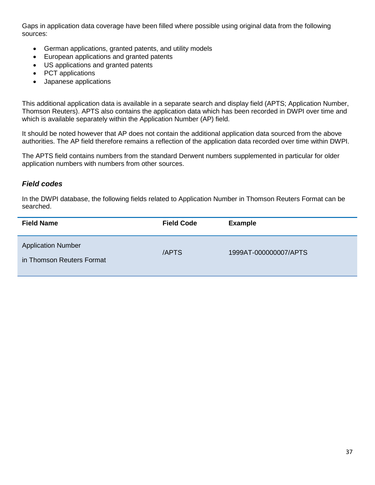Gaps in application data coverage have been filled where possible using original data from the following sources:

- German applications, granted patents, and utility models
- European applications and granted patents
- US applications and granted patents
- PCT applications
- Japanese applications

This additional application data is available in a separate search and display field (APTS; Application Number, Thomson Reuters). APTS also contains the application data which has been recorded in DWPI over time and which is available separately within the Application Number (AP) field.

It should be noted however that AP does not contain the additional application data sourced from the above authorities. The AP field therefore remains a reflection of the application data recorded over time within DWPI.

The APTS field contains numbers from the standard Derwent numbers supplemented in particular for older application numbers with numbers from other sources.

#### *Field codes*

In the DWPI database, the following fields related to Application Number in Thomson Reuters Format can be searched.

| <b>Field Name</b>                                      | <b>Field Code</b> | <b>Example</b>        |
|--------------------------------------------------------|-------------------|-----------------------|
| <b>Application Number</b><br>in Thomson Reuters Format | /APTS             | 1999AT-000000007/APTS |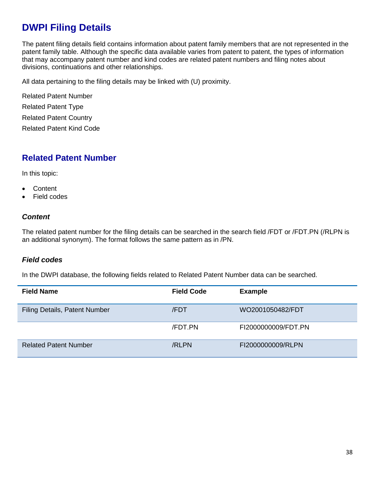# **DWPI Filing Details**

The patent filing details field contains information about patent family members that are not represented in the patent family table. Although the specific data available varies from patent to patent, the types of information that may accompany patent number and kind codes are related patent numbers and filing notes about divisions, continuations and other relationships.

All data pertaining to the filing details may be linked with (U) proximity.

Related Patent Number Related Patent Type Related Patent Country Related Patent Kind Code

### **Related Patent Number**

In this topic:

- Content
- Field codes

#### *Content*

The related patent number for the filing details can be searched in the search field /FDT or /FDT.PN (/RLPN is an additional synonym). The format follows the same pattern as in /PN.

#### *Field codes*

In the DWPI database, the following fields related to Related Patent Number data can be searched.

| <b>Field Name</b>                    | <b>Field Code</b> | <b>Example</b>      |
|--------------------------------------|-------------------|---------------------|
| <b>Filing Details, Patent Number</b> | /FDT              | WO2001050482/FDT    |
|                                      | /FDT.PN           | FI2000000009/FDT.PN |
| <b>Related Patent Number</b>         | /RLPN             | FI2000000009/RLPN   |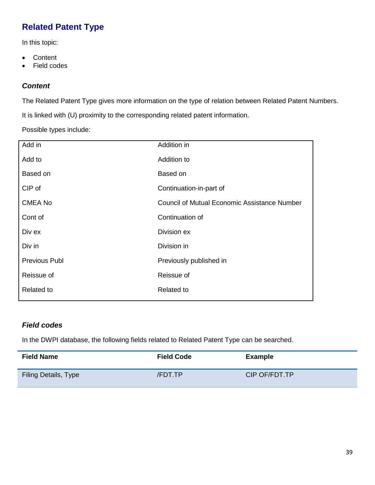# **Related Patent Type**

In this topic:

- Content
- Field codes

#### *Content*

The Related Patent Type gives more information on the type of relation between Related Patent Numbers.

It is linked with (U) proximity to the corresponding related patent information.

Possible types include:

| Add in               | Addition in                                  |
|----------------------|----------------------------------------------|
| Add to               | Addition to                                  |
| Based on             | Based on                                     |
| CIP of               | Continuation-in-part of                      |
| <b>CMEA No</b>       | Council of Mutual Economic Assistance Number |
| Cont of              | Continuation of                              |
| Div ex               | Division ex                                  |
| Div in               | Division in                                  |
| <b>Previous Publ</b> | Previously published in                      |
| Reissue of           | Reissue of                                   |
| <b>Related to</b>    | Related to                                   |
|                      |                                              |

### *Field codes*

In the DWPI database, the following fields related to Related Patent Type can be searched.

| <b>Field Name</b>           | <b>Field Code</b> | Example       |
|-----------------------------|-------------------|---------------|
| <b>Filing Details, Type</b> | <b>/FDT.TP</b>    | CIP OF/FDT.TP |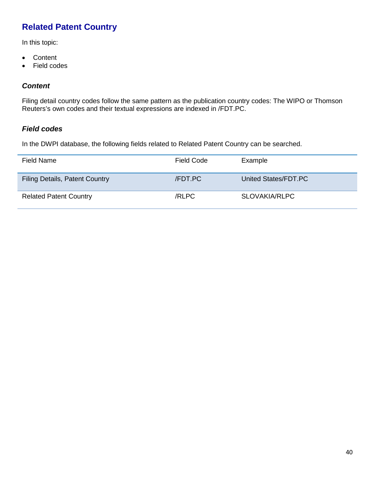# **Related Patent Country**

In this topic:

- Content
- Field codes

#### *Content*

Filing detail country codes follow the same pattern as the publication country codes: The WIPO or Thomson Reuters's own codes and their textual expressions are indexed in /FDT.PC.

#### *Field codes*

In the DWPI database, the following fields related to Related Patent Country can be searched.

| Field Name                            | Field Code | Example              |
|---------------------------------------|------------|----------------------|
| <b>Filing Details, Patent Country</b> | /FDT.PC    | United States/FDT.PC |
| <b>Related Patent Country</b>         | /RLPC      | SLOVAKIA/RLPC        |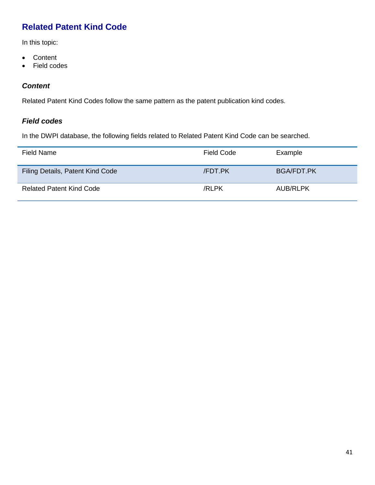## **Related Patent Kind Code**

In this topic:

- Content
- Field codes

#### *Content*

Related Patent Kind Codes follow the same pattern as the patent publication kind codes.

#### *Field codes*

In the DWPI database, the following fields related to Related Patent Kind Code can be searched.

| Field Name                       | Field Code     | Example         |
|----------------------------------|----------------|-----------------|
| Filing Details, Patent Kind Code | <b>/FDT.PK</b> | BGA/FDT.PK      |
| <b>Related Patent Kind Code</b>  | /RLPK          | <b>AUB/RLPK</b> |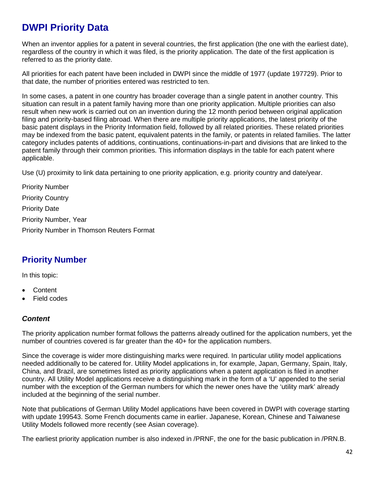# **DWPI Priority Data**

When an inventor applies for a patent in several countries, the first application (the one with the earliest date), regardless of the country in which it was filed, is the priority application. The date of the first application is referred to as the priority date.

All priorities for each patent have been included in DWPI since the middle of 1977 (update 197729). Prior to that date, the number of priorities entered was restricted to ten.

In some cases, a patent in one country has broader coverage than a single patent in another country. This situation can result in a patent family having more than one priority application. Multiple priorities can also result when new work is carried out on an invention during the 12 month period between original application filing and priority-based filing abroad. When there are multiple priority applications, the latest priority of the basic patent displays in the Priority Information field, followed by all related priorities. These related priorities may be indexed from the basic patent, equivalent patents in the family, or patents in related families. The latter category includes patents of additions, continuations, continuations-in-part and divisions that are linked to the patent family through their common priorities. This information displays in the table for each patent where applicable.

Use (U) proximity to link data pertaining to one priority application, e.g. priority country and date/year.

Priority Number Priority Country Priority Date Priority Number, Year Priority Number in Thomson Reuters Format

## **Priority Number**

In this topic:

- Content
- Field codes

#### *Content*

The priority application number format follows the patterns already outlined for the application numbers, yet the number of countries covered is far greater than the 40+ for the application numbers.

Since the coverage is wider more distinguishing marks were required. In particular utility model applications needed additionally to be catered for. Utility Model applications in, for example, Japan, Germany, Spain, Italy, China, and Brazil, are sometimes listed as priority applications when a patent application is filed in another country. All Utility Model applications receive a distinguishing mark in the form of a 'U' appended to the serial number with the exception of the German numbers for which the newer ones have the 'utility mark' already included at the beginning of the serial number.

Note that publications of German Utility Model applications have been covered in DWPI with coverage starting with update 199543. Some French documents came in earlier. Japanese, Korean, Chinese and Taiwanese Utility Models followed more recently (see Asian coverage).

The earliest priority application number is also indexed in /PRNF, the one for the basic publication in /PRN.B.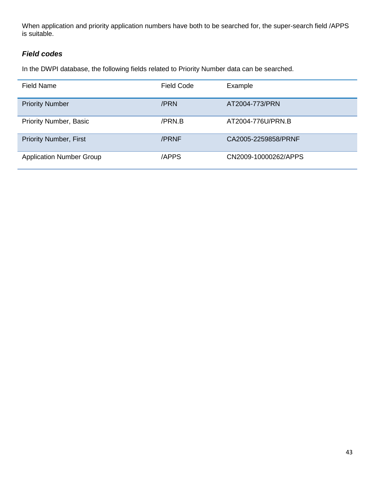When application and priority application numbers have both to be searched for, the super-search field /APPS is suitable.

### *Field codes*

In the DWPI database, the following fields related to Priority Number data can be searched.

| <b>Field Name</b>               | Field Code | Example              |
|---------------------------------|------------|----------------------|
| <b>Priority Number</b>          | /PRN       | AT2004-773/PRN       |
| <b>Priority Number, Basic</b>   | /PRN.B     | AT2004-776U/PRN.B    |
| <b>Priority Number, First</b>   | /PRNF      | CA2005-2259858/PRNF  |
| <b>Application Number Group</b> | /APPS      | CN2009-10000262/APPS |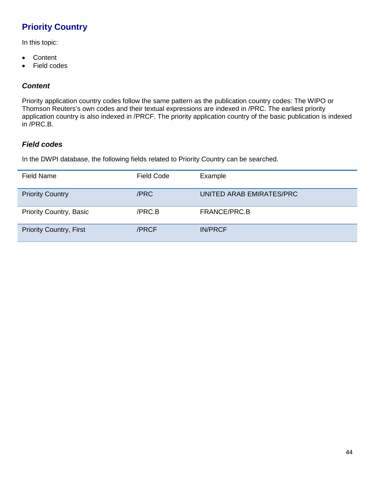# **Priority Country**

In this topic:

- Content
- Field codes

#### *Content*

Priority application country codes follow the same pattern as the publication country codes: The WIPO or Thomson Reuters's own codes and their textual expressions are indexed in /PRC. The earliest priority application country is also indexed in /PRCF. The priority application country of the basic publication is indexed in /PRC.B.

#### *Field codes*

In the DWPI database, the following fields related to Priority Country can be searched.

| <b>Field Name</b>              | <b>Field Code</b> | Example                  |
|--------------------------------|-------------------|--------------------------|
| <b>Priority Country</b>        | /PRC              | UNITED ARAB EMIRATES/PRC |
| <b>Priority Country, Basic</b> | /PRC.B            | FRANCE/PRC.B             |
| <b>Priority Country, First</b> | /PRCF             | <b>IN/PRCF</b>           |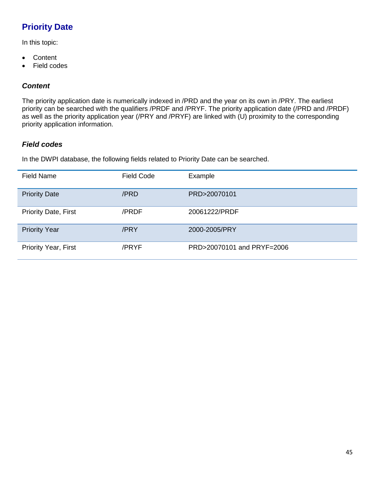# **Priority Date**

In this topic:

- Content
- Field codes

#### *Content*

The priority application date is numerically indexed in /PRD and the year on its own in /PRY. The earliest priority can be searched with the qualifiers /PRDF and /PRYF. The priority application date (/PRD and /PRDF) as well as the priority application year (/PRY and /PRYF) are linked with (U) proximity to the corresponding priority application information.

#### *Field codes*

In the DWPI database, the following fields related to Priority Date can be searched.

| <b>Field Name</b>           | <b>Field Code</b> | Example                    |
|-----------------------------|-------------------|----------------------------|
| <b>Priority Date</b>        | /PRD              | PRD>20070101               |
| <b>Priority Date, First</b> | /PRDF             | 20061222/PRDF              |
| <b>Priority Year</b>        | /PRY              | 2000-2005/PRY              |
| <b>Priority Year, First</b> | /PRYF             | PRD>20070101 and PRYF=2006 |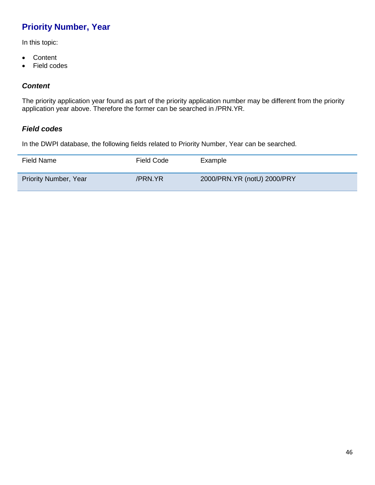## **Priority Number, Year**

In this topic:

- Content
- Field codes

#### *Content*

The priority application year found as part of the priority application number may be different from the priority application year above. Therefore the former can be searched in /PRN.YR.

#### *Field codes*

In the DWPI database, the following fields related to Priority Number, Year can be searched.

| Field Name                   | Field Code | Example                     |
|------------------------------|------------|-----------------------------|
| <b>Priority Number, Year</b> | /PRN.YR    | 2000/PRN.YR (notU) 2000/PRY |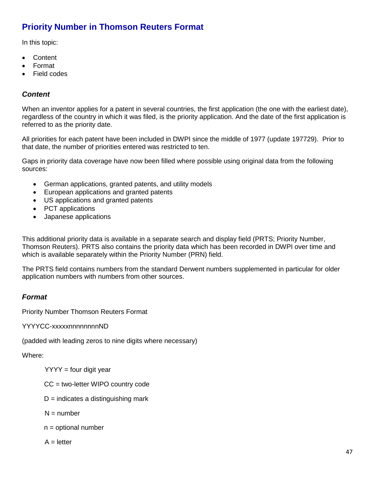## **Priority Number in Thomson Reuters Format**

In this topic:

- Content
- Format
- Field codes

#### *Content*

When an inventor applies for a patent in several countries, the first application (the one with the earliest date), regardless of the country in which it was filed, is the priority application. And the date of the first application is referred to as the priority date.

All priorities for each patent have been included in DWPI since the middle of 1977 (update 197729). Prior to that date, the number of priorities entered was restricted to ten.

Gaps in priority data coverage have now been filled where possible using original data from the following sources:

- German applications, granted patents, and utility models
- European applications and granted patents
- US applications and granted patents
- PCT applications
- Japanese applications

This additional priority data is available in a separate search and display field (PRTS; Priority Number, Thomson Reuters). PRTS also contains the priority data which has been recorded in DWPI over time and which is available separately within the Priority Number (PRN) field.

The PRTS field contains numbers from the standard Derwent numbers supplemented in particular for older application numbers with numbers from other sources.

#### *Format*

Priority Number Thomson Reuters Format

YYYYCC-xxxxxnnnnnnnnND

(padded with leading zeros to nine digits where necessary)

Where:

- $YYYY =$  four digit year
- CC = two-letter WIPO country code
- $D =$  indicates a distinguishing mark
- $N =$  number
- $n =$  optional number

 $A =$  letter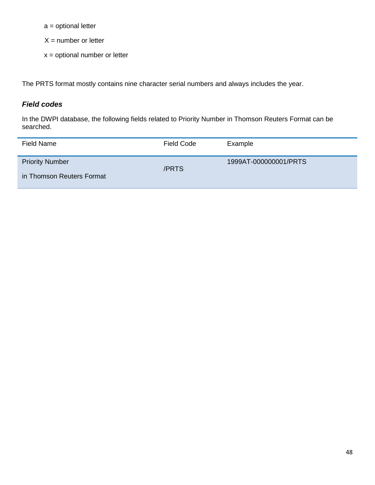a = optional letter

 $X =$  number or letter

x = optional number or letter

The PRTS format mostly contains nine character serial numbers and always includes the year.

### *Field codes*

L

In the DWPI database, the following fields related to Priority Number in Thomson Reuters Format can be searched.

| Field Name                                          | <b>Field Code</b> | Example               |
|-----------------------------------------------------|-------------------|-----------------------|
| <b>Priority Number</b><br>in Thomson Reuters Format | /PRTS             | 1999AT-000000001/PRTS |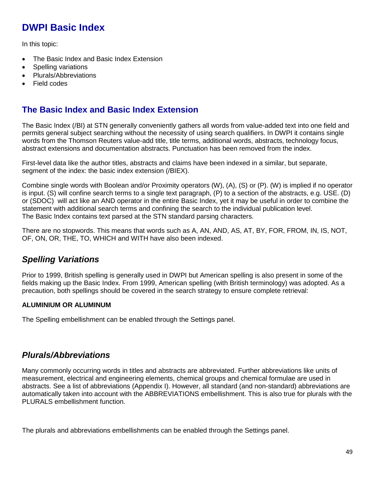# **DWPI Basic Index**

In this topic:

- The Basic Index and Basic Index Extension
- Spelling variations
- Plurals/Abbreviations
- Field codes

### **The Basic Index and Basic Index Extension**

The Basic Index (/BI) at STN generally conveniently gathers all words from value-added text into one field and permits general subject searching without the necessity of using search qualifiers. In DWPI it contains single words from the Thomson Reuters value-add title, title terms, additional words, abstracts, technology focus, abstract extensions and documentation abstracts. Punctuation has been removed from the index.

First-level data like the author titles, abstracts and claims have been indexed in a similar, but separate, segment of the index: the basic index extension (/BIEX).

Combine single words with Boolean and/or Proximity operators (W), (A), (S) or (P). (W) is implied if no operator is input. (S) will confine search terms to a single text paragraph, (P) to a section of the abstracts, e.g. USE. (D) or (SDOC) will act like an AND operator in the entire Basic Index, yet it may be useful in order to combine the statement with additional search terms and confining the search to the individual publication level. The Basic Index contains text parsed at the STN standard parsing characters.

There are no stopwords. This means that words such as A, AN, AND, AS, AT, BY, FOR, FROM, IN, IS, NOT, OF, ON, OR, THE, TO, WHICH and WITH have also been indexed.

## *Spelling Variations*

Prior to 1999, British spelling is generally used in DWPI but American spelling is also present in some of the fields making up the Basic Index. From 1999, American spelling (with British terminology) was adopted. As a precaution, both spellings should be covered in the search strategy to ensure complete retrieval:

#### **ALUMINIUM OR ALUMINUM**

The Spelling embellishment can be enabled through the Settings panel.

### *Plurals/Abbreviations*

Many commonly occurring words in titles and abstracts are abbreviated. Further abbreviations like units of measurement, electrical and engineering elements, chemical groups and chemical formulae are used in abstracts. See a list of abbreviations (Appendix I). However, all standard (and non-standard) abbreviations are automatically taken into account with the ABBREVIATIONS embellishment. This is also true for plurals with the PLURALS embellishment function.

The plurals and abbreviations embellishments can be enabled through the Settings panel.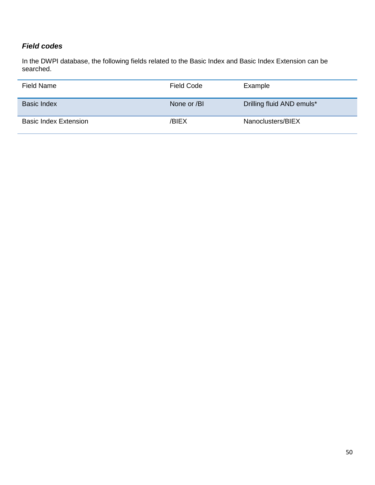### *Field codes*

In the DWPI database, the following fields related to the Basic Index and Basic Index Extension can be searched.

| Field Name                   | <b>Field Code</b> | Example                   |
|------------------------------|-------------------|---------------------------|
| <b>Basic Index</b>           | None or /BI       | Drilling fluid AND emuls* |
| <b>Basic Index Extension</b> | /BIEX             | Nanoclusters/BIEX         |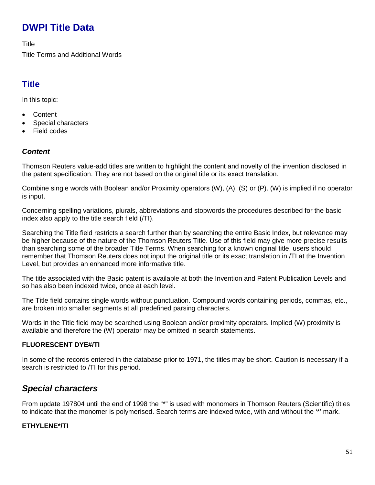# **DWPI Title Data**

**Title** 

Title Terms and Additional Words

## **Title**

In this topic:

- Content
- Special characters
- Field codes

### *Content*

Thomson Reuters value-add titles are written to highlight the content and novelty of the invention disclosed in the patent specification. They are not based on the original title or its exact translation.

Combine single words with Boolean and/or Proximity operators (W), (A), (S) or (P). (W) is implied if no operator is input.

Concerning spelling variations, plurals, abbreviations and stopwords the procedures described for the basic index also apply to the title search field (/TI).

Searching the Title field restricts a search further than by searching the entire Basic Index, but relevance may be higher because of the nature of the Thomson Reuters Title. Use of this field may give more precise results than searching some of the broader Title Terms. When searching for a known original title, users should remember that Thomson Reuters does not input the original title or its exact translation in /TI at the Invention Level, but provides an enhanced more informative title.

The title associated with the Basic patent is available at both the Invention and Patent Publication Levels and so has also been indexed twice, once at each level.

The Title field contains single words without punctuation. Compound words containing periods, commas, etc., are broken into smaller segments at all predefined parsing characters.

Words in the Title field may be searched using Boolean and/or proximity operators. Implied (W) proximity is available and therefore the (W) operator may be omitted in search statements.

#### **FLUORESCENT DYE#/TI**

In some of the records entered in the database prior to 1971, the titles may be short. Caution is necessary if a search is restricted to /TI for this period.

## *Special characters*

From update 197804 until the end of 1998 the "\*" is used with monomers in Thomson Reuters (Scientific) titles to indicate that the monomer is polymerised. Search terms are indexed twice, with and without the '\*' mark.

#### **ETHYLENE\*/TI**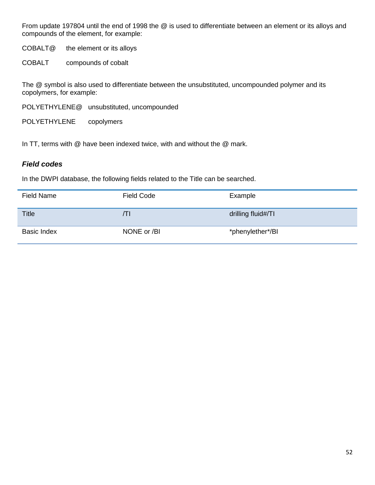From update 197804 until the end of 1998 the @ is used to differentiate between an element or its alloys and compounds of the element, for example:

COBALT@ the element or its alloys

COBALT compounds of cobalt

The @ symbol is also used to differentiate between the unsubstituted, uncompounded polymer and its copolymers, for example:

POLYETHYLENE@ unsubstituted, uncompounded

POLYETHYLENE copolymers

In TT, terms with @ have been indexed twice, with and without the @ mark.

#### *Field codes*

In the DWPI database, the following fields related to the Title can be searched.

| <b>Field Name</b>  | <b>Field Code</b> | Example            |
|--------------------|-------------------|--------------------|
| <b>Title</b>       | ЛI                | drilling fluid#/TI |
| <b>Basic Index</b> | NONE or /BI       | *phenylether*/BI   |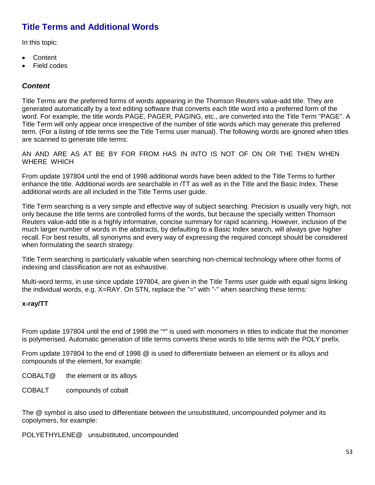### **Title Terms and Additional Words**

In this topic:

- Content
- Field codes

#### *Content*

Title Terms are the preferred forms of words appearing in the Thomson Reuters value-add title. They are generated automatically by a text editing software that converts each title word into a preferred form of the word. For example, the title words PAGE, PAGER, PAGING, etc., are converted into the Title Term "PAGE". A Title Term will only appear once irrespective of the number of title words which may generate this preferred term. (For a listing of title terms see the Title Terms user manual). The following words are ignored when titles are scanned to generate title terms:

AN AND ARE AS AT BE BY FOR FROM HAS IN INTO IS NOT OF ON OR THE THEN WHEN WHERE WHICH

From update 197804 until the end of 1998 additional words have been added to the Title Terms to further enhance the title. Additional words are searchable in /TT as well as in the Title and the Basic Index. These additional words are all included in the Title Terms user guide.

Title Term searching is a very simple and effective way of subject searching. Precision is usually very high, not only because the title terms are controlled forms of the words, but because the specially written Thomson Reuters value-add title is a highly informative, concise summary for rapid scanning. However, inclusion of the much larger number of words in the abstracts, by defaulting to a Basic Index search, will always give higher recall. For best results, all synonyms and every way of expressing the required concept should be considered when formulating the search strategy.

Title Term searching is particularly valuable when searching non-chemical technology where other forms of indexing and classification are not as exhaustive.

Multi-word terms, in use since update 197804, are given in the Title Terms user guide with equal signs linking the individual words, e.g. X=RAY. On STN, replace the "=" with "-" when searching these terms:

#### **x-ray/TT**

From update 197804 until the end of 1998 the "\*" is used with monomers in titles to indicate that the monomer is polymerised. Automatic generation of title terms converts these words to title terms with the POLY prefix.

From update 197804 to the end of 1998 @ is used to differentiate between an element or its alloys and compounds of the element, for example:

COBALT@ the element or its alloys

COBALT compounds of cobalt

The @ symbol is also used to differentiate between the unsubstituted, uncompounded polymer and its copolymers, for example:

POLYETHYLENE@ unsubstituted, uncompounded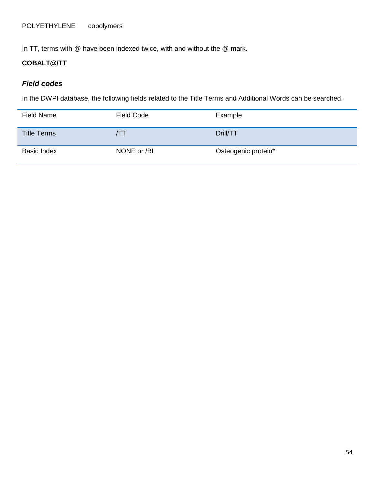In TT, terms with @ have been indexed twice, with and without the @ mark.

### **COBALT@/TT**

#### *Field codes*

In the DWPI database, the following fields related to the Title Terms and Additional Words can be searched.

| Field Name         | <b>Field Code</b> | Example             |
|--------------------|-------------------|---------------------|
| <b>Title Terms</b> | $\prime$ 1        | Drill/TT            |
| <b>Basic Index</b> | NONE or /BI       | Osteogenic protein* |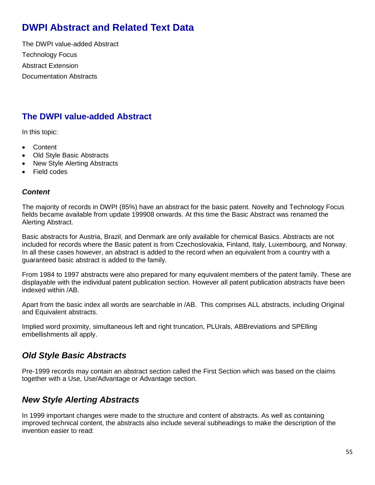# **DWPI Abstract and Related Text Data**

The DWPI value-added Abstract Technology Focus Abstract Extension Documentation Abstracts

## **The DWPI value-added Abstract**

In this topic:

- Content
- Old Style Basic Abstracts
- New Style Alerting Abstracts
- Field codes

#### *Content*

The majority of records in DWPI (85%) have an abstract for the basic patent. Novelty and Technology Focus fields became available from update 199908 onwards. At this time the Basic Abstract was renamed the Alerting Abstract.

Basic abstracts for Austria, Brazil, and Denmark are only available for chemical Basics. Abstracts are not included for records where the Basic patent is from Czechoslovakia, Finland, Italy, Luxembourg, and Norway. In all these cases however, an abstract is added to the record when an equivalent from a country with a guaranteed basic abstract is added to the family.

From 1984 to 1997 abstracts were also prepared for many equivalent members of the patent family. These are displayable with the individual patent publication section. However all patent publication abstracts have been indexed within /AB.

Apart from the basic index all words are searchable in /AB. This comprises ALL abstracts, including Original and Equivalent abstracts.

Implied word proximity, simultaneous left and right truncation, PLUrals, ABBreviations and SPElling embellishments all apply.

### *Old Style Basic Abstracts*

Pre-1999 records may contain an abstract section called the First Section which was based on the claims together with a Use, Use/Advantage or Advantage section.

### *New Style Alerting Abstracts*

In 1999 important changes were made to the structure and content of abstracts. As well as containing improved technical content, the abstracts also include several subheadings to make the description of the invention easier to read: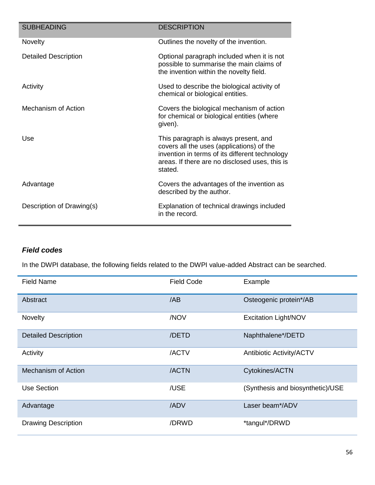| <b>SUBHEADING</b>           | <b>DESCRIPTION</b>                                                                                                                                                                                |
|-----------------------------|---------------------------------------------------------------------------------------------------------------------------------------------------------------------------------------------------|
| <b>Novelty</b>              | Outlines the novelty of the invention.                                                                                                                                                            |
| <b>Detailed Description</b> | Optional paragraph included when it is not<br>possible to summarise the main claims of<br>the invention within the novelty field.                                                                 |
| Activity                    | Used to describe the biological activity of<br>chemical or biological entities.                                                                                                                   |
| Mechanism of Action         | Covers the biological mechanism of action<br>for chemical or biological entities (where<br>given).                                                                                                |
| Use                         | This paragraph is always present, and<br>covers all the uses (applications) of the<br>invention in terms of its different technology<br>areas. If there are no disclosed uses, this is<br>stated. |
| Advantage                   | Covers the advantages of the invention as<br>described by the author.                                                                                                                             |
| Description of Drawing(s)   | Explanation of technical drawings included<br>in the record.                                                                                                                                      |

### *Field codes*

In the DWPI database, the following fields related to the DWPI value-added Abstract can be searched.

| <b>Field Name</b>           | <b>Field Code</b> | Example                          |
|-----------------------------|-------------------|----------------------------------|
| Abstract                    | /AB               | Osteogenic protein*/AB           |
| Novelty                     | /NOV              | <b>Excitation Light/NOV</b>      |
| <b>Detailed Description</b> | /DETD             | Naphthalene*/DETD                |
| Activity                    | /ACTV             | <b>Antibiotic Activity/ACTV</b>  |
| <b>Mechanism of Action</b>  | /ACTN             | Cytokines/ACTN                   |
| Use Section                 | /USE              | (Synthesis and biosynthetic)/USE |
| Advantage                   | /ADV              | Laser beam*/ADV                  |
| <b>Drawing Description</b>  | /DRWD             | *tangul*/DRWD                    |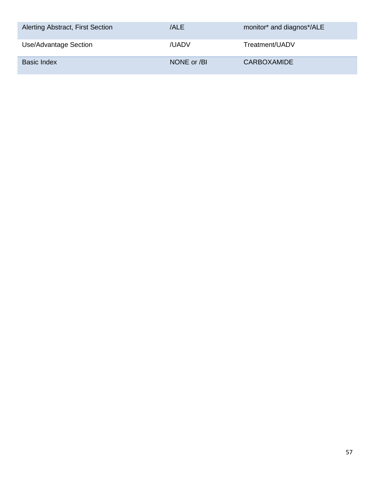| Alerting Abstract, First Section | /ALE        | monitor* and diagnos*/ALE |
|----------------------------------|-------------|---------------------------|
| Use/Advantage Section            | /UADV       | Treatment/UADV            |
| <b>Basic Index</b>               | NONE or /BI | <b>CARBOXAMIDE</b>        |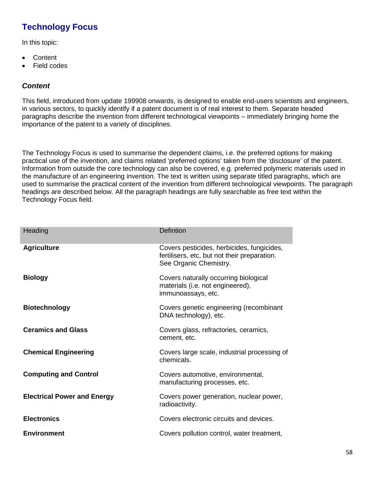# **Technology Focus**

In this topic:

- Content
- Field codes

### *Content*

This field, introduced from update 199908 onwards, is designed to enable end-users scientists and engineers, in various sectors, to quickly identify if a patent document is of real interest to them. Separate headed paragraphs describe the invention from different technological viewpoints – immediately bringing home the importance of the patent to a variety of disciplines.

The Technology Focus is used to summarise the dependent claims, i.e. the preferred options for making practical use of the invention, and claims related 'preferred options' taken from the 'disclosure' of the patent. Information from outside the core technology can also be covered, e.g. preferred polymeric materials used in the manufacture of an engineering invention. The text is written using separate titled paragraphs, which are used to summarise the practical content of the invention from different technological viewpoints. The paragraph headings are described below. All the paragraph headings are fully searchable as free text within the Technology Focus field.

| Heading                            | <b>Defintion</b>                                                                                                     |
|------------------------------------|----------------------------------------------------------------------------------------------------------------------|
| <b>Agriculture</b>                 | Covers pesticides, herbicides, fungicides,<br>fertilisers, etc, but not their preparation.<br>See Organic Chemistry. |
| <b>Biology</b>                     | Covers naturally occurring biological<br>materials (i.e. not engineered),<br>immunoassays, etc.                      |
| <b>Biotechnology</b>               | Covers genetic engineering (recombinant<br>DNA technology), etc.                                                     |
| <b>Ceramics and Glass</b>          | Covers glass, refractories, ceramics,<br>cement, etc.                                                                |
| <b>Chemical Engineering</b>        | Covers large scale, industrial processing of<br>chemicals.                                                           |
| <b>Computing and Control</b>       | Covers automotive, environmental,<br>manufacturing processes, etc.                                                   |
| <b>Electrical Power and Energy</b> | Covers power generation, nuclear power,<br>radioactivity.                                                            |
| <b>Electronics</b>                 | Covers electronic circuits and devices.                                                                              |
| <b>Environment</b>                 | Covers pollution control, water treatment,                                                                           |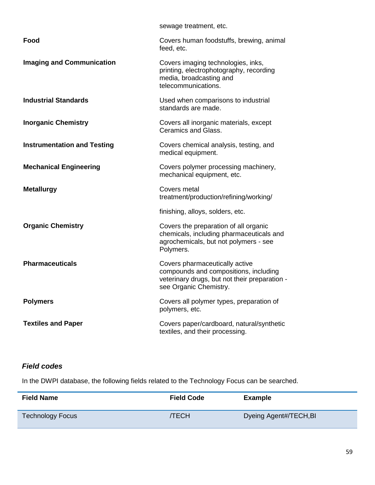|                                    | sewage treatment, etc.                                                                                                                             |
|------------------------------------|----------------------------------------------------------------------------------------------------------------------------------------------------|
| Food                               | Covers human foodstuffs, brewing, animal<br>feed, etc.                                                                                             |
| <b>Imaging and Communication</b>   | Covers imaging technologies, inks,<br>printing, electrophotography, recording<br>media, broadcasting and<br>telecommunications.                    |
| <b>Industrial Standards</b>        | Used when comparisons to industrial<br>standards are made.                                                                                         |
| <b>Inorganic Chemistry</b>         | Covers all inorganic materials, except<br>Ceramics and Glass.                                                                                      |
| <b>Instrumentation and Testing</b> | Covers chemical analysis, testing, and<br>medical equipment.                                                                                       |
| <b>Mechanical Engineering</b>      | Covers polymer processing machinery,<br>mechanical equipment, etc.                                                                                 |
| <b>Metallurgy</b>                  | Covers metal<br>treatment/production/refining/working/                                                                                             |
|                                    | finishing, alloys, solders, etc.                                                                                                                   |
| <b>Organic Chemistry</b>           | Covers the preparation of all organic<br>chemicals, including pharmaceuticals and<br>agrochemicals, but not polymers - see<br>Polymers.            |
| <b>Pharmaceuticals</b>             |                                                                                                                                                    |
|                                    | Covers pharmaceutically active<br>compounds and compositions, including<br>veterinary drugs, but not their preparation -<br>see Organic Chemistry. |
| <b>Polymers</b>                    | Covers all polymer types, preparation of<br>polymers, etc.                                                                                         |

### *Field codes*

In the DWPI database, the following fields related to the Technology Focus can be searched.

| <b>Field Name</b>       | <b>Field Code</b> | <b>Example</b>         |
|-------------------------|-------------------|------------------------|
| <b>Technology Focus</b> | ЛЕСН              | Dyeing Agent#/TECH, BI |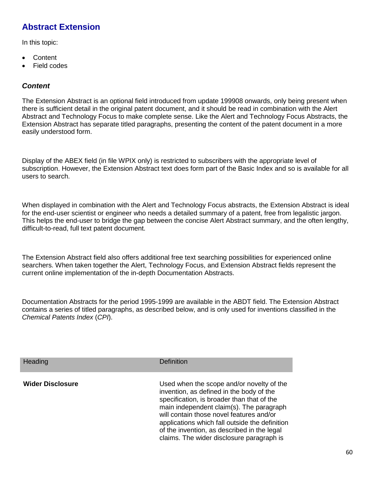## **Abstract Extension**

In this topic:

- Content
- Field codes

#### *Content*

The Extension Abstract is an optional field introduced from update 199908 onwards, only being present when there is sufficient detail in the original patent document, and it should be read in combination with the Alert Abstract and Technology Focus to make complete sense. Like the Alert and Technology Focus Abstracts, the Extension Abstract has separate titled paragraphs, presenting the content of the patent document in a more easily understood form.

Display of the ABEX field (in file WPIX only) is restricted to subscribers with the appropriate level of subscription. However, the Extension Abstract text does form part of the Basic Index and so is available for all users to search.

When displayed in combination with the Alert and Technology Focus abstracts, the Extension Abstract is ideal for the end-user scientist or engineer who needs a detailed summary of a patent, free from legalistic jargon. This helps the end-user to bridge the gap between the concise Alert Abstract summary, and the often lengthy, difficult-to-read, full text patent document.

The Extension Abstract field also offers additional free text searching possibilities for experienced online searchers. When taken together the Alert, Technology Focus, and Extension Abstract fields represent the current online implementation of the in-depth Documentation Abstracts.

Documentation Abstracts for the period 1995-1999 are available in the ABDT field. The Extension Abstract contains a series of titled paragraphs, as described below, and is only used for inventions classified in the *Chemical Patents Index* (*CPI*).

| <b>Heading</b>          | Definition                                                                                                                                                                                                                                                                                                                                                                |
|-------------------------|---------------------------------------------------------------------------------------------------------------------------------------------------------------------------------------------------------------------------------------------------------------------------------------------------------------------------------------------------------------------------|
| <b>Wider Disclosure</b> | Used when the scope and/or novelty of the<br>invention, as defined in the body of the<br>specification, is broader than that of the<br>main independent claim(s). The paragraph<br>will contain those novel features and/or<br>applications which fall outside the definition<br>of the invention, as described in the legal<br>claims. The wider disclosure paragraph is |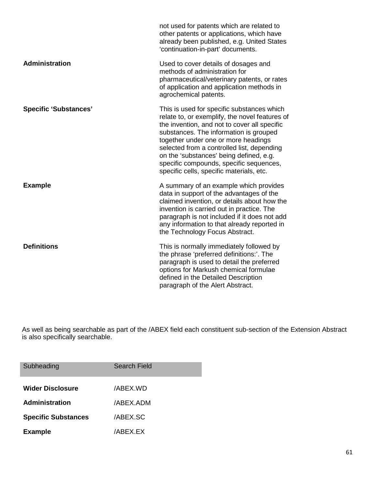|                              | not used for patents which are related to<br>other patents or applications, which have<br>already been published, e.g. United States<br>'continuation-in-part' documents.                                                                                                                                                                                                                                     |
|------------------------------|---------------------------------------------------------------------------------------------------------------------------------------------------------------------------------------------------------------------------------------------------------------------------------------------------------------------------------------------------------------------------------------------------------------|
| Administration               | Used to cover details of dosages and<br>methods of administration for<br>pharmaceutical/veterinary patents, or rates<br>of application and application methods in<br>agrochemical patents.                                                                                                                                                                                                                    |
| <b>Specific 'Substances'</b> | This is used for specific substances which<br>relate to, or exemplify, the novel features of<br>the invention, and not to cover all specific<br>substances. The information is grouped<br>together under one or more headings<br>selected from a controlled list, depending<br>on the 'substances' being defined, e.g.<br>specific compounds, specific sequences,<br>specific cells, specific materials, etc. |
| <b>Example</b>               | A summary of an example which provides<br>data in support of the advantages of the<br>claimed invention, or details about how the<br>invention is carried out in practice. The<br>paragraph is not included if it does not add<br>any information to that already reported in<br>the Technology Focus Abstract.                                                                                               |
| <b>Definitions</b>           | This is normally immediately followed by<br>the phrase 'preferred definitions:'. The<br>paragraph is used to detail the preferred<br>options for Markush chemical formulae<br>defined in the Detailed Description<br>paragraph of the Alert Abstract.                                                                                                                                                         |

As well as being searchable as part of the /ABEX field each constituent sub-section of the Extension Abstract is also specifically searchable.

| Subheading                 | Search Field |
|----------------------------|--------------|
| <b>Wider Disclosure</b>    | /ABEX.WD     |
| Administration             | /ABEX.ADM    |
| <b>Specific Substances</b> | /ABEX.SC     |
| <b>Example</b>             | /ABEX.EX     |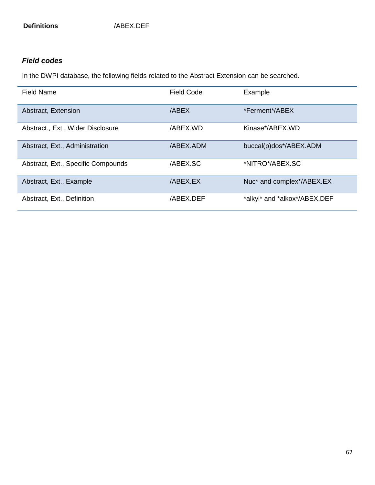### *Field codes*

In the DWPI database, the following fields related to the Abstract Extension can be searched.

| <b>Field Name</b>                  | <b>Field Code</b> | Example                      |
|------------------------------------|-------------------|------------------------------|
| Abstract, Extension                | /ABEX             | *Ferment*/ABEX               |
| Abstract., Ext., Wider Disclosure  | /ABEX.WD          | Kinase*/ABEX.WD              |
| Abstract, Ext., Administration     | /ABEX.ADM         | buccal(p)dos*/ABEX.ADM       |
| Abstract, Ext., Specific Compounds | /ABEX.SC          | *NITRO*/ABEX.SC              |
| Abstract, Ext., Example            | /ABEX.EX          | Nuc* and complex*/ABEX.EX    |
| Abstract, Ext., Definition         | /ABEX.DEF         | *alkyl* and *alkox*/ABEX.DEF |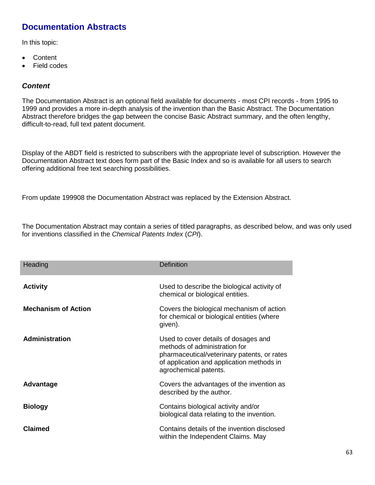## **Documentation Abstracts**

In this topic:

- Content
- Field codes

#### *Content*

The Documentation Abstract is an optional field available for documents - most CPI records - from 1995 to 1999 and provides a more in-depth analysis of the invention than the Basic Abstract. The Documentation Abstract therefore bridges the gap between the concise Basic Abstract summary, and the often lengthy, difficult-to-read, full text patent document.

Display of the ABDT field is restricted to subscribers with the appropriate level of subscription. However the Documentation Abstract text does form part of the Basic Index and so is available for all users to search offering additional free text searching possibilities.

From update 199908 the Documentation Abstract was replaced by the Extension Abstract.

The Documentation Abstract may contain a series of titled paragraphs, as described below, and was only used for inventions classified in the *Chemical Patents Index* (*CPI*).

| Heading                    | <b>Definition</b>                                                                                                                                                                          |
|----------------------------|--------------------------------------------------------------------------------------------------------------------------------------------------------------------------------------------|
| <b>Activity</b>            | Used to describe the biological activity of<br>chemical or biological entities.                                                                                                            |
| <b>Mechanism of Action</b> | Covers the biological mechanism of action<br>for chemical or biological entities (where<br>given).                                                                                         |
| Administration             | Used to cover details of dosages and<br>methods of administration for<br>pharmaceutical/veterinary patents, or rates<br>of application and application methods in<br>agrochemical patents. |
| Advantage                  | Covers the advantages of the invention as<br>described by the author.                                                                                                                      |
| <b>Biology</b>             | Contains biological activity and/or<br>biological data relating to the invention.                                                                                                          |
| <b>Claimed</b>             | Contains details of the invention disclosed<br>within the Independent Claims. May                                                                                                          |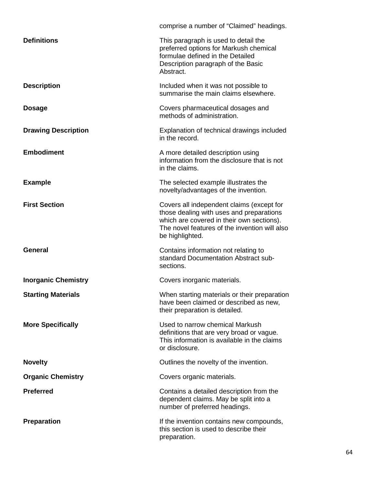|                            | comprise a number of "Claimed" headings.                                                                                                                                                               |
|----------------------------|--------------------------------------------------------------------------------------------------------------------------------------------------------------------------------------------------------|
| <b>Definitions</b>         | This paragraph is used to detail the<br>preferred options for Markush chemical<br>formulae defined in the Detailed<br>Description paragraph of the Basic<br>Abstract.                                  |
| <b>Description</b>         | Included when it was not possible to<br>summarise the main claims elsewhere.                                                                                                                           |
| <b>Dosage</b>              | Covers pharmaceutical dosages and<br>methods of administration.                                                                                                                                        |
| <b>Drawing Description</b> | Explanation of technical drawings included<br>in the record.                                                                                                                                           |
| <b>Embodiment</b>          | A more detailed description using<br>information from the disclosure that is not<br>in the claims.                                                                                                     |
| <b>Example</b>             | The selected example illustrates the<br>novelty/advantages of the invention.                                                                                                                           |
| <b>First Section</b>       | Covers all independent claims (except for<br>those dealing with uses and preparations<br>which are covered in their own sections).<br>The novel features of the invention will also<br>be highlighted. |
| <b>General</b>             | Contains information not relating to<br>standard Documentation Abstract sub-<br>sections.                                                                                                              |
| <b>Inorganic Chemistry</b> | Covers inorganic materials.                                                                                                                                                                            |
| <b>Starting Materials</b>  | When starting materials or their preparation<br>have been claimed or described as new,<br>their preparation is detailed.                                                                               |
| <b>More Specifically</b>   | Used to narrow chemical Markush<br>definitions that are very broad or vague.<br>This information is available in the claims<br>or disclosure.                                                          |
| <b>Novelty</b>             | Outlines the novelty of the invention.                                                                                                                                                                 |
| <b>Organic Chemistry</b>   | Covers organic materials.                                                                                                                                                                              |
| <b>Preferred</b>           | Contains a detailed description from the<br>dependent claims. May be split into a<br>number of preferred headings.                                                                                     |
| <b>Preparation</b>         | If the invention contains new compounds,<br>this section is used to describe their<br>preparation.                                                                                                     |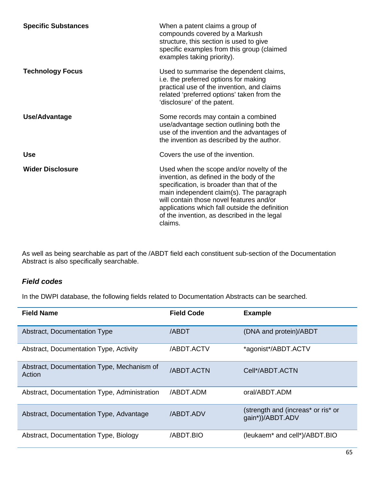| <b>Specific Substances</b> | When a patent claims a group of<br>compounds covered by a Markush<br>structure, this section is used to give<br>specific examples from this group (claimed<br>examples taking priority).                                                                                                                                                |
|----------------------------|-----------------------------------------------------------------------------------------------------------------------------------------------------------------------------------------------------------------------------------------------------------------------------------------------------------------------------------------|
| <b>Technology Focus</b>    | Used to summarise the dependent claims,<br>i.e. the preferred options for making<br>practical use of the invention, and claims<br>related 'preferred options' taken from the<br>'disclosure' of the patent.                                                                                                                             |
| Use/Advantage              | Some records may contain a combined<br>use/advantage section outlining both the<br>use of the invention and the advantages of<br>the invention as described by the author.                                                                                                                                                              |
| <b>Use</b>                 | Covers the use of the invention.                                                                                                                                                                                                                                                                                                        |
| <b>Wider Disclosure</b>    | Used when the scope and/or novelty of the<br>invention, as defined in the body of the<br>specification, is broader than that of the<br>main independent claim(s). The paragraph<br>will contain those novel features and/or<br>applications which fall outside the definition<br>of the invention, as described in the legal<br>claims. |

As well as being searchable as part of the /ABDT field each constituent sub-section of the Documentation Abstract is also specifically searchable.

### *Field codes*

In the DWPI database, the following fields related to Documentation Abstracts can be searched.

| <b>Field Name</b>                                    | <b>Field Code</b> | <b>Example</b>                                         |
|------------------------------------------------------|-------------------|--------------------------------------------------------|
| <b>Abstract, Documentation Type</b>                  | /ABDT             | (DNA and protein)/ABDT                                 |
| Abstract, Documentation Type, Activity               | /ABDT.ACTV        | *agonist*/ABDT.ACTV                                    |
| Abstract, Documentation Type, Mechanism of<br>Action | /ABDT.ACTN        | Cell*/ABDT.ACTN                                        |
| Abstract, Documentation Type, Administration         | /ABDT.ADM         | oral/ABDT.ADM                                          |
| Abstract, Documentation Type, Advantage              | <b>ABDT.ADV</b>   | (strength and (increas* or ris* or<br>gain*))/ABDT.ADV |
| Abstract, Documentation Type, Biology                | /ABDT.BIO         | (leukaem* and cell*)/ABDT.BIO                          |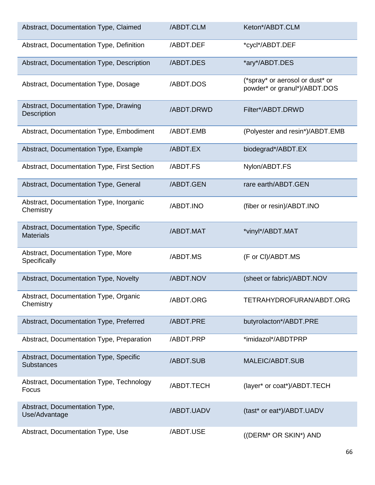| Abstract, Documentation Type, Claimed                       | /ABDT.CLM  | Keton*/ABDT.CLM                                                 |
|-------------------------------------------------------------|------------|-----------------------------------------------------------------|
| Abstract, Documentation Type, Definition                    | /ABDT.DEF  | *cycl*/ABDT.DEF                                                 |
| Abstract, Documentation Type, Description                   | /ABDT.DES  | *ary*/ABDT.DES                                                  |
| Abstract, Documentation Type, Dosage                        | /ABDT.DOS  | (*spray* or aerosol or dust* or<br>powder* or granul*)/ABDT.DOS |
| Abstract, Documentation Type, Drawing<br><b>Description</b> | /ABDT.DRWD | Filter*/ABDT.DRWD                                               |
| Abstract, Documentation Type, Embodiment                    | /ABDT.EMB  | (Polyester and resin*)/ABDT.EMB                                 |
| Abstract, Documentation Type, Example                       | /ABDT.EX   | biodegrad*/ABDT.EX                                              |
| Abstract, Documentation Type, First Section                 | /ABDT.FS   | Nylon/ABDT.FS                                                   |
| Abstract, Documentation Type, General                       | /ABDT.GEN  | rare earth/ABDT.GEN                                             |
| Abstract, Documentation Type, Inorganic<br>Chemistry        | /ABDT.INO  | (fiber or resin)/ABDT.INO                                       |
| Abstract, Documentation Type, Specific<br><b>Materials</b>  | /ABDT.MAT  | *vinyl*/ABDT.MAT                                                |
| Abstract, Documentation Type, More<br>Specifically          | /ABDT.MS   | (F or CI)/ABDT.MS                                               |
| Abstract, Documentation Type, Novelty                       | /ABDT.NOV  | (sheet or fabric)/ABDT.NOV                                      |
| Abstract, Documentation Type, Organic<br>Chemistry          | /ABDT.ORG  | TETRAHYDROFURAN/ABDT.ORG                                        |
| Abstract, Documentation Type, Preferred                     | /ABDT.PRE  | butyrolacton*/ABDT.PRE                                          |
| Abstract, Documentation Type, Preparation                   | /ABDT.PRP  | *imidazol*/ABDTPRP                                              |
| Abstract, Documentation Type, Specific<br><b>Substances</b> | /ABDT.SUB  | MALEIC/ABDT.SUB                                                 |
| Abstract, Documentation Type, Technology<br>Focus           | /ABDT.TECH | (layer* or coat*)/ABDT.TECH                                     |
| Abstract, Documentation Type,<br>Use/Advantage              | /ABDT.UADV | (tast* or eat*)/ABDT.UADV                                       |
| Abstract, Documentation Type, Use                           | /ABDT.USE  | ((DERM* OR SKIN*) AND                                           |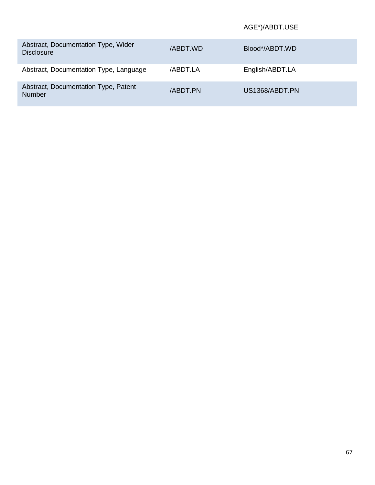#### AGE\*)/ABDT.USE

| Abstract, Documentation Type, Wider<br><b>Disclosure</b> | /ABDT.WD       | Blood*/ABDT.WD  |
|----------------------------------------------------------|----------------|-----------------|
| Abstract, Documentation Type, Language                   | /ABDT.LA       | English/ABDT.LA |
| Abstract, Documentation Type, Patent<br><b>Number</b>    | <b>ABDT.PN</b> | US1368/ABDT.PN  |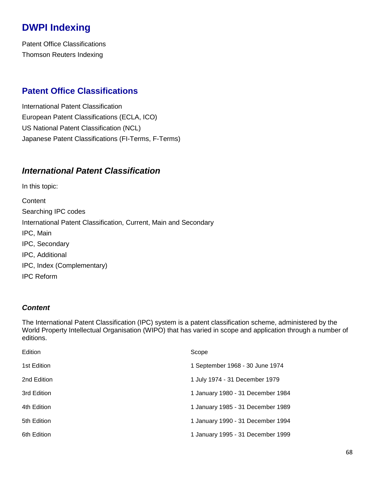# **DWPI Indexing**

Patent Office Classifications Thomson Reuters Indexing

## **Patent Office Classifications**

International Patent Classification European Patent Classifications (ECLA, ICO) US National Patent Classification (NCL) Japanese Patent Classifications (FI-Terms, F-Terms)

### *International Patent Classification*

In this topic: **Content** Searching IPC codes International Patent Classification, Current, Main and Secondary IPC, Main IPC, Secondary IPC, Additional IPC, Index (Complementary) IPC Reform

#### *Content*

The International Patent Classification (IPC) system is a patent classification scheme, administered by the World Property Intellectual Organisation (WIPO) that has varied in scope and application through a number of editions.

| Edition     | Scope                             |
|-------------|-----------------------------------|
| 1st Edition | 1 September 1968 - 30 June 1974   |
| 2nd Edition | 1 July 1974 - 31 December 1979    |
| 3rd Edition | 1 January 1980 - 31 December 1984 |
| 4th Edition | 1 January 1985 - 31 December 1989 |
| 5th Edition | 1 January 1990 - 31 December 1994 |
| 6th Edition | 1 January 1995 - 31 December 1999 |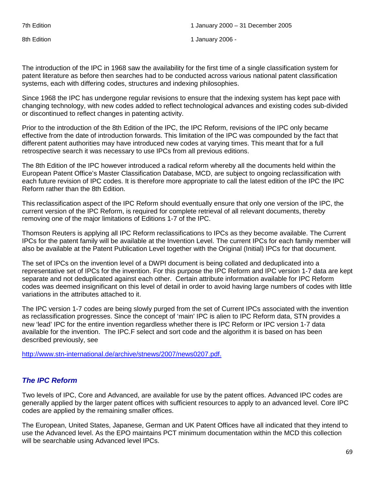8th Edition **1** January 2006 - 1 January 2006 - 1 January 2006 -

The introduction of the IPC in 1968 saw the availability for the first time of a single classification system for patent literature as before then searches had to be conducted across various national patent classification systems, each with differing codes, structures and indexing philosophies.

Since 1968 the IPC has undergone regular revisions to ensure that the indexing system has kept pace with changing technology, with new codes added to reflect technological advances and existing codes sub-divided or discontinued to reflect changes in patenting activity.

Prior to the introduction of the 8th Edition of the IPC, the IPC Reform, revisions of the IPC only became effective from the date of introduction forwards. This limitation of the IPC was compounded by the fact that different patent authorities may have introduced new codes at varying times. This meant that for a full retrospective search it was necessary to use IPCs from all previous editions.

The 8th Edition of the IPC however introduced a radical reform whereby all the documents held within the European Patent Office's Master Classification Database, MCD, are subject to ongoing reclassification with each future revision of IPC codes. It is therefore more appropriate to call the latest edition of the IPC the IPC Reform rather than the 8th Edition.

This reclassification aspect of the IPC Reform should eventually ensure that only one version of the IPC, the current version of the IPC Reform, is required for complete retrieval of all relevant documents, thereby removing one of the major limitations of Editions 1-7 of the IPC.

Thomson Reuters is applying all IPC Reform reclassifications to IPCs as they become available. The Current IPCs for the patent family will be available at the Invention Level. The current IPCs for each family member will also be available at the Patent Publication Level together with the Original (Initial) IPCs for that document.

The set of IPCs on the invention level of a DWPI document is being collated and deduplicated into a representative set of IPCs for the invention. For this purpose the IPC Reform and IPC version 1-7 data are kept separate and not deduplicated against each other. Certain attribute information available for IPC Reform codes was deemed insignificant on this level of detail in order to avoid having large numbers of codes with little variations in the attributes attached to it.

The IPC version 1-7 codes are being slowly purged from the set of Current IPCs associated with the invention as reclassification progresses. Since the concept of 'main' IPC is alien to IPC Reform data, STN provides a new 'lead' IPC for the entire invention regardless whether there is IPC Reform or IPC version 1-7 data available for the invention. The IPC.F select and sort code and the algorithm it is based on has been described previously, see

[http://www.stn-international.de/archive/stnews/2007/news0207.pdf.](http://www.stn-international.de/archive/stnews/2007/news0207.pdf)

#### *The IPC Reform*

Two levels of IPC, Core and Advanced, are available for use by the patent offices. Advanced IPC codes are generally applied by the larger patent offices with sufficient resources to apply to an advanced level. Core IPC codes are applied by the remaining smaller offices.

The European, United States, Japanese, German and UK Patent Offices have all indicated that they intend to use the Advanced level. As the EPO maintains PCT minimum documentation within the MCD this collection will be searchable using Advanced level IPCs.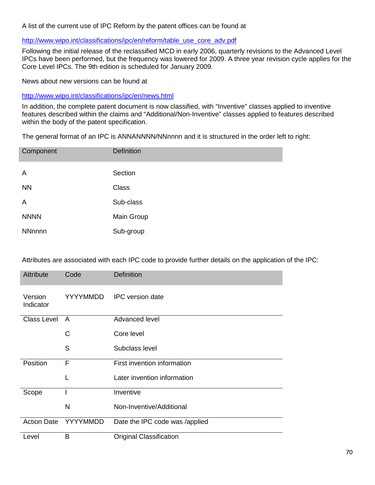A list of the current use of IPC Reform by the patent offices can be found at

#### [http://www.wipo.int/classifications/ipc/en/reform/table\\_use\\_core\\_adv.pdf](http://www.wipo.int/classifications/ipc/en/reform/table_use_core_adv.pdf)

Following the initial release of the reclassified MCD in early 2006, quarterly revisions to the Advanced Level IPCs have been performed, but the frequency was lowered for 2009. A three year revision cycle applies for the Core Level IPCs. The 9th edition is scheduled for January 2009.

News about new versions can be found at

<http://www.wipo.int/classifications/ipc/en/news.html>

In addition, the complete patent document is now classified, with "Inventive" classes applied to inventive features described within the claims and "Additional/Non-Inventive" classes applied to features described within the body of the patent specification.

The general format of an IPC is ANNANNNN/NNnnnn and it is structured in the order left to right:

| Component      | <b>Definition</b> |
|----------------|-------------------|
| $\overline{A}$ | Section           |
| <b>NN</b>      | <b>Class</b>      |
| A              | Sub-class         |
| <b>NNNN</b>    | Main Group        |
| <b>NNnnnn</b>  | Sub-group         |

Attributes are associated with each IPC code to provide further details on the application of the IPC:

| Attribute            | Code            | <b>Definition</b>              |
|----------------------|-----------------|--------------------------------|
| Version<br>Indicator | <b>YYYYMMDD</b> | IPC version date               |
| <b>Class Level</b>   | A               | Advanced level                 |
|                      | C               | Core level                     |
|                      | S               | Subclass level                 |
| Position             | F               | First invention information    |
|                      | L               | Later invention information    |
| Scope                |                 | Inventive                      |
|                      | N               | Non-Inventive/Additional       |
| <b>Action Date</b>   | <b>YYYYMMDD</b> | Date the IPC code was /applied |
| Level                | B               | <b>Original Classification</b> |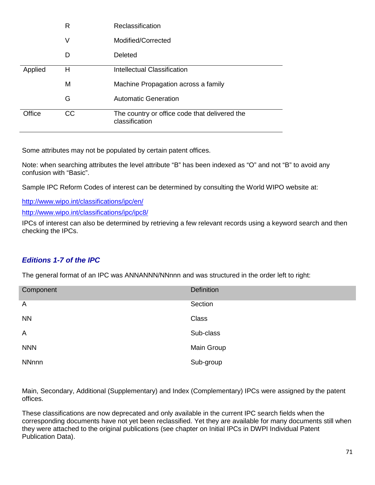|         | R  | Reclassification                                                |
|---------|----|-----------------------------------------------------------------|
|         | V  | Modified/Corrected                                              |
|         | D  | Deleted                                                         |
| Applied | н  | <b>Intellectual Classification</b>                              |
|         | M  | Machine Propagation across a family                             |
|         | G  | <b>Automatic Generation</b>                                     |
| Office  | СC | The country or office code that delivered the<br>classification |

Some attributes may not be populated by certain patent offices.

Note: when searching attributes the level attribute "B" has been indexed as "O" and not "B" to avoid any confusion with "Basic".

Sample IPC Reform Codes of interest can be determined by consulting the World WIPO website at:

<http://www.wipo.int/classifications/ipc/en/>

<http://www.wipo.int/classifications/ipc/ipc8/>

IPCs of interest can also be determined by retrieving a few relevant records using a keyword search and then checking the IPCs.

### *Editions 1-7 of the IPC*

The general format of an IPC was ANNANNN/NNnnn and was structured in the order left to right:

| Component      | <b>Definition</b> |
|----------------|-------------------|
| $\overline{A}$ | Section           |
| <b>NN</b>      | Class             |
| $\overline{A}$ | Sub-class         |
| <b>NNN</b>     | Main Group        |
| <b>NNnnn</b>   | Sub-group         |

Main, Secondary, Additional (Supplementary) and Index (Complementary) IPCs were assigned by the patent offices.

These classifications are now deprecated and only available in the current IPC search fields when the corresponding documents have not yet been reclassified. Yet they are available for many documents still when they were attached to the original publications (see chapter on Initial IPCs in DWPI Individual Patent Publication Data).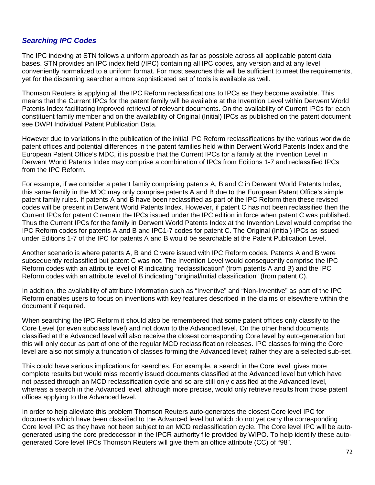#### *Searching IPC Codes*

The IPC indexing at STN follows a uniform approach as far as possible across all applicable patent data bases. STN provides an IPC index field (/IPC) containing all IPC codes, any version and at any level conveniently normalized to a uniform format. For most searches this will be sufficient to meet the requirements, yet for the discerning searcher a more sophisticated set of tools is available as well.

Thomson Reuters is applying all the IPC Reform reclassifications to IPCs as they become available. This means that the Current IPCs for the patent family will be available at the Invention Level within Derwent World Patents Index facilitating improved retrieval of relevant documents. On the availability of Current IPCs for each constituent family member and on the availability of Original (Initial) IPCs as published on the patent document see DWPI Individual Patent Publication Data.

However due to variations in the publication of the initial IPC Reform reclassifications by the various worldwide patent offices and potential differences in the patent families held within Derwent World Patents Index and the European Patent Office's MDC, it is possible that the Current IPCs for a family at the Invention Level in Derwent World Patents Index may comprise a combination of IPCs from Editions 1-7 and reclassified IPCs from the IPC Reform.

For example, if we consider a patent family comprising patents A, B and C in Derwent World Patents Index, this same family in the MDC may only comprise patents A and B due to the European Patent Office's simple patent family rules. If patents A and B have been reclassified as part of the IPC Reform then these revised codes will be present in Derwent World Patents Index. However, if patent C has not been reclassified then the Current IPCs for patent C remain the IPCs issued under the IPC edition in force when patent C was published. Thus the Current IPCs for the family in Derwent World Patents Index at the Invention Level would comprise the IPC Reform codes for patents A and B and IPC1-7 codes for patent C. The Original (Initial) IPCs as issued under Editions 1-7 of the IPC for patents A and B would be searchable at the Patent Publication Level.

Another scenario is where patents A, B and C were issued with IPC Reform codes. Patents A and B were subsequently reclassified but patent C was not. The Invention Level would consequently comprise the IPC Reform codes with an attribute level of R indicating "reclassification" (from patents A and B) and the IPC Reform codes with an attribute level of B indicating "original/initial classification" (from patent C).

In addition, the availability of attribute information such as "Inventive" and "Non-Inventive" as part of the IPC Reform enables users to focus on inventions with key features described in the claims or elsewhere within the document if required.

When searching the IPC Reform it should also be remembered that some patent offices only classify to the Core Level (or even subclass level) and not down to the Advanced level. On the other hand documents classified at the Advanced level will also receive the closest corresponding Core level by auto-generation but this will only occur as part of one of the regular MCD reclassification releases. IPC classes forming the Core level are also not simply a truncation of classes forming the Advanced level; rather they are a selected sub-set.

This could have serious implications for searches. For example, a search in the Core level gives more complete results but would miss recently issued documents classified at the Advanced level but which have not passed through an MCD reclassification cycle and so are still only classified at the Advanced level, whereas a search in the Advanced level, although more precise, would only retrieve results from those patent offices applying to the Advanced level.

In order to help alleviate this problem Thomson Reuters auto-generates the closest Core level IPC for documents which have been classified to the Advanced level but which do not yet carry the corresponding Core level IPC as they have not been subject to an MCD reclassification cycle. The Core level IPC will be autogenerated using the core predecessor in the IPCR authority file provided by WIPO. To help identify these autogenerated Core level IPCs Thomson Reuters will give them an office attribute (CC) of "98".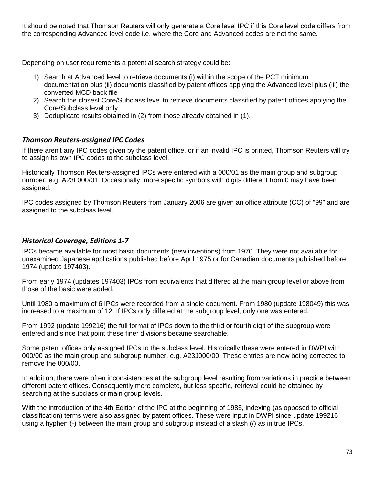It should be noted that Thomson Reuters will only generate a Core level IPC if this Core level code differs from the corresponding Advanced level code i.e. where the Core and Advanced codes are not the same.

Depending on user requirements a potential search strategy could be:

- 1) Search at Advanced level to retrieve documents (i) within the scope of the PCT minimum documentation plus (ii) documents classified by patent offices applying the Advanced level plus (iii) the converted MCD back file
- 2) Search the closest Core/Subclass level to retrieve documents classified by patent offices applying the Core/Subclass level only
- 3) Deduplicate results obtained in (2) from those already obtained in (1).

### *Thomson Reuters-assigned IPC Codes*

If there aren't any IPC codes given by the patent office, or if an invalid IPC is printed, Thomson Reuters will try to assign its own IPC codes to the subclass level.

Historically Thomson Reuters-assigned IPCs were entered with a 000/01 as the main group and subgroup number, e.g. A23L000/01. Occasionally, more specific symbols with digits different from 0 may have been assigned.

IPC codes assigned by Thomson Reuters from January 2006 are given an office attribute (CC) of "99" and are assigned to the subclass level.

### *Historical Coverage, Editions 1-7*

IPCs became available for most basic documents (new inventions) from 1970. They were not available for unexamined Japanese applications published before April 1975 or for Canadian documents published before 1974 (update 197403).

From early 1974 (updates 197403) IPCs from equivalents that differed at the main group level or above from those of the basic were added.

Until 1980 a maximum of 6 IPCs were recorded from a single document. From 1980 (update 198049) this was increased to a maximum of 12. If IPCs only differed at the subgroup level, only one was entered.

From 1992 (update 199216) the full format of IPCs down to the third or fourth digit of the subgroup were entered and since that point these finer divisions became searchable.

Some patent offices only assigned IPCs to the subclass level. Historically these were entered in DWPI with 000/00 as the main group and subgroup number, e.g. A23J000/00. These entries are now being corrected to remove the 000/00.

In addition, there were often inconsistencies at the subgroup level resulting from variations in practice between different patent offices. Consequently more complete, but less specific, retrieval could be obtained by searching at the subclass or main group levels.

With the introduction of the 4th Edition of the IPC at the beginning of 1985, indexing (as opposed to official classification) terms were also assigned by patent offices. These were input in DWPI since update 199216 using a hyphen (-) between the main group and subgroup instead of a slash (/) as in true IPCs.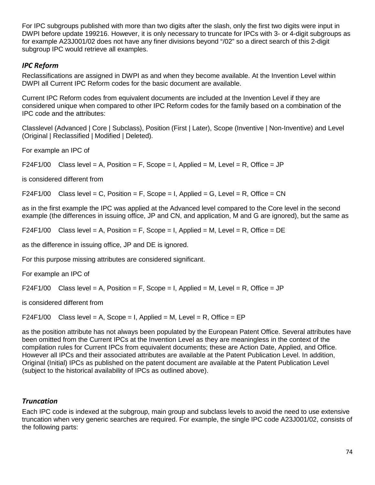For IPC subgroups published with more than two digits after the slash, only the first two digits were input in DWPI before update 199216. However, it is only necessary to truncate for IPCs with 3- or 4-digit subgroups as for example A23J001/02 does not have any finer divisions beyond "/02" so a direct search of this 2-digit subgroup IPC would retrieve all examples.

## *IPC Reform*

Reclassifications are assigned in DWPI as and when they become available. At the Invention Level within DWPI all Current IPC Reform codes for the basic document are available.

Current IPC Reform codes from equivalent documents are included at the Invention Level if they are considered unique when compared to other IPC Reform codes for the family based on a combination of the IPC code and the attributes:

Classlevel (Advanced | Core | Subclass), Position (First | Later), Scope (Inventive | Non-Inventive) and Level (Original | Reclassified | Modified | Deleted).

For example an IPC of

F24F1/00 Class level = A, Position = F, Scope = I, Applied = M, Level = R, Office = JP

is considered different from

 $F24F1/00$  Class level = C, Position = F, Scope = I, Applied = G, Level = R, Office = CN

as in the first example the IPC was applied at the Advanced level compared to the Core level in the second example (the differences in issuing office, JP and CN, and application, M and G are ignored), but the same as

F24F1/00 Class level = A, Position = F, Scope = I, Applied = M, Level = R, Office = DE

as the difference in issuing office, JP and DE is ignored.

For this purpose missing attributes are considered significant.

For example an IPC of

 $F24F1/00$  Class level = A, Position = F, Scope = I, Applied = M, Level = R, Office = JP

is considered different from

 $F24F1/00$  Class level = A, Scope = I, Applied = M, Level = R, Office = EP

as the position attribute has not always been populated by the European Patent Office. Several attributes have been omitted from the Current IPCs at the Invention Level as they are meaningless in the context of the compilation rules for Current IPCs from equivalent documents; these are Action Date, Applied, and Office. However all IPCs and their associated attributes are available at the Patent Publication Level. In addition, Original (Initial) IPCs as published on the patent document are available at the Patent Publication Level (subject to the historical availability of IPCs as outlined above).

### *Truncation*

Each IPC code is indexed at the subgroup, main group and subclass levels to avoid the need to use extensive truncation when very generic searches are required. For example, the single IPC code A23J001/02, consists of the following parts: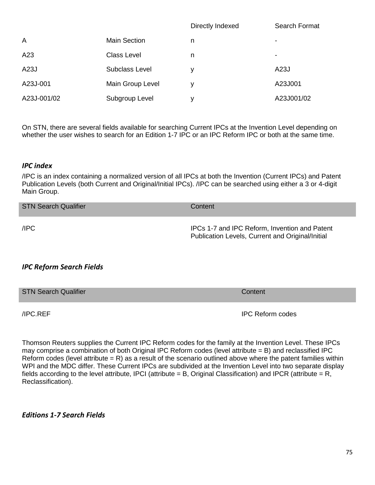|                |                     | Directly Indexed | Search Format |
|----------------|---------------------|------------------|---------------|
| $\overline{A}$ | <b>Main Section</b> | n                | ۰             |
| A23            | <b>Class Level</b>  | n                | -             |
| A23J           | Subclass Level      | у                | A23J          |
| A23J-001       | Main Group Level    | ۷                | A23J001       |
| A23J-001/02    | Subgroup Level      | v                | A23J001/02    |

On STN, there are several fields available for searching Current IPCs at the Invention Level depending on whether the user wishes to search for an Edition 1-7 IPC or an IPC Reform IPC or both at the same time.

#### *IPC index*

/IPC is an index containing a normalized version of all IPCs at both the Invention (Current IPCs) and Patent Publication Levels (both Current and Original/Initial IPCs). /IPC can be searched using either a 3 or 4-digit Main Group.

| <b>STN Search Qualifier</b> | Content                                                                                           |
|-----------------------------|---------------------------------------------------------------------------------------------------|
| /IPC                        | IPCs 1-7 and IPC Reform, Invention and Patent<br>Publication Levels, Current and Original/Initial |

### *IPC Reform Search Fields*

| <b>STN Search Qualifier</b> | Content |
|-----------------------------|---------|
|                             |         |

/IPC.REF IPC Reform codes

Thomson Reuters supplies the Current IPC Reform codes for the family at the Invention Level. These IPCs may comprise a combination of both Original IPC Reform codes (level attribute = B) and reclassified IPC Reform codes (level attribute  $= R$ ) as a result of the scenario outlined above where the patent families within WPI and the MDC differ. These Current IPCs are subdivided at the Invention Level into two separate display fields according to the level attribute, IPCI (attribute = B, Original Classification) and IPCR (attribute = R, Reclassification).

#### *Editions 1-7 Search Fields*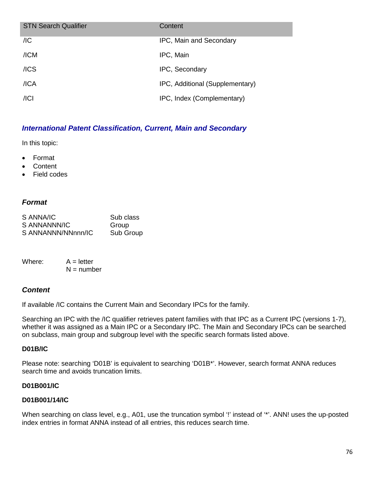| <b>STN Search Qualifier</b> | Content                         |
|-----------------------------|---------------------------------|
| /IC                         | IPC, Main and Secondary         |
| /ICM                        | IPC, Main                       |
| $/$ ICS                     | IPC, Secondary                  |
| /ICA                        | IPC, Additional (Supplementary) |
| / Cl                        | IPC, Index (Complementary)      |

### *International Patent Classification, Current, Main and Secondary*

In this topic:

- Format
- **Content**
- Field codes

### *Format*

| S ANNA/IC          | Sub class |
|--------------------|-----------|
| S ANNANNN/IC       | Group     |
| S ANNANNN/NNnnn/IC | Sub Group |

| Where: | $A = letter$ |
|--------|--------------|
|        | $N =$ number |

### *Content*

If available /IC contains the Current Main and Secondary IPCs for the family.

Searching an IPC with the /IC qualifier retrieves patent families with that IPC as a Current IPC (versions 1-7), whether it was assigned as a Main IPC or a Secondary IPC. The Main and Secondary IPCs can be searched on subclass, main group and subgroup level with the specific search formats listed above.

#### **D01B/IC**

Please note: searching 'D01B' is equivalent to searching 'D01B\*'. However, search format ANNA reduces search time and avoids truncation limits.

#### **D01B001/IC**

#### **D01B001/14/IC**

When searching on class level, e.g., A01, use the truncation symbol '!' instead of ".'. ANN! uses the up-posted index entries in format ANNA instead of all entries, this reduces search time.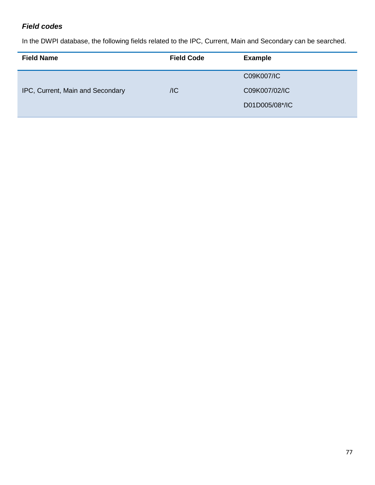# *Field codes*

In the DWPI database, the following fields related to the IPC, Current, Main and Secondary can be searched.

| <b>Field Name</b>                | <b>Field Code</b> | <b>Example</b> |
|----------------------------------|-------------------|----------------|
|                                  |                   | C09K007/IC     |
| IPC, Current, Main and Secondary | /IC               | C09K007/02/IC  |
|                                  |                   | D01D005/08*/IC |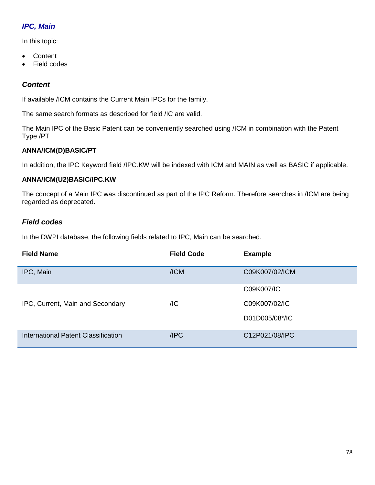# *IPC, Main*

In this topic:

- Content
- Field codes

## *Content*

If available /ICM contains the Current Main IPCs for the family.

The same search formats as described for field /IC are valid.

The Main IPC of the Basic Patent can be conveniently searched using /ICM in combination with the Patent Type /PT

### **ANNA/ICM(D)BASIC/PT**

In addition, the IPC Keyword field /IPC.KW will be indexed with ICM and MAIN as well as BASIC if applicable.

### **ANNA/ICM(U2)BASIC/IPC.KW**

The concept of a Main IPC was discontinued as part of the IPC Reform. Therefore searches in /ICM are being regarded as deprecated.

### *Field codes*

In the DWPI database, the following fields related to IPC, Main can be searched.

| <b>Field Name</b>                   | <b>Field Code</b> | <b>Example</b> |
|-------------------------------------|-------------------|----------------|
| IPC, Main                           | /ICM              | C09K007/02/ICM |
|                                     |                   | C09K007/IC     |
| IPC, Current, Main and Secondary    | /IC               | C09K007/02/IC  |
|                                     |                   | D01D005/08*/IC |
| International Patent Classification | /IPC              | C12P021/08/IPC |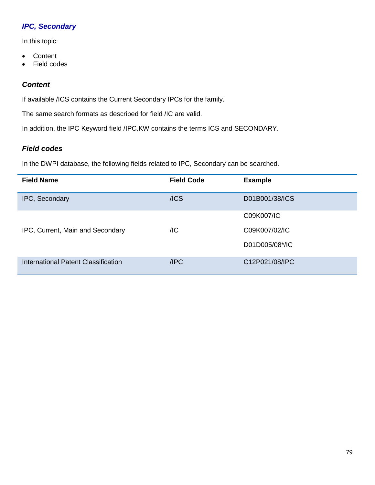# *IPC, Secondary*

In this topic:

- Content
- Field codes

## *Content*

If available /ICS contains the Current Secondary IPCs for the family.

The same search formats as described for field /IC are valid.

In addition, the IPC Keyword field /IPC.KW contains the terms ICS and SECONDARY.

### *Field codes*

Ļ

In the DWPI database, the following fields related to IPC, Secondary can be searched.

| <b>Field Name</b>                   | <b>Field Code</b> | <b>Example</b> |
|-------------------------------------|-------------------|----------------|
| IPC, Secondary                      | /ICS              | D01B001/38/ICS |
|                                     |                   | C09K007/IC     |
| IPC, Current, Main and Secondary    | /IC               | C09K007/02/IC  |
|                                     |                   | D01D005/08*/IC |
| International Patent Classification | /IPC              | C12P021/08/IPC |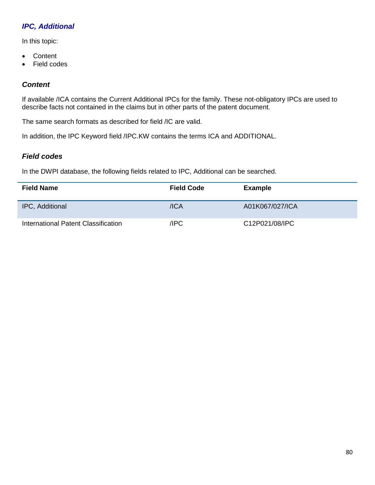# *IPC, Additional*

In this topic:

- Content
- Field codes

## *Content*

If available /ICA contains the Current Additional IPCs for the family. These not-obligatory IPCs are used to describe facts not contained in the claims but in other parts of the patent document.

The same search formats as described for field /IC are valid.

In addition, the IPC Keyword field /IPC.KW contains the terms ICA and ADDITIONAL.

## *Field codes*

In the DWPI database, the following fields related to IPC, Additional can be searched.

| <b>Field Name</b>                   | <b>Field Code</b> | <b>Example</b>  |
|-------------------------------------|-------------------|-----------------|
| IPC, Additional                     | $/$ ICA           | A01K067/027/ICA |
| International Patent Classification | /IPC              | C12P021/08/IPC  |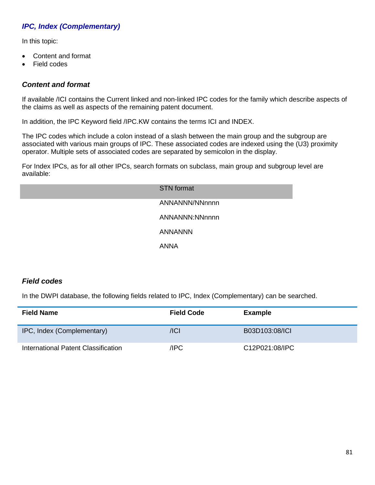# *IPC, Index (Complementary)*

In this topic:

- Content and format
- Field codes

## *Content and format*

If available /ICI contains the Current linked and non-linked IPC codes for the family which describe aspects of the claims as well as aspects of the remaining patent document.

In addition, the IPC Keyword field /IPC.KW contains the terms ICI and INDEX.

The IPC codes which include a colon instead of a slash between the main group and the subgroup are associated with various main groups of IPC. These associated codes are indexed using the (U3) proximity operator. Multiple sets of associated codes are separated by semicolon in the display.

For Index IPCs, as for all other IPCs, search formats on subclass, main group and subgroup level are available:

| <b>STN</b> format |
|-------------------|
| ANNANNN/NNnnnn    |
| ANNANNN:NNnnnn    |
| <b>ANNANNN</b>    |
| <b>ANNA</b>       |

## *Field codes*

In the DWPI database, the following fields related to IPC, Index (Complementary) can be searched.

| <b>Field Name</b>                   | <b>Field Code</b> | <b>Example</b> |
|-------------------------------------|-------------------|----------------|
| IPC, Index (Complementary)          | /ICI              | B03D103:08/ICI |
| International Patent Classification | /IPC              | C12P021:08/IPC |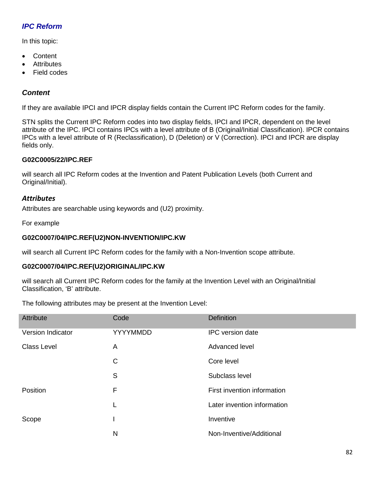# *IPC Reform*

In this topic:

- Content
- **Attributes**
- Field codes

### *Content*

If they are available IPCI and IPCR display fields contain the Current IPC Reform codes for the family.

STN splits the Current IPC Reform codes into two display fields, IPCI and IPCR, dependent on the level attribute of the IPC. IPCI contains IPCs with a level attribute of B (Original/Initial Classification). IPCR contains IPCs with a level attribute of R (Reclassification), D (Deletion) or V (Correction). IPCI and IPCR are display fields only.

#### **G02C0005/22/IPC.REF**

will search all IPC Reform codes at the Invention and Patent Publication Levels (both Current and Original/Initial).

#### *Attributes*

Attributes are searchable using keywords and (U2) proximity.

For example

#### **G02C0007/04/IPC.REF(U2)NON-INVENTION/IPC.KW**

will search all Current IPC Reform codes for the family with a Non-Invention scope attribute.

#### **G02C0007/04/IPC.REF(U2)ORIGINAL/IPC.KW**

will search all Current IPC Reform codes for the family at the Invention Level with an Original/Initial Classification, 'B' attribute.

The following attributes may be present at the Invention Level:

| Attribute                | Code     | <b>Definition</b>           |
|--------------------------|----------|-----------------------------|
| <b>Version Indicator</b> | YYYYMMDD | <b>IPC</b> version date     |
| <b>Class Level</b>       | A        | Advanced level              |
|                          | C        | Core level                  |
|                          | S        | Subclass level              |
| Position                 | F        | First invention information |
|                          | L        | Later invention information |
| Scope                    |          | Inventive                   |
|                          | N        | Non-Inventive/Additional    |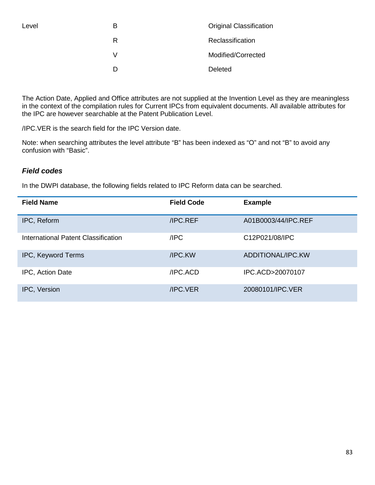|   | <b>Original Classification</b> |
|---|--------------------------------|
| R | Reclassification               |
| V | Modified/Corrected             |
|   | Deleted                        |

The Action Date, Applied and Office attributes are not supplied at the Invention Level as they are meaningless in the context of the compilation rules for Current IPCs from equivalent documents. All available attributes for the IPC are however searchable at the Patent Publication Level.

/IPC.VER is the search field for the IPC Version date.

Note: when searching attributes the level attribute "B" has been indexed as "O" and not "B" to avoid any confusion with "Basic".

### *Field codes*

In the DWPI database, the following fields related to IPC Reform data can be searched.

| <b>Field Name</b>                          | <b>Field Code</b> | <b>Example</b>      |
|--------------------------------------------|-------------------|---------------------|
| IPC, Reform                                | /IPC.REF          | A01B0003/44/IPC.REF |
| <b>International Patent Classification</b> | /IPC              | C12P021/08/IPC      |
| <b>IPC, Keyword Terms</b>                  | /IPC.KW           | ADDITIONAL/IPC.KW   |
| IPC, Action Date                           | /IPC.ACD          | IPC.ACD>20070107    |
| IPC, Version                               | /IPC.VER          | 20080101/IPC.VER    |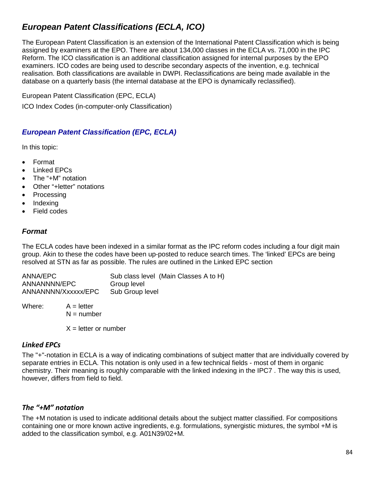# *European Patent Classifications (ECLA, ICO)*

The European Patent Classification is an extension of the International Patent Classification which is being assigned by examiners at the EPO. There are about 134,000 classes in the ECLA vs. 71,000 in the IPC Reform. The ICO classification is an additional classification assigned for internal purposes by the EPO examiners. ICO codes are being used to describe secondary aspects of the invention, e.g. technical realisation. Both classifications are available in DWPI. Reclassifications are being made available in the database on a quarterly basis (the internal database at the EPO is dynamically reclassified).

European Patent Classification (EPC, ECLA) ICO Index Codes (in-computer-only Classification)

## *European Patent Classification (EPC, ECLA)*

In this topic:

- Format
- Linked EPCs
- The "+M" notation
- Other "+letter" notations
- **Processing**
- Indexing
- **Field codes**

#### *Format*

The ECLA codes have been indexed in a similar format as the IPC reform codes including a four digit main group. Akin to these the codes have been up-posted to reduce search times. The 'linked' EPCs are being resolved at STN as far as possible. The rules are outlined in the Linked EPC section

ANNA/EPC Sub class level (Main Classes A to H) ANNANNNN/EPC Group level ANNANNNN/Xxxxxx/EPC Sub Group level

Where:  $A =$  letter  $N =$  number

 $X =$  letter or number

### *Linked EPCs*

The "+"-notation in ECLA is a way of indicating combinations of subject matter that are individually covered by separate entries in ECLA. This notation is only used in a few technical fields - most of them in organic chemistry. Their meaning is roughly comparable with the linked indexing in the IPC7 . The way this is used, however, differs from field to field.

### *The "+M" notation*

The +M notation is used to indicate additional details about the subject matter classified. For compositions containing one or more known active ingredients, e.g. formulations, synergistic mixtures, the symbol +M is added to the classification symbol, e.g. A01N39/02+M.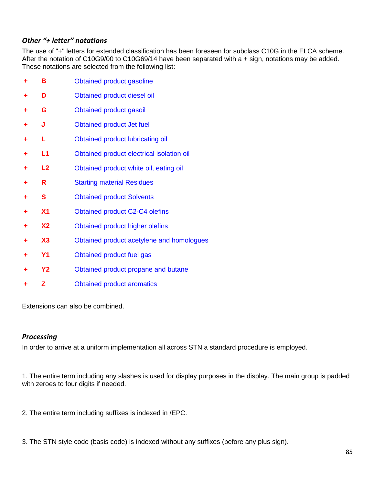### *Other "+ letter" notations*

The use of "+" letters for extended classification has been foreseen for subclass C10G in the ELCA scheme. After the notation of C10G9/00 to C10G69/14 have been separated with a + sign, notations may be added. These notations are selected from the following list:

|   | Β              | Obtained product gasoline                 |
|---|----------------|-------------------------------------------|
|   | D              | Obtained product diesel oil               |
|   | G              | <b>Obtained product gasoil</b>            |
|   | J              | <b>Obtained product Jet fuel</b>          |
|   | L              | Obtained product lubricating oil          |
| ٠ | L1             | Obtained product electrical isolation oil |
| ٠ | L2             | Obtained product white oil, eating oil    |
|   | R              | <b>Starting material Residues</b>         |
|   | S              | <b>Obtained product Solvents</b>          |
|   | X <sub>1</sub> | <b>Obtained product C2-C4 olefins</b>     |
|   | <b>X2</b>      | Obtained product higher olefins           |
|   | X3             | Obtained product acetylene and homologues |
| ٠ | <b>Y1</b>      | Obtained product fuel gas                 |
|   | <b>Y2</b>      | Obtained product propane and butane       |
|   | Z              | <b>Obtained product aromatics</b>         |

Extensions can also be combined.

### *Processing*

In order to arrive at a uniform implementation all across STN a standard procedure is employed.

1. The entire term including any slashes is used for display purposes in the display. The main group is padded with zeroes to four digits if needed.

- 2. The entire term including suffixes is indexed in /EPC.
- 3. The STN style code (basis code) is indexed without any suffixes (before any plus sign).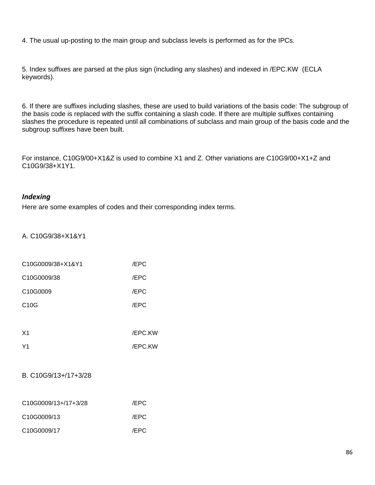4. The usual up-posting to the main group and subclass levels is performed as for the IPCs.

5. Index suffixes are parsed at the plus sign (including any slashes) and indexed in /EPC.KW (ECLA keywords).

6. If there are suffixes including slashes, these are used to build variations of the basis code: The subgroup of the basis code is replaced with the suffix containing a slash code. If there are multiple suffixes containing slashes the procedure is repeated until all combinations of subclass and main group of the basis code and the subgroup suffixes have been built.

For instance, C10G9/00+X1&Z is used to combine X1 and Z. Other variations are C10G9/00+X1+Z and C10G9/38+X1Y1.

#### *Indexing*

Here are some examples of codes and their corresponding index terms.

A. C10G9/38+X1&Y1

| C10G0009/38+X1&Y1    | /EPC    |
|----------------------|---------|
| C10G0009/38          | /EPC    |
| C10G0009             | /EPC    |
| C <sub>10</sub> G    | /EPC    |
|                      |         |
| X <sub>1</sub>       | /EPC.KW |
| Y <sub>1</sub>       | /EPC.KW |
|                      |         |
| B. C10G9/13+/17+3/28 |         |
|                      |         |

| C10G0009/13+/17+3/28                  | /EPC |
|---------------------------------------|------|
| C <sub>10</sub> G <sub>0009</sub> /13 | /EPC |
| C <sub>10</sub> G <sub>0009</sub> /17 | /EPC |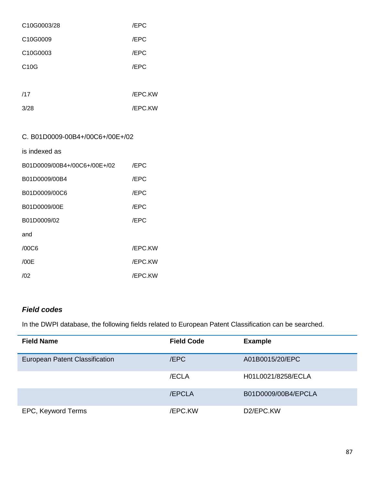| C10G0003/28 | /EPC    |
|-------------|---------|
| C10G0009    | /EPC    |
| C10G0003    | /EPC    |
| C10G        | /EPC    |
|             |         |
| /17         | /EPC.KW |
| 3/28        | /EPC.KW |

## C. B01D0009-00B4+/00C6+/00E+/02

is indexed as

| B01D0009/00B4+/00C6+/00E+/02 | /EPC           |
|------------------------------|----------------|
| B01D0009/00B4                | /EPC           |
| B01D0009/00C6                | /EPC           |
| B01D0009/00E                 | /EPC           |
| B01D0009/02                  | /EPC           |
| and                          |                |
| /00C6                        | <b>/EPC.KW</b> |
| /00E                         | <b>/EPC.KW</b> |
| /02                          | <b>/EPC.KW</b> |

## *Field codes*

In the DWPI database, the following fields related to European Patent Classification can be searched.

| <b>Field Name</b>              | <b>Field Code</b> | <b>Example</b>         |
|--------------------------------|-------------------|------------------------|
| European Patent Classification | /EPC              | A01B0015/20/EPC        |
|                                | /ECLA             | H01L0021/8258/ECLA     |
|                                | <b>/EPCLA</b>     | B01D0009/00B4/EPCLA    |
| EPC, Keyword Terms             | <b>/EPC.KW</b>    | D <sub>2</sub> /EPC.KW |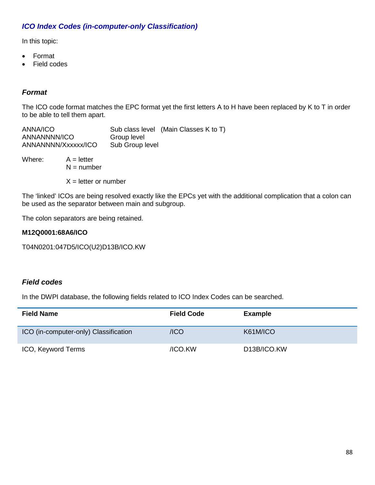## *ICO Index Codes (in-computer-only Classification)*

In this topic:

- Format
- Field codes

### *Format*

The ICO code format matches the EPC format yet the first letters A to H have been replaced by K to T in order to be able to tell them apart.

| ANNA/ICO            |                 | Sub class level (Main Classes K to T) |
|---------------------|-----------------|---------------------------------------|
| ANNANNNN/ICO        | Group level     |                                       |
| ANNANNNN/Xxxxxx/ICO | Sub Group level |                                       |

Where:  $A =$  letter  $N =$  number

 $X =$  letter or number

The 'linked' ICOs are being resolved exactly like the EPCs yet with the additional complication that a colon can be used as the separator between main and subgroup.

The colon separators are being retained.

#### **M12Q0001:68A6/ICO**

T04N0201:047D5/ICO(U2)D13B/ICO.KW

### *Field codes*

In the DWPI database, the following fields related to ICO Index Codes can be searched.

| <b>Field Name</b>                     | <b>Field Code</b> | <b>Example</b>           |
|---------------------------------------|-------------------|--------------------------|
| ICO (in-computer-only) Classification | /ICO              | K61M/ICO                 |
| ICO, Keyword Terms                    | /ICO.KW           | D <sub>13</sub> B/ICO.KW |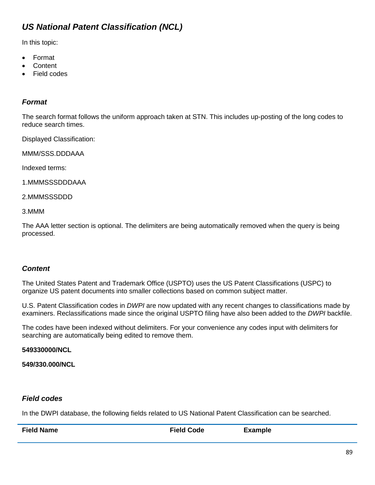# *US National Patent Classification (NCL)*

In this topic:

- Format
- **Content**
- **Field codes**

## *Format*

The search format follows the uniform approach taken at STN. This includes up-posting of the long codes to reduce search times.

Displayed Classification:

MMM/SSS.DDDAAA

Indexed terms:

1.MMMSSSDDDAAA

2.MMMSSSDDD

3.MMM

The AAA letter section is optional. The delimiters are being automatically removed when the query is being processed.

## *Content*

The United States Patent and Trademark Office (USPTO) uses the US Patent Classifications (USPC) to organize US patent documents into smaller collections based on common subject matter.

U.S. Patent Classification codes in *DWPI* are now updated with any recent changes to classifications made by examiners. Reclassifications made since the original USPTO filing have also been added to the *DWPI* backfile.

The codes have been indexed without delimiters. For your convenience any codes input with delimiters for searching are automatically being edited to remove them.

### **549330000/NCL**

**549/330.000/NCL**

## *Field codes*

In the DWPI database, the following fields related to US National Patent Classification can be searched.

**Field Name Field Code Example**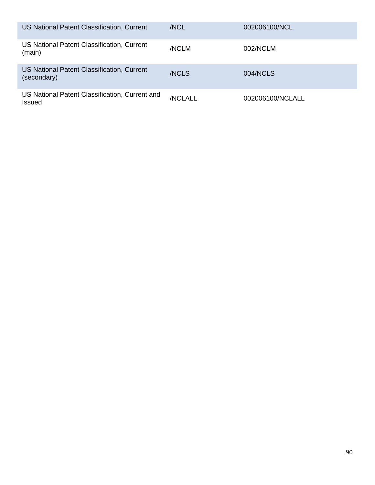| US National Patent Classification, Current                      | /NCL    | 002006100/NCL    |
|-----------------------------------------------------------------|---------|------------------|
| US National Patent Classification, Current<br>(main)            | /NCLM   | 002/NCLM         |
| US National Patent Classification, Current<br>(secondary)       | /NCLS   | 004/NCLS         |
| US National Patent Classification, Current and<br><b>Issued</b> | /NCLALL | 002006100/NCLALL |

г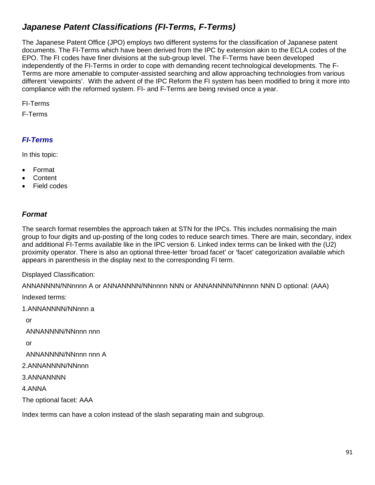# *Japanese Patent Classifications (FI-Terms, F-Terms)*

The Japanese Patent Office (JPO) employs two different systems for the classification of Japanese patent documents. The FI-Terms which have been derived from the IPC by extension akin to the ECLA codes of the EPO. The FI codes have finer divisions at the sub-group level. The F-Terms have been developed independently of the FI-Terms in order to cope with demanding recent technological developments. The F-Terms are more amenable to computer-assisted searching and allow approaching technologies from various different 'viewpoints'. With the advent of the IPC Reform the FI system has been modified to bring it more into compliance with the reformed system. FI- and F-Terms are being revised once a year.

FI-Terms

F-Terms

# *FI-Terms*

In this topic:

- Format
- **Content**
- Field codes

## *Format*

The search format resembles the approach taken at STN for the IPCs. This includes normalising the main group to four digits and up-posting of the long codes to reduce search times. There are main, secondary, index and additional FI-Terms available like in the IPC version 6. Linked index terms can be linked with the (U2) proximity operator. There is also an optional three-letter 'broad facet' or 'facet' categorization available which appears in parenthesis in the display next to the corresponding FI term.

Displayed Classification:

ANNANNNN/NNnnnn A or ANNANNNN/NNnnnn NNN or ANNANNNN/NNnnnn NNN D optional: (AAA)

Indexed terms:

1.ANNANNNN/NNnnn a

or

ANNANNNN/NNnnn nnn

or

ANNANNNN/NNnnn nnn A

2.ANNANNNN/NNnnn

3.ANNANNNN

4.ANNA

The optional facet: AAA

Index terms can have a colon instead of the slash separating main and subgroup.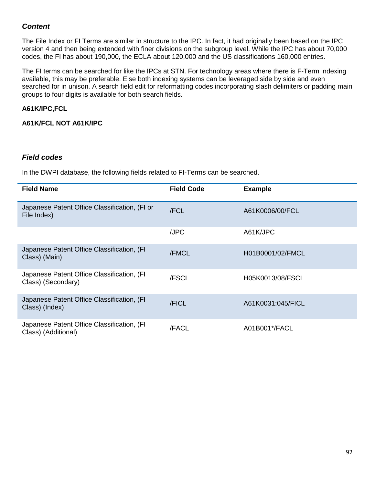## *Content*

The File Index or FI Terms are similar in structure to the IPC. In fact, it had originally been based on the IPC version 4 and then being extended with finer divisions on the subgroup level. While the IPC has about 70,000 codes, the FI has about 190,000, the ECLA about 120,000 and the US classifications 160,000 entries.

The FI terms can be searched for like the IPCs at STN. For technology areas where there is F-Term indexing available, this may be preferable. Else both indexing systems can be leveraged side by side and even searched for in unison. A search field edit for reformatting codes incorporating slash delimiters or padding main groups to four digits is available for both search fields.

#### **A61K/IPC,FCL**

**A61K/FCL NOT A61K/IPC**

#### *Field codes*

In the DWPI database, the following fields related to FI-Terms can be searched.

| <b>Field Name</b>                                                 | <b>Field Code</b> | <b>Example</b>    |
|-------------------------------------------------------------------|-------------------|-------------------|
| Japanese Patent Office Classification, (FI or<br>File Index)      | /FCL              | A61K0006/00/FCL   |
|                                                                   | /JPC              | A61K/JPC          |
| Japanese Patent Office Classification, (FI<br>Class) (Main)       | /FMCL             | H01B0001/02/FMCL  |
| Japanese Patent Office Classification, (FI<br>Class) (Secondary)  | /FSCL             | H05K0013/08/FSCL  |
| Japanese Patent Office Classification, (FI<br>Class) (Index)      | /FICL             | A61K0031:045/FICL |
| Japanese Patent Office Classification, (FI<br>Class) (Additional) | /FACL             | A01B001*/FACL     |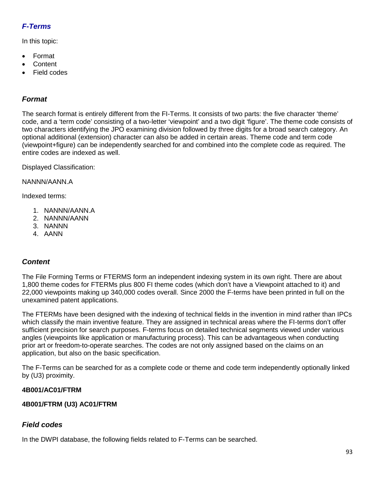# *F-Terms*

In this topic:

- Format
- **Content**
- Field codes

## *Format*

The search format is entirely different from the FI-Terms. It consists of two parts: the five character 'theme' code, and a 'term code' consisting of a two-letter 'viewpoint' and a two digit 'figure'. The theme code consists of two characters identifying the JPO examining division followed by three digits for a broad search category. An optional additional (extension) character can also be added in certain areas. Theme code and term code (viewpoint+figure) can be independently searched for and combined into the complete code as required. The entire codes are indexed as well.

Displayed Classification:

NANNN/AANN.A

Indexed terms:

- 1. NANNN/AANN.A
- 2. NANNN/AANN
- 3. NANNN
- 4. AANN

# *Content*

The File Forming Terms or FTERMS form an independent indexing system in its own right. There are about 1,800 theme codes for FTERMs plus 800 FI theme codes (which don't have a Viewpoint attached to it) and 22,000 viewpoints making up 340,000 codes overall. Since 2000 the F-terms have been printed in full on the unexamined patent applications.

The FTERMs have been designed with the indexing of technical fields in the invention in mind rather than IPCs which classify the main inventive feature. They are assigned in technical areas where the FI-terms don't offer sufficient precision for search purposes. F-terms focus on detailed technical segments viewed under various angles (viewpoints like application or manufacturing process). This can be advantageous when conducting prior art or freedom-to-operate searches. The codes are not only assigned based on the claims on an application, but also on the basic specification.

The F-Terms can be searched for as a complete code or theme and code term independently optionally linked by (U3) proximity.

### **4B001/AC01/FTRM**

### **4B001/FTRM (U3) AC01/FTRM**

## *Field codes*

In the DWPI database, the following fields related to F-Terms can be searched.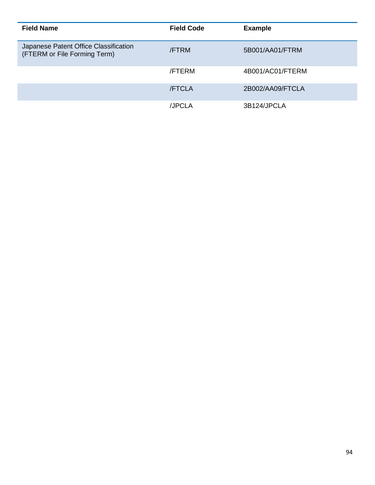| <b>Field Name</b>                                                     | <b>Field Code</b> | <b>Example</b>   |
|-----------------------------------------------------------------------|-------------------|------------------|
| Japanese Patent Office Classification<br>(FTERM or File Forming Term) | <b>/FTRM</b>      | 5B001/AA01/FTRM  |
|                                                                       | <b>/FTERM</b>     | 4B001/AC01/FTERM |
|                                                                       | <b>/FTCLA</b>     | 2B002/AA09/FTCLA |
|                                                                       | /JPCLA            | 3B124/JPCLA      |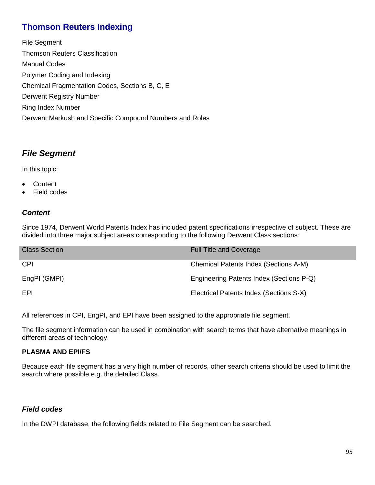# **Thomson Reuters Indexing**

File Segment Thomson Reuters Classification Manual Codes Polymer Coding and Indexing Chemical Fragmentation Codes, Sections B, C, E Derwent Registry Number Ring Index Number Derwent Markush and Specific Compound Numbers and Roles

# *File Segment*

In this topic:

- Content
- Field codes

## *Content*

Since 1974, Derwent World Patents Index has included patent specifications irrespective of subject. These are divided into three major subject areas corresponding to the following Derwent Class sections:

| <b>Class Section</b> | <b>Full Title and Coverage</b>           |
|----------------------|------------------------------------------|
| <b>CPI</b>           | Chemical Patents Index (Sections A-M)    |
| EngPI (GMPI)         | Engineering Patents Index (Sections P-Q) |
| EPI                  | Electrical Patents Index (Sections S-X)  |

All references in CPI, EngPI, and EPI have been assigned to the appropriate file segment.

The file segment information can be used in combination with search terms that have alternative meanings in different areas of technology.

### **PLASMA AND EPI/FS**

Because each file segment has a very high number of records, other search criteria should be used to limit the search where possible e.g. the detailed Class.

## *Field codes*

In the DWPI database, the following fields related to File Segment can be searched.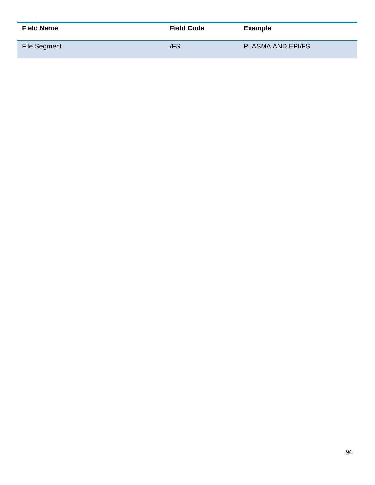| <b>Field Name</b>   | <b>Field Code</b> | <b>Example</b>           |
|---------------------|-------------------|--------------------------|
| <b>File Segment</b> | /FS               | <b>PLASMA AND EPI/FS</b> |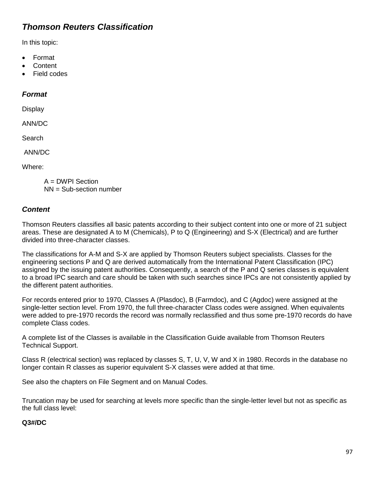# *Thomson Reuters Classification*

In this topic:

- Format
- Content
- Field codes

#### *Format*

Display

ANN/DC

**Search** 

ANN/DC

Where:

A = DWPI Section NN = Sub-section number

### *Content*

Thomson Reuters classifies all basic patents according to their subject content into one or more of 21 subject areas. These are designated A to M (Chemicals), P to Q (Engineering) and S-X (Electrical) and are further divided into three-character classes.

The classifications for A-M and S-X are applied by Thomson Reuters subject specialists. Classes for the engineering sections P and Q are derived automatically from the International Patent Classification (IPC) assigned by the issuing patent authorities. Consequently, a search of the P and Q series classes is equivalent to a broad IPC search and care should be taken with such searches since IPCs are not consistently applied by the different patent authorities.

For records entered prior to 1970, Classes A (Plasdoc), B (Farmdoc), and C (Agdoc) were assigned at the single-letter section level. From 1970, the full three-character Class codes were assigned. When equivalents were added to pre-1970 records the record was normally reclassified and thus some pre-1970 records do have complete Class codes.

A complete list of the Classes is available in the Classification Guide available from Thomson Reuters Technical Support.

Class R (electrical section) was replaced by classes S, T, U, V, W and X in 1980. Records in the database no longer contain R classes as superior equivalent S-X classes were added at that time.

See also the chapters on File Segment and on Manual Codes.

Truncation may be used for searching at levels more specific than the single-letter level but not as specific as the full class level:

### **Q3#/DC**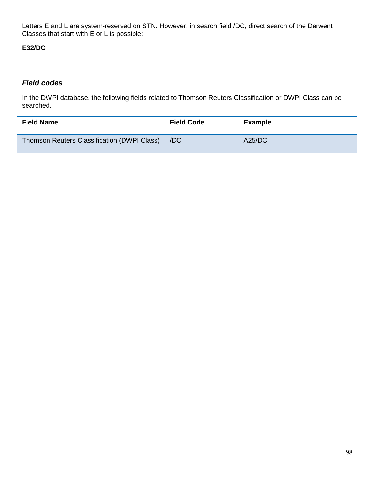Letters E and L are system-reserved on STN. However, in search field /DC, direct search of the Derwent Classes that start with E or L is possible:

### **E32/DC**

#### *Field codes*

In the DWPI database, the following fields related to Thomson Reuters Classification or DWPI Class can be searched.

| <b>Field Name</b>                           | <b>Field Code</b> | Example       |
|---------------------------------------------|-------------------|---------------|
| Thomson Reuters Classification (DWPI Class) | /DC               | <b>A25/DC</b> |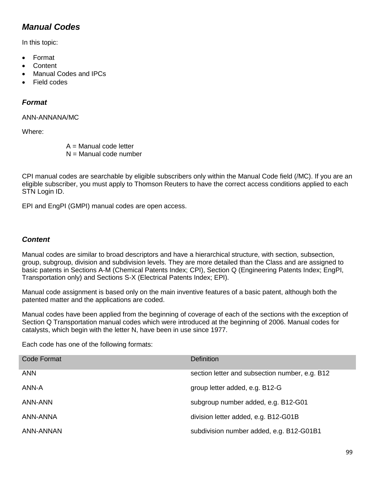# *Manual Codes*

In this topic:

- Format
- **Content**
- Manual Codes and IPCs
- Field codes

### *Format*

#### ANN-ANNANA/MC

Where:

A = Manual code letter  $N =$  Manual code number

CPI manual codes are searchable by eligible subscribers only within the Manual Code field (/MC). If you are an eligible subscriber, you must apply to Thomson Reuters to have the correct access conditions applied to each STN Login ID.

EPI and EngPI (GMPI) manual codes are open access.

### *Content*

Manual codes are similar to broad descriptors and have a hierarchical structure, with section, subsection, group, subgroup, division and subdivision levels. They are more detailed than the Class and are assigned to basic patents in Sections A-M (Chemical Patents Index; CPI), Section Q (Engineering Patents Index; EngPI, Transportation only) and Sections S-X (Electrical Patents Index; EPI).

Manual code assignment is based only on the main inventive features of a basic patent, although both the patented matter and the applications are coded.

Manual codes have been applied from the beginning of coverage of each of the sections with the exception of Section Q Transportation manual codes which were introduced at the beginning of 2006. Manual codes for catalysts, which begin with the letter N, have been in use since 1977.

Each code has one of the following formats:

| Code Format      | <b>Definition</b>                              |
|------------------|------------------------------------------------|
| <b>ANN</b>       | section letter and subsection number, e.g. B12 |
| ANN-A            | group letter added, e.g. B12-G                 |
| ANN-ANN          | subgroup number added, e.g. B12-G01            |
| ANN-ANNA         | division letter added, e.g. B12-G01B           |
| <b>ANN-ANNAN</b> | subdivision number added, e.g. B12-G01B1       |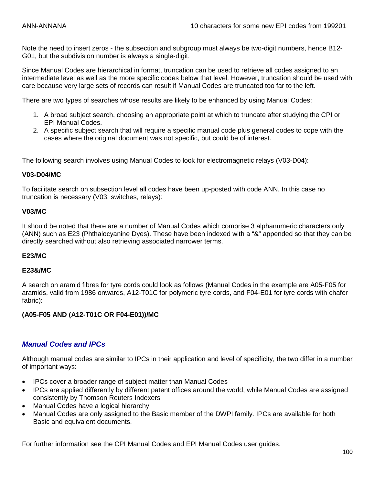Note the need to insert zeros - the subsection and subgroup must always be two-digit numbers, hence B12- G01, but the subdivision number is always a single-digit.

Since Manual Codes are hierarchical in format, truncation can be used to retrieve all codes assigned to an intermediate level as well as the more specific codes below that level. However, truncation should be used with care because very large sets of records can result if Manual Codes are truncated too far to the left.

There are two types of searches whose results are likely to be enhanced by using Manual Codes:

- 1. A broad subject search, choosing an appropriate point at which to truncate after studying the CPI or EPI Manual Codes.
- 2. A specific subject search that will require a specific manual code plus general codes to cope with the cases where the original document was not specific, but could be of interest.

The following search involves using Manual Codes to look for electromagnetic relays (V03-D04):

#### **V03-D04/MC**

To facilitate search on subsection level all codes have been up-posted with code ANN. In this case no truncation is necessary (V03: switches, relays):

#### **V03/MC**

It should be noted that there are a number of Manual Codes which comprise 3 alphanumeric characters only (ANN) such as E23 (Phthalocyanine Dyes). These have been indexed with a "&" appended so that they can be directly searched without also retrieving associated narrower terms.

#### **E23/MC**

#### **E23&/MC**

A search on aramid fibres for tyre cords could look as follows (Manual Codes in the example are A05-F05 for aramids, valid from 1986 onwards, A12-T01C for polymeric tyre cords, and F04-E01 for tyre cords with chafer fabric):

#### **(A05-F05 AND (A12-T01C OR F04-E01))/MC**

#### *Manual Codes and IPCs*

Although manual codes are similar to IPCs in their application and level of specificity, the two differ in a number of important ways:

- IPCs cover a broader range of subject matter than Manual Codes
- IPCs are applied differently by different patent offices around the world, while Manual Codes are assigned consistently by Thomson Reuters Indexers
- Manual Codes have a logical hierarchy
- Manual Codes are only assigned to the Basic member of the DWPI family. IPCs are available for both Basic and equivalent documents.

For further information see the CPI Manual Codes and EPI Manual Codes user guides.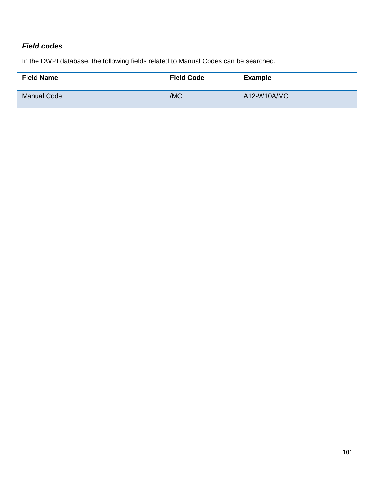# *Field codes*

In the DWPI database, the following fields related to Manual Codes can be searched.

| <b>Field Name</b>  | <b>Field Code</b> | <b>Example</b> |
|--------------------|-------------------|----------------|
| <b>Manual Code</b> | /MC               | A12-W10A/MC    |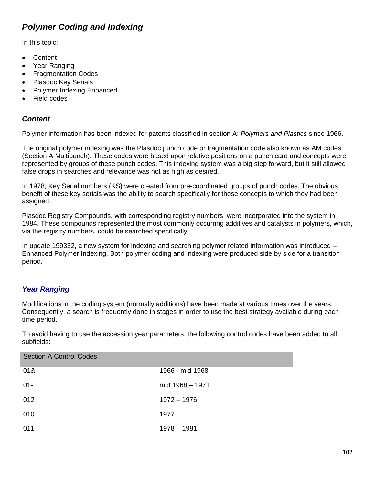# *Polymer Coding and Indexing*

In this topic:

- Content
- Year Ranging
- Fragmentation Codes
- Plasdoc Key Serials
- Polymer Indexing Enhanced
- Field codes

### *Content*

Polymer information has been indexed for patents classified in section A: *Polymers and Plastics* since 1966.

The original polymer indexing was the Plasdoc punch code or fragmentation code also known as AM codes (Section A Multipunch). These codes were based upon relative positions on a punch card and concepts were represented by groups of these punch codes. This indexing system was a big step forward, but it still allowed false drops in searches and relevance was not as high as desired.

In 1978, Key Serial numbers (KS) were created from pre-coordinated groups of punch codes. The obvious benefit of these key serials was the ability to search specifically for those concepts to which they had been assigned.

Plasdoc Registry Compounds, with corresponding registry numbers, were incorporated into the system in 1984. These compounds represented the most commonly occurring additives and catalysts in polymers, which, via the registry numbers, could be searched specifically.

In update 199332, a new system for indexing and searching polymer related information was introduced – Enhanced Polymer Indexing. Both polymer coding and indexing were produced side by side for a transition period.

# *Year Ranging*

Modifications in the coding system (normally additions) have been made at various times over the years. Consequently, a search is frequently done in stages in order to use the best strategy available during each time period.

To avoid having to use the accession year parameters, the following control codes have been added to all subfields:

| <b>Section A Control Codes</b> |                 |
|--------------------------------|-----------------|
| 01&                            | 1966 - mid 1968 |
| $01 -$                         | mid 1968 - 1971 |
| 012                            | $1972 - 1976$   |
| 010                            | 1977            |
| 011                            | $1978 - 1981$   |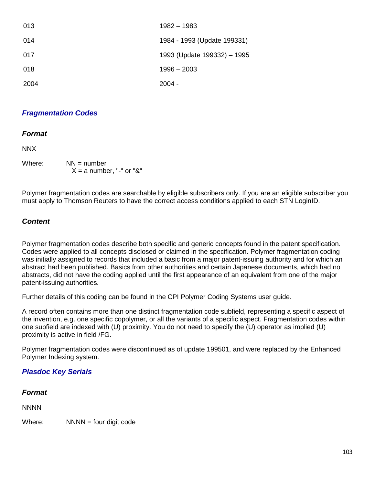| 013  | 1982 - 1983                 |
|------|-----------------------------|
| 014  | 1984 - 1993 (Update 199331) |
| 017  | 1993 (Update 199332) - 1995 |
| 018  | $1996 - 2003$               |
| 2004 | $2004 -$                    |

#### *Fragmentation Codes*

#### *Format*

NNX

Where:  $NN =$  number  $X = a$  number, "-" or "&"

Polymer fragmentation codes are searchable by eligible subscribers only. If you are an eligible subscriber you must apply to Thomson Reuters to have the correct access conditions applied to each STN LoginID.

### *Content*

Polymer fragmentation codes describe both specific and generic concepts found in the patent specification. Codes were applied to all concepts disclosed or claimed in the specification. Polymer fragmentation coding was initially assigned to records that included a basic from a major patent-issuing authority and for which an abstract had been published. Basics from other authorities and certain Japanese documents, which had no abstracts, did not have the coding applied until the first appearance of an equivalent from one of the major patent-issuing authorities.

Further details of this coding can be found in the CPI Polymer Coding Systems user guide.

A record often contains more than one distinct fragmentation code subfield, representing a specific aspect of the invention, e.g. one specific copolymer, or all the variants of a specific aspect. Fragmentation codes within one subfield are indexed with (U) proximity. You do not need to specify the (U) operator as implied (U) proximity is active in field /FG.

Polymer fragmentation codes were discontinued as of update 199501, and were replaced by the Enhanced Polymer Indexing system.

### *Plasdoc Key Serials*

#### *Format*

**NNNN** 

Where:  $NNNN =$  four digit code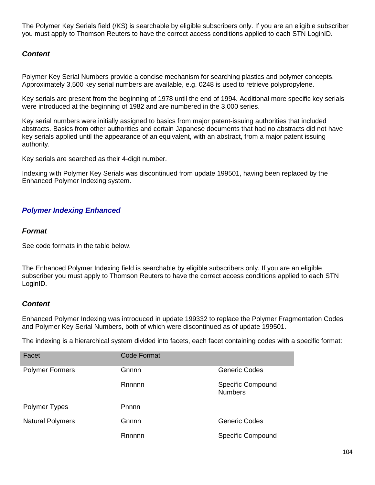The Polymer Key Serials field (/KS) is searchable by eligible subscribers only. If you are an eligible subscriber you must apply to Thomson Reuters to have the correct access conditions applied to each STN LoginID.

## *Content*

Polymer Key Serial Numbers provide a concise mechanism for searching plastics and polymer concepts. Approximately 3,500 key serial numbers are available, e.g. 0248 is used to retrieve polypropylene.

Key serials are present from the beginning of 1978 until the end of 1994. Additional more specific key serials were introduced at the beginning of 1982 and are numbered in the 3,000 series.

Key serial numbers were initially assigned to basics from major patent-issuing authorities that included abstracts. Basics from other authorities and certain Japanese documents that had no abstracts did not have key serials applied until the appearance of an equivalent, with an abstract, from a major patent issuing authority.

Key serials are searched as their 4-digit number.

Indexing with Polymer Key Serials was discontinued from update 199501, having been replaced by the Enhanced Polymer Indexing system.

## *Polymer Indexing Enhanced*

#### *Format*

See code formats in the table below.

The Enhanced Polymer Indexing field is searchable by eligible subscribers only. If you are an eligible subscriber you must apply to Thomson Reuters to have the correct access conditions applied to each STN LoginID.

### *Content*

Enhanced Polymer Indexing was introduced in update 199332 to replace the Polymer Fragmentation Codes and Polymer Key Serial Numbers, both of which were discontinued as of update 199501.

The indexing is a hierarchical system divided into facets, each facet containing codes with a specific format:

| Facet                   | Code Format |                                            |
|-------------------------|-------------|--------------------------------------------|
| <b>Polymer Formers</b>  | Gnnnn       | <b>Generic Codes</b>                       |
|                         | Rnnnnn      | <b>Specific Compound</b><br><b>Numbers</b> |
| Polymer Types           | Pnnnn       |                                            |
| <b>Natural Polymers</b> | Gnnnn       | <b>Generic Codes</b>                       |
|                         | Rnnnnn      | <b>Specific Compound</b>                   |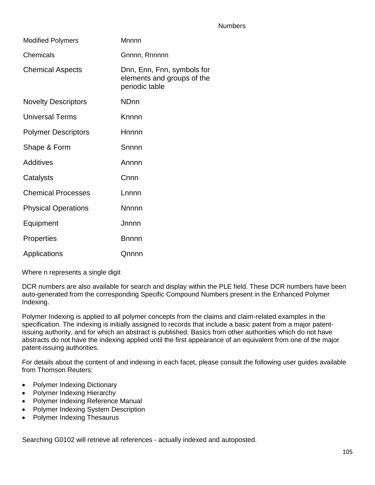#### **Numbers**

| <b>Modified Polymers</b>   | Mnnnn                                                                      |
|----------------------------|----------------------------------------------------------------------------|
| Chemicals                  | Gnnnn, Rnnnnn                                                              |
| <b>Chemical Aspects</b>    | Dnn, Enn, Fnn, symbols for<br>elements and groups of the<br>periodic table |
| <b>Novelty Descriptors</b> | <b>ND<sub>nn</sub></b>                                                     |
| <b>Universal Terms</b>     | Knnnn                                                                      |
| <b>Polymer Descriptors</b> | Hnnnn                                                                      |
| Shape & Form               | Snnnn                                                                      |
| <b>Additives</b>           | Annnn                                                                      |
| Catalysts                  | Cnnn                                                                       |
| <b>Chemical Processes</b>  | Lnnnn                                                                      |
| <b>Physical Operations</b> | <b>Nnnnn</b>                                                               |
| Equipment                  | Jnnnn                                                                      |
| Properties                 | <b>B</b> nnnn                                                              |
| Applications               | Qnnnn                                                                      |

Where n represents a single digit

DCR numbers are also available for search and display within the PLE field. These DCR numbers have been auto-generated from the corresponding Specific Compound Numbers present in the Enhanced Polymer Indexing.

Polymer Indexing is applied to all polymer concepts from the claims and claim-related examples in the specification. The indexing is initially assigned to records that include a basic patent from a major patentissuing authority, and for which an abstract is published. Basics from other authorities which do not have abstracts do not have the indexing applied until the first appearance of an equivalent from one of the major patent-issuing authorities.

For details about the content of and indexing in each facet, please consult the following user guides available from Thomson Reuters:

- Polymer Indexing Dictionary
- Polymer Indexing Hierarchy
- Polymer Indexing Reference Manual
- Polymer Indexing System Description
- Polymer Indexing Thesaurus

Searching G0102 will retrieve all references - actually indexed and autoposted.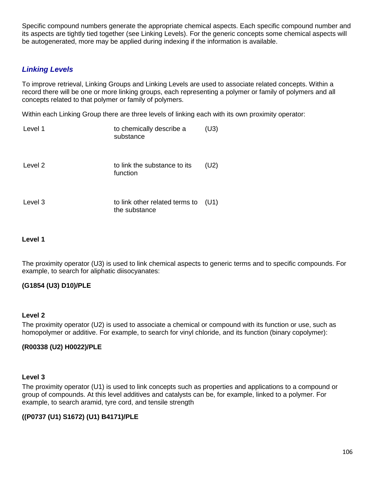Specific compound numbers generate the appropriate chemical aspects. Each specific compound number and its aspects are tightly tied together (see Linking Levels). For the generic concepts some chemical aspects will be autogenerated, more may be applied during indexing if the information is available.

### *Linking Levels*

To improve retrieval, Linking Groups and Linking Levels are used to associate related concepts. Within a record there will be one or more linking groups, each representing a polymer or family of polymers and all concepts related to that polymer or family of polymers.

Within each Linking Group there are three levels of linking each with its own proximity operator:

| Level 1 | to chemically describe a<br>substance           | (U3) |
|---------|-------------------------------------------------|------|
| Level 2 | to link the substance to its<br>function        | (U2) |
| Level 3 | to link other related terms to<br>the substance | (U1) |

#### **Level 1**

The proximity operator (U3) is used to link chemical aspects to generic terms and to specific compounds. For example, to search for aliphatic diisocyanates:

### **(G1854 (U3) D10)/PLE**

#### **Level 2**

The proximity operator (U2) is used to associate a chemical or compound with its function or use, such as homopolymer or additive. For example, to search for vinyl chloride, and its function (binary copolymer):

### **(R00338 (U2) H0022)/PLE**

#### **Level 3**

The proximity operator (U1) is used to link concepts such as properties and applications to a compound or group of compounds. At this level additives and catalysts can be, for example, linked to a polymer. For example, to search aramid, tyre cord, and tensile strength

### **((P0737 (U1) S1672) (U1) B4171)/PLE**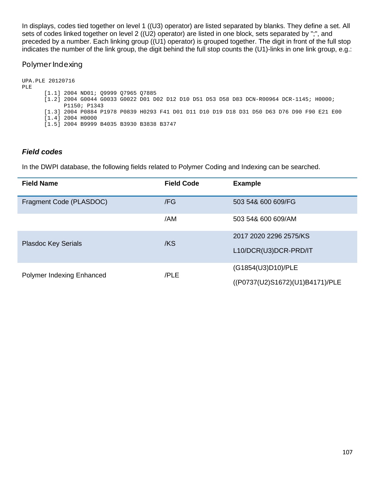In displays, codes tied together on level 1 ((U3) operator) are listed separated by blanks. They define a set. All sets of codes linked together on level 2 ((U2) operator) are listed in one block, sets separated by ";", and preceded by a number. Each linking group ((U1) operator) is grouped together. The digit in front of the full stop indicates the number of the link group, the digit behind the full stop counts the (U1)-links in one link group, e.g.:

#### Polymer Indexing

```
UPA.PLE 20120716
PLE
      [1.1] 2004 ND01; Q9999 Q7965 Q7885
      [1.2] 2004 G0044 G0033 G0022 D01 D02 D12 D10 D51 D53 D58 D83 DCN-R00964 DCR-1145; H0000; 
             P1150; P1343
      [1.3] 2004 P0884 P1978 P0839 H0293 F41 D01 D11 D10 D19 D18 D31 D50 D63 D76 D90 F90 E21 E00
      [1.4] 2004 H0000
      [1.5] 2004 B9999 B4035 B3930 B3838 B3747
```
### *Field codes*

In the DWPI database, the following fields related to Polymer Coding and Indexing can be searched.

| <b>Field Name</b>          | <b>Field Code</b> | <b>Example</b>                  |
|----------------------------|-------------------|---------------------------------|
| Fragment Code (PLASDOC)    | /FG               | 503 54& 600 609/FG              |
|                            | /AM               | 503 54& 600 609/AM              |
| <b>Plasdoc Key Serials</b> | /KS               | 2017 2020 2296 2575/KS          |
|                            |                   | L10/DCR(U3)DCR-PRD/IT           |
| Polymer Indexing Enhanced  | /PLE              | (G1854(U3)D10)/PLE              |
|                            |                   | ((P0737(U2)S1672)(U1)B4171)/PLE |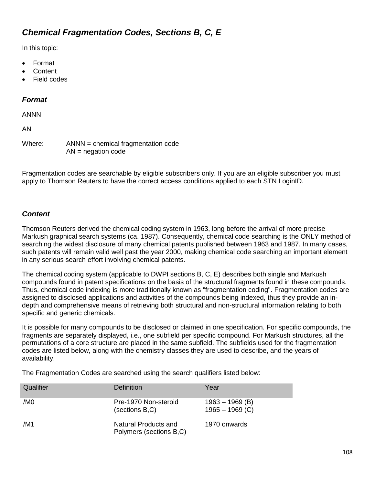# *Chemical Fragmentation Codes, Sections B, C, E*

In this topic:

- Format
- **Content**
- Field codes

## *Format*

ANNN

AN

Where: ANNN = chemical fragmentation code  $AN = negation code$ 

Fragmentation codes are searchable by eligible subscribers only. If you are an eligible subscriber you must apply to Thomson Reuters to have the correct access conditions applied to each STN LoginID.

# *Content*

Thomson Reuters derived the chemical coding system in 1963, long before the arrival of more precise Markush graphical search systems (ca. 1987). Consequently, chemical code searching is the ONLY method of searching the widest disclosure of many chemical patents published between 1963 and 1987. In many cases, such patents will remain valid well past the year 2000, making chemical code searching an important element in any serious search effort involving chemical patents.

The chemical coding system (applicable to DWPI sections B, C, E) describes both single and Markush compounds found in patent specifications on the basis of the structural fragments found in these compounds. Thus, chemical code indexing is more traditionally known as "fragmentation coding". Fragmentation codes are assigned to disclosed applications and activities of the compounds being indexed, thus they provide an indepth and comprehensive means of retrieving both structural and non-structural information relating to both specific and generic chemicals.

It is possible for many compounds to be disclosed or claimed in one specification. For specific compounds, the fragments are separately displayed, i.e., one subfield per specific compound. For Markush structures, all the permutations of a core structure are placed in the same subfield. The subfields used for the fragmentation codes are listed below, along with the chemistry classes they are used to describe, and the years of availability.

The Fragmentation Codes are searched using the search qualifiers listed below:

| Qualifier       | Definition                                      | Year                                   |
|-----------------|-------------------------------------------------|----------------------------------------|
| /M <sub>0</sub> | Pre-1970 Non-steroid<br>(sections B,C)          | $1963 - 1969$ (B)<br>$1965 - 1969$ (C) |
| /M1             | Natural Products and<br>Polymers (sections B,C) | 1970 onwards                           |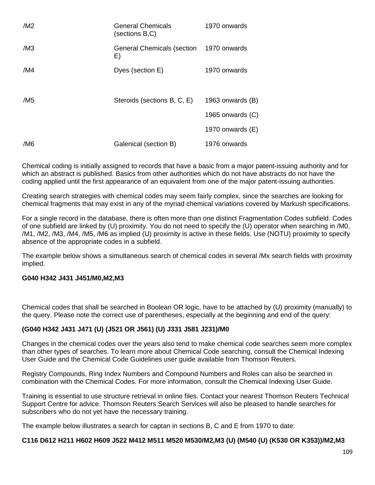| /M2             | <b>General Chemicals</b><br>(sections B,C)    | 1970 onwards     |
|-----------------|-----------------------------------------------|------------------|
| /M3             | General Chemicals (section 1970 onwards<br>E) |                  |
| /M4             | Dyes (section E)                              | 1970 onwards     |
| /M <sub>5</sub> | Steroids (sections B, C, E)                   | 1963 onwards (B) |
|                 |                                               | 1965 onwards (C) |
|                 |                                               | 1970 onwards (E) |
| /M6             | Galenical (section B)                         | 1976 onwards     |

Chemical coding is initially assigned to records that have a basic from a major patent-issuing authority and for which an abstract is published. Basics from other authorities which do not have abstracts do not have the coding applied until the first appearance of an equivalent from one of the major patent-issuing authorities.

Creating search strategies with chemical codes may seem fairly complex, since the searches are looking for chemical fragments that may exist in any of the myriad chemical variations covered by Markush specifications.

For a single record in the database, there is often more than one distinct Fragmentation Codes subfield. Codes of one subfield are linked by (U) proximity. You do not need to specify the (U) operator when searching in /M0, /M1, /M2, /M3, /M4, /M5, /M6 as implied (U) proximity is active in these fields. Use (NOTU) proximity to specify absence of the appropriate codes in a subfield.

The example below shows a simultaneous search of chemical codes in several /Mx search fields with proximity implied.

#### **G040 H342 J431 J451/M0,M2,M3**

Chemical codes that shall be searched in Boolean OR logic, have to be attached by (U) proximity (manually) to the query. Please note the correct use of parentheses, especially at the beginning and end of the query:

#### **(G040 H342 J431 J471 (U) (J521 OR J561) (U) J331 J581 J231)/M0**

Changes in the chemical codes over the years also tend to make chemical code searches seem more complex than other types of searches. To learn more about Chemical Code searching, consult the Chemical Indexing User Guide and the Chemical Code Guidelines user guide available from Thomson Reuters.

Registry Compounds, Ring Index Numbers and Compound Numbers and Roles can also be searched in combination with the Chemical Codes. For more information, consult the Chemical Indexing User Guide.

Training is essential to use structure retrieval in online files. Contact your nearest Thomson Reuters Technical Support Centre for advice. Thomson Reuters Search Services will also be pleased to handle searches for subscribers who do not yet have the necessary training.

The example below illustrates a search for captan in sections B, C and E from 1970 to date:

#### **C116 D612 H211 H602 H609 J522 M412 M511 M520 M530/M2,M3 (U) (M540 (U) (K530 OR K353))/M2,M3**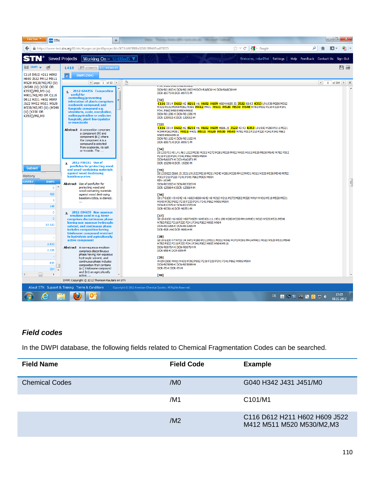| Firefox $\mathbf{\cdot}$<br><b>STN</b> STN                                                                                                                                            | ÷                                                                                                                                                                                                                                                                                                                                                                                                                                                                                                                                                                                    |                                                                                                                                                                                                                                                                                                                                                    |                                                                                                                                                                                                                                                                                                                                                                                                                                                                                                     | - 0                                                               |
|---------------------------------------------------------------------------------------------------------------------------------------------------------------------------------------|--------------------------------------------------------------------------------------------------------------------------------------------------------------------------------------------------------------------------------------------------------------------------------------------------------------------------------------------------------------------------------------------------------------------------------------------------------------------------------------------------------------------------------------------------------------------------------------|----------------------------------------------------------------------------------------------------------------------------------------------------------------------------------------------------------------------------------------------------------------------------------------------------------------------------------------------------|-----------------------------------------------------------------------------------------------------------------------------------------------------------------------------------------------------------------------------------------------------------------------------------------------------------------------------------------------------------------------------------------------------------------------------------------------------------------------------------------------------|-------------------------------------------------------------------|
|                                                                                                                                                                                       | https://www-test.stn.org:82/stn/#page=project8.projectId=0673cb923888e52101389407aa870075                                                                                                                                                                                                                                                                                                                                                                                                                                                                                            |                                                                                                                                                                                                                                                                                                                                                    | $\uparrow$ $\vee$ C $\parallel$ $\cdot$ $\parallel$ + Google                                                                                                                                                                                                                                                                                                                                                                                                                                        |                                                                   |
|                                                                                                                                                                                       | <b>Saved Projects</b><br>Working On - Untitled 5 $\nabla$                                                                                                                                                                                                                                                                                                                                                                                                                                                                                                                            |                                                                                                                                                                                                                                                                                                                                                    |                                                                                                                                                                                                                                                                                                                                                                                                                                                                                                     | Welcome, rrrkarl7tst Settings   Help Feedback Contact Us Sign Out |
| $\equiv$ DWPI $\blacktriangledown$ $\mathscr{B}$                                                                                                                                      | <b>EEE COUNTS E RESULTS</b><br><b>L418</b>                                                                                                                                                                                                                                                                                                                                                                                                                                                                                                                                           |                                                                                                                                                                                                                                                                                                                                                    |                                                                                                                                                                                                                                                                                                                                                                                                                                                                                                     | 日目                                                                |
| C116 D612 H211 H602                                                                                                                                                                   | <b>DWPI</b> (304)<br>7                                                                                                                                                                                                                                                                                                                                                                                                                                                                                                                                                               |                                                                                                                                                                                                                                                                                                                                                    |                                                                                                                                                                                                                                                                                                                                                                                                                                                                                                     |                                                                   |
| H609 J522 M412 M511<br>M520 M530/M2, M3 (U)                                                                                                                                           | 4 page 1 of 13 P                                                                                                                                                                                                                                                                                                                                                                                                                                                                                                                                                                     | ₿                                                                                                                                                                                                                                                                                                                                                  |                                                                                                                                                                                                                                                                                                                                                                                                                                                                                                     | 1 of 304 ▶   ※<br>$\left  \cdot \right $                          |
| (M540 (U) (K350 OR<br>K353))/M2,M3 (u)<br>M901/M2, M3 OR C116<br>D612 H211 H602 H609<br>J522 M412 M511 M520<br>M530/M2, M3 (U) (M540<br>(U) (K350 OR<br>K353))/M2,M3<br><b>Submit</b> | 1. 2012-G44256 Composition<br>useful for<br>controlling/preventing<br>infestation of plants comprises<br>oxaborole compound, and<br>fungicide compound e.g.<br>strobilurin, azole, morpholine,<br>anilinopyrimidine or anilazine<br>fungicide, plant-bioregulator<br>or insecticide<br><b>Abstract</b> A composition comprises<br>a component (A) and<br>component (B1) where<br>the component A is a<br>compound is selected<br>from oxaborole, its salt<br>or N-oxide. The<br>2012-F00191 Use of<br>$\mathbf{z}$<br>penflufen for protecting wood<br>and wood-containing materials | טבלויו דטלויו טעמין 2002 בדטח<br>DCR-89773-K DCR-89773-M<br>[32]<br>P341 P862 M905 M904 M910<br>DCN-R01596-K DCN-R01596-M<br>DCR-139953-K DCR-139953-M<br>$[33]$<br>M905 M904 M910<br>DCN-R01102-K DCN-R01102-M<br>DCR-89971-K DCR-89971-M<br>$[34]$<br>P210 P220 P241 P341 P862 M905 M904<br>DCN-RA01FX-K DCN-RA01FX-M<br>DCR-19290-K DCR-19290-M | DCN-R01903-K DCN-R01903-M DCN-RA8C6H-K DCN-RA8C6H-M<br>C116 D014 D612 H2 H211 H6 H602 H609 H684 H689 J5 J522 K0 K3 K353 L9 L930 M280 M312<br>M321 M332 M344 M362 M391 M412 M431 M511 M520 M530 M540 M782 P002 P210 P220 P241<br>C116 D014 D612 H2 H211 H6 H602 H609 H686 J5 J522 K0 K3 K353 L9 L930 M280 M311 M321<br>M344 M362 M391 M412 M431 M511 M520 M530 M540 M782 P002 P210 P220 P241 P341 P862<br>D012 D711 K0 L4 L461 L922 M210 M211 M272 M281 M320 M412 M431 M511 M520 M530 M540 M782 P002 |                                                                   |
| <b>History</b>                                                                                                                                                                        | against wood destroying<br>basidiomycetes                                                                                                                                                                                                                                                                                                                                                                                                                                                                                                                                            | [35]<br>P002 P210 P220 P241 P341 P862 M905 M904                                                                                                                                                                                                                                                                                                    | D012 D022 E860 J5 J521 L9 L922 M210 M211 M240 M281 M320 M412 M431 M511 M520 M530 M540 M782                                                                                                                                                                                                                                                                                                                                                                                                          |                                                                   |
| <b>GISTRY</b><br><b>DWPI</b><br>$0$ <sup><math>^*</math></sup><br>468<br>3<br>148                                                                                                     | Abstract Use of penflufen for<br>protecting wood and<br>wood-containing materials<br>against wood destroying<br>basidiomycetes, is claimed.                                                                                                                                                                                                                                                                                                                                                                                                                                          | RIN-10345<br>DCN-R03303-K DCN-R03303-M<br>DCR-129804-K DCR-129804-M<br>$[36]$<br>DCN-R22372-K DCN-R22372-M<br>DCR-90781-K DCR-90781-M                                                                                                                                                                                                              | G017 G100 H5 H542 H6 H602 H608 H642 H8 M210 M211 M272 M282 M320 M414 M431 M510 M520 M531<br>M540 M782 P002 P210 P220 P241 P341 P862 M905 M904                                                                                                                                                                                                                                                                                                                                                       | $\equiv$                                                          |
| $\mathbf 0$<br>$\Omega$<br>53.530<br>2.833                                                                                                                                            | 3. 2012-E84659 Non-aqueous<br>emulsion used in e.g. toner<br>comprises discontinuous phase<br>having non-aqueous hydroxylic<br>solvent, and continuous phase<br>includes composition having<br>trisiloxane compound resistant<br>to hydrolysis and agriculturally<br>active component                                                                                                                                                                                                                                                                                                | $[37]$<br>M782 P002 P210 P220 P241 P341 P862 M905 M904<br>DCN-R03265-K DCN-R03265-M<br>DCR-90814-K DCR-90814-M<br><b>[38]</b>                                                                                                                                                                                                                      | G018 G100 H6 H602 H607 H609 H643 K0 L1 L143 L199 M280 M320 M414 M431 M510 M520 M531 M540<br>G010 G100 H7 H721 J4 J471 M280 M312 M321 M332 M342 M372 M391 M414 M431 M510 M520 M531 M540<br>M782 P002 P210 P220 P241 P341 P862 M905 M904 M910                                                                                                                                                                                                                                                         |                                                                   |
| 2.228                                                                                                                                                                                 | Abstract A non-aqueous emulsion<br>comprises discontinuous                                                                                                                                                                                                                                                                                                                                                                                                                                                                                                                           | DCN-R00764-K DCN-R00764-M<br>DCR-959-K DCR-959-M                                                                                                                                                                                                                                                                                                   |                                                                                                                                                                                                                                                                                                                                                                                                                                                                                                     |                                                                   |
| 836<br>304<br>$\overline{4}$<br>$\mathbb{R}$                                                                                                                                          | phase having non-aqueous<br>hydroxylic solvent, and<br>continuous phase includes<br>composition that contains<br>(a1) trisiloxane compound<br>and (b1) an agriculturally<br>active                                                                                                                                                                                                                                                                                                                                                                                                   | [39]<br>DCN-R05099-K DCN-R05099-M<br>DCR-70-K DCR-70-M<br>$[40]$                                                                                                                                                                                                                                                                                   | A429 C810 M411 M431 M782 P002 P210 P220 P241 P341 P862 M905 M904                                                                                                                                                                                                                                                                                                                                                                                                                                    |                                                                   |
|                                                                                                                                                                                       | DWPI Copyright @ 2012 Thomson Reuters on STN                                                                                                                                                                                                                                                                                                                                                                                                                                                                                                                                         |                                                                                                                                                                                                                                                                                                                                                    |                                                                                                                                                                                                                                                                                                                                                                                                                                                                                                     |                                                                   |
|                                                                                                                                                                                       | About STN Support & Training Terms & Conditions                                                                                                                                                                                                                                                                                                                                                                                                                                                                                                                                      | Copyright @ 2012 American Chemical Society. All Rights Reserved.                                                                                                                                                                                                                                                                                   |                                                                                                                                                                                                                                                                                                                                                                                                                                                                                                     |                                                                   |
|                                                                                                                                                                                       |                                                                                                                                                                                                                                                                                                                                                                                                                                                                                                                                                                                      |                                                                                                                                                                                                                                                                                                                                                    |                                                                                                                                                                                                                                                                                                                                                                                                                                                                                                     | 17:35<br>DE A DI CI A DI DI DI DI<br>08.11.2012                   |

# *Field codes*

In the DWPI database, the following fields related to Chemical Fragmentation Codes can be searched.

| <b>Field Name</b>     | <b>Field Code</b> | <b>Example</b>                                              |
|-----------------------|-------------------|-------------------------------------------------------------|
| <b>Chemical Codes</b> | /M <sub>0</sub>   | G040 H342 J431 J451/M0                                      |
|                       | /M1               | C101/M1                                                     |
|                       | /M2               | C116 D612 H211 H602 H609 J522<br>M412 M511 M520 M530/M2, M3 |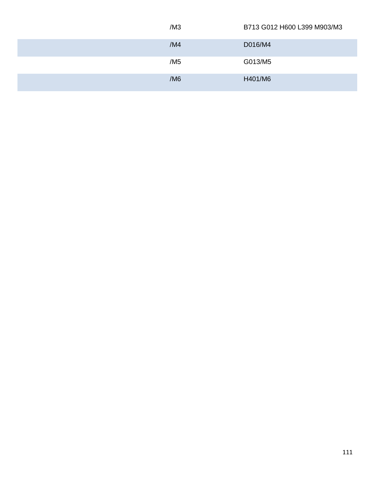| /M3 | B713 G012 H600 L399 M903/M3 |
|-----|-----------------------------|
| /M4 | D016/M4                     |
| /M5 | G013/M5                     |
| /M6 | H401/M6                     |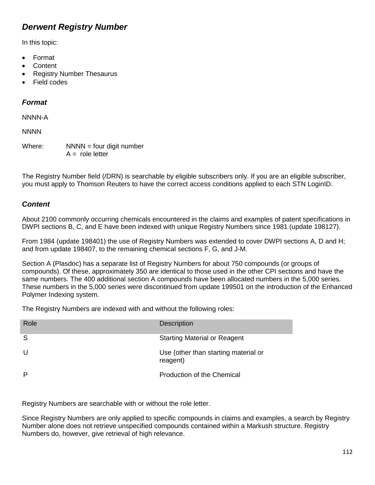# *Derwent Registry Number*

In this topic:

- Format
- **Content**
- Registry Number Thesaurus
- Field codes

# *Format*

NNNN-A

**NNNN** 

Where:  $NNNN =$  four digit number  $A =$  role letter

The Registry Number field (/DRN) is searchable by eligible subscribers only. If you are an eligible subscriber, you must apply to Thomson Reuters to have the correct access conditions applied to each STN LoginID.

# *Content*

About 2100 commonly occurring chemicals encountered in the claims and examples of patent specifications in DWPI sections B, C, and E have been indexed with unique Registry Numbers since 1981 (update 198127).

From 1984 (update 198401) the use of Registry Numbers was extended to cover DWPI sections A, D and H; and from update 198407, to the remaining chemical sections F, G, and J-M.

Section A (Plasdoc) has a separate list of Registry Numbers for about 750 compounds (or groups of compounds). Of these, approximately 350 are identical to those used in the other CPI sections and have the same numbers. The 400 additional section A compounds have been allocated numbers in the 5,000 series. These numbers in the 5,000 series were discontinued from update 199501 on the introduction of the Enhanced Polymer Indexing system.

The Registry Numbers are indexed with and without the following roles:

| Role         | <b>Description</b>                               |
|--------------|--------------------------------------------------|
| <sub>S</sub> | <b>Starting Material or Reagent</b>              |
| U            | Use (other than starting material or<br>reagent) |
| P            | <b>Production of the Chemical</b>                |

Registry Numbers are searchable with or without the role letter.

Since Registry Numbers are only applied to specific compounds in claims and examples, a search by Registry Number alone does not retrieve unspecified compounds contained within a Markush structure. Registry Numbers do, however, give retrieval of high relevance.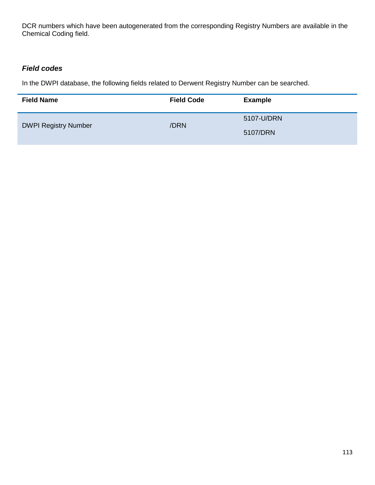DCR numbers which have been autogenerated from the corresponding Registry Numbers are available in the Chemical Coding field.

# *Field codes*

In the DWPI database, the following fields related to Derwent Registry Number can be searched.

| <b>Field Name</b>           | <b>Field Code</b> | <b>Example</b> |
|-----------------------------|-------------------|----------------|
|                             | /DRN              | 5107-U/DRN     |
| <b>DWPI Registry Number</b> |                   | 5107/DRN       |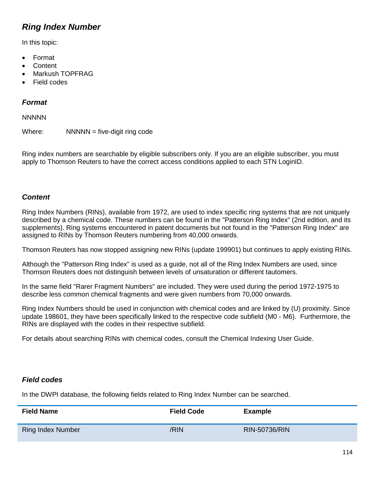# *Ring Index Number*

In this topic:

- Format
- **Content**
- Markush TOPFRAG
- Field codes

# *Format*

**NNNNN** 

Where:  $NNNN =$  five-digit ring code

Ring index numbers are searchable by eligible subscribers only. If you are an eligible subscriber, you must apply to Thomson Reuters to have the correct access conditions applied to each STN LoginID.

## *Content*

Ring Index Numbers (RINs), available from 1972, are used to index specific ring systems that are not uniquely described by a chemical code. These numbers can be found in the "Patterson Ring Index" (2nd edition, and its supplements). Ring systems encountered in patent documents but not found in the "Patterson Ring Index" are assigned to RINs by Thomson Reuters numbering from 40,000 onwards.

Thomson Reuters has now stopped assigning new RINs (update 199901) but continues to apply existing RINs.

Although the "Patterson Ring Index" is used as a guide, not all of the Ring Index Numbers are used, since Thomson Reuters does not distinguish between levels of unsaturation or different tautomers.

In the same field "Rarer Fragment Numbers" are included. They were used during the period 1972-1975 to describe less common chemical fragments and were given numbers from 70,000 onwards.

Ring Index Numbers should be used in conjunction with chemical codes and are linked by (U) proximity. Since update 198601, they have been specifically linked to the respective code subfield (M0 - M6). Furthermore, the RINs are displayed with the codes in their respective subfield.

For details about searching RINs with chemical codes, consult the Chemical Indexing User Guide.

# *Field codes*

In the DWPI database, the following fields related to Ring Index Number can be searched.

| <b>Field Name</b>        | <b>Field Code</b> | <b>Example</b>       |
|--------------------------|-------------------|----------------------|
| <b>Ring Index Number</b> | /RIN              | <b>RIN-50736/RIN</b> |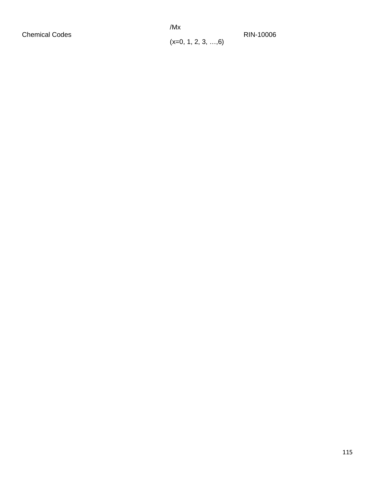/Mx

 $(x=0, 1, 2, 3, ..., 6)$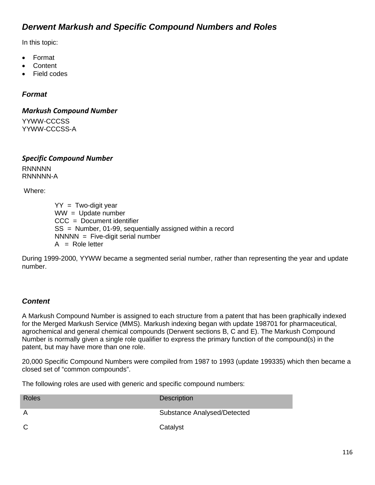# *Derwent Markush and Specific Compound Numbers and Roles*

In this topic:

- Format
- **Content**
- Field codes

### *Format*

*Markush Compound Number* YYWW-CCCSS YYWW-CCCSS-A

*Specific Compound Number* **RNNNNN** 

RNNNNN-A

Where:

 $YY = Two$ -digit year  $WW = Undate number$ CCC = Document identifier SS = Number, 01-99, sequentially assigned within a record  $NNNNN = Five-digit serial number$  $A = \text{Role letter}$ 

During 1999-2000, YYWW became a segmented serial number, rather than representing the year and update number.

### *Content*

A Markush Compound Number is assigned to each structure from a patent that has been graphically indexed for the Merged Markush Service (MMS). Markush indexing began with update 198701 for pharmaceutical, agrochemical and general chemical compounds (Derwent sections B, C and E). The Markush Compound Number is normally given a single role qualifier to express the primary function of the compound(s) in the patent, but may have more than one role.

20,000 Specific Compound Numbers were compiled from 1987 to 1993 (update 199335) which then became a closed set of "common compounds".

The following roles are used with generic and specific compound numbers:

| Roles        | <b>Description</b>                 |
|--------------|------------------------------------|
| A            | <b>Substance Analysed/Detected</b> |
| $\mathsf{C}$ | Catalyst                           |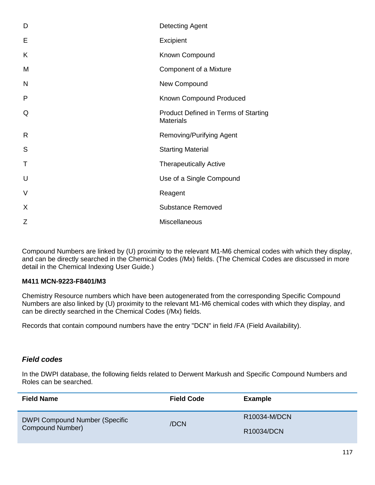| D | <b>Detecting Agent</b>                                   |
|---|----------------------------------------------------------|
| Е | Excipient                                                |
| Κ | Known Compound                                           |
| M | Component of a Mixture                                   |
| N | New Compound                                             |
| P | Known Compound Produced                                  |
| Q | Product Defined in Terms of Starting<br><b>Materials</b> |
| R | <b>Removing/Purifying Agent</b>                          |
| S | <b>Starting Material</b>                                 |
| Τ | <b>Therapeutically Active</b>                            |
| U | Use of a Single Compound                                 |
| V | Reagent                                                  |
| X | <b>Substance Removed</b>                                 |
| Ζ | Miscellaneous                                            |

Compound Numbers are linked by (U) proximity to the relevant M1-M6 chemical codes with which they display, and can be directly searched in the Chemical Codes (/Mx) fields. (The Chemical Codes are discussed in more detail in the Chemical Indexing User Guide.)

#### **M411 MCN-9223-F8401/M3**

Chemistry Resource numbers which have been autogenerated from the corresponding Specific Compound Numbers are also linked by (U) proximity to the relevant M1-M6 chemical codes with which they display, and can be directly searched in the Chemical Codes (/Mx) fields.

Records that contain compound numbers have the entry "DCN" in field /FA (Field Availability).

### *Field codes*

In the DWPI database, the following fields related to Derwent Markush and Specific Compound Numbers and Roles can be searched.

| <b>Field Name</b>                                  | <b>Field Code</b>    | <b>Example</b> |
|----------------------------------------------------|----------------------|----------------|
| DWPI Compound Number (Specific<br>Compound Number) | R10034-M/DCN<br>/DCN |                |
|                                                    |                      | R10034/DCN     |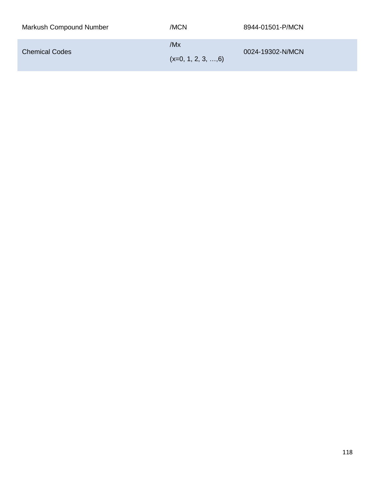| Markush Compound Number | /MCN                               | 8944-01501-P/MCN |
|-------------------------|------------------------------------|------------------|
| <b>Chemical Codes</b>   | /Mx<br>$(x=0, 1, 2, 3, \ldots, 6)$ | 0024-19302-N/MCN |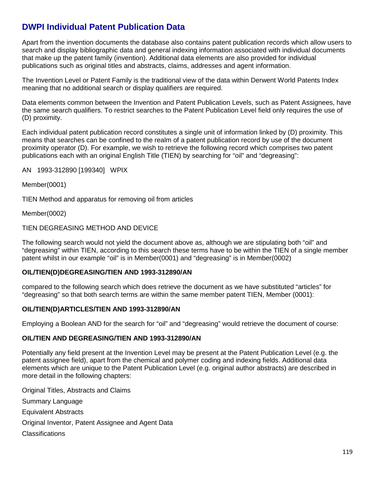# **DWPI Individual Patent Publication Data**

Apart from the invention documents the database also contains patent publication records which allow users to search and display bibliographic data and general indexing information associated with individual documents that make up the patent family (invention). Additional data elements are also provided for individual publications such as original titles and abstracts, claims, addresses and agent information.

The Invention Level or Patent Family is the traditional view of the data within Derwent World Patents Index meaning that no additional search or display qualifiers are required.

Data elements common between the Invention and Patent Publication Levels, such as Patent Assignees, have the same search qualifiers. To restrict searches to the Patent Publication Level field only requires the use of (D) proximity.

Each individual patent publication record constitutes a single unit of information linked by (D) proximity. This means that searches can be confined to the realm of a patent publication record by use of the document proximity operator (D). For example, we wish to retrieve the following record which comprises two patent publications each with an original English Title (TIEN) by searching for "oil" and "degreasing":

AN 1993-312890 [199340] WPIX

Member(0001)

TIEN Method and apparatus for removing oil from articles

Member(0002)

#### TIEN DEGREASING METHOD AND DEVICE

The following search would not yield the document above as, although we are stipulating both "oil" and "degreasing" within TIEN, according to this search these terms have to be within the TIEN of a single member patent whilst in our example "oil" is in Member(0001) and "degreasing" is in Member(0002)

#### **OIL/TIEN(D)DEGREASING/TIEN AND 1993-312890/AN**

compared to the following search which does retrieve the document as we have substituted "articles" for "degreasing" so that both search terms are within the same member patent TIEN, Member (0001):

#### **OIL/TIEN(D)ARTICLES/TIEN AND 1993-312890/AN**

Employing a Boolean AND for the search for "oil" and "degreasing" would retrieve the document of course:

#### **OIL/TIEN AND DEGREASING/TIEN AND 1993-312890/AN**

Potentially any field present at the Invention Level may be present at the Patent Publication Level (e.g. the patent assignee field), apart from the chemical and polymer coding and indexing fields. Additional data elements which are unique to the Patent Publication Level (e.g. original author abstracts) are described in more detail in the following chapters:

Original Titles, Abstracts and Claims Summary Language Equivalent Abstracts Original Inventor, Patent Assignee and Agent Data **Classifications**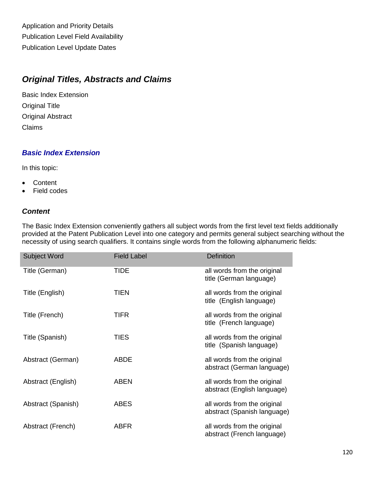Application and Priority Details Publication Level Field Availability Publication Level Update Dates

# *Original Titles, Abstracts and Claims*

Basic Index Extension Original Title Original Abstract Claims

# *Basic Index Extension*

In this topic:

- Content
- Field codes

# *Content*

The Basic Index Extension conveniently gathers all subject words from the first level text fields additionally provided at the Patent Publication Level into one category and permits general subject searching without the necessity of using search qualifiers. It contains single words from the following alphanumeric fields:

| <b>Subject Word</b> | <b>Field Label</b> | <b>Definition</b>                                          |
|---------------------|--------------------|------------------------------------------------------------|
| Title (German)      | <b>TIDE</b>        | all words from the original<br>title (German language)     |
| Title (English)     | <b>TIEN</b>        | all words from the original<br>title (English language)    |
| Title (French)      | <b>TIFR</b>        | all words from the original<br>title (French language)     |
| Title (Spanish)     | TIES               | all words from the original<br>title (Spanish language)    |
| Abstract (German)   | <b>ABDE</b>        | all words from the original<br>abstract (German language)  |
| Abstract (English)  | <b>ABEN</b>        | all words from the original<br>abstract (English language) |
| Abstract (Spanish)  | <b>ABES</b>        | all words from the original<br>abstract (Spanish language) |
| Abstract (French)   | <b>ABFR</b>        | all words from the original<br>abstract (French language)  |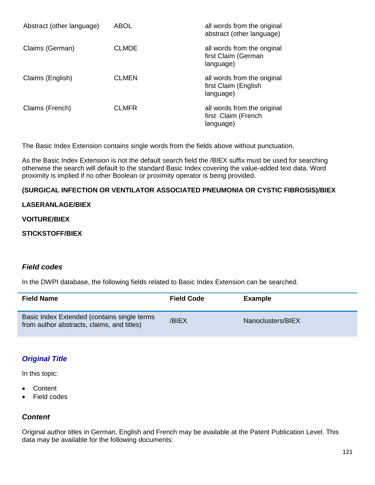| Abstract (other language) | ABOL         | all words from the original<br>abstract (other language)         |
|---------------------------|--------------|------------------------------------------------------------------|
| Claims (German)           | <b>CLMDE</b> | all words from the original<br>first Claim (German<br>language)  |
| Claims (English)          | <b>CLMEN</b> | all words from the original<br>first Claim (English<br>language) |
| Claims (French)           | <b>CLMFR</b> | all words from the original<br>first Claim (French<br>language)  |

The Basic Index Extension contains single words from the fields above without punctuation.

As the Basic Index Extension is not the default search field the /BIEX suffix must be used for searching otherwise the search will default to the standard Basic Index covering the value-added text data. Word proximity is implied if no other Boolean or proximity operator is being provided.

### **(SURGICAL INFECTION OR VENTILATOR ASSOCIATED PNEUMONIA OR CYSTIC FIBROSIS)/BIEX**

#### **LASERANLAGE/BIEX**

#### **VOITURE/BIEX**

#### **STICKSTOFF/BIEX**

#### *Field codes*

In the DWPI database, the following fields related to Basic Index Extension can be searched.

| <b>Field Name</b>                                                                         | <b>Field Code</b> | <b>Example</b>    |
|-------------------------------------------------------------------------------------------|-------------------|-------------------|
| Basic Index Extended (contains single terms<br>from author abstracts, claims, and titles) | /BIEX             | Nanoclusters/BIEX |

### *Original Title*

In this topic:

- **Content**
- Field codes

### *Content*

Original author titles in German, English and French may be available at the Patent Publication Level. This data may be available for the following documents: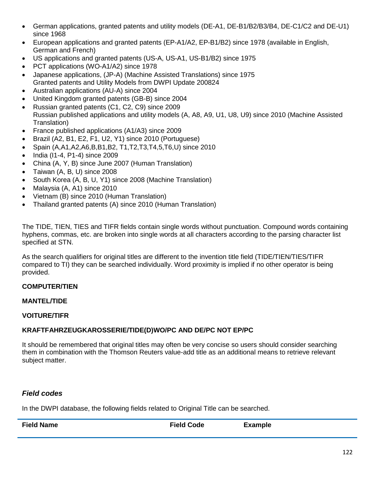- German applications, granted patents and utility models (DE-A1, DE-B1/B2/B3/B4, DE-C1/C2 and DE-U1) since 1968
- European applications and granted patents (EP-A1/A2, EP-B1/B2) since 1978 (available in English, German and French)
- US applications and granted patents (US-A, US-A1, US-B1/B2) since 1975
- PCT applications (WO-A1/A2) since 1978
- Japanese applications, (JP-A) (Machine Assisted Translations) since 1975 Granted patents and Utility Models from DWPI Update 200824
- Australian applications (AU-A) since 2004
- United Kingdom granted patents (GB-B) since 2004
- Russian granted patents (C1, C2, C9) since 2009 Russian published applications and utility models (A, A8, A9, U1, U8, U9) since 2010 (Machine Assisted Translation)
- France published applications (A1/A3) since 2009
- Brazil (A2, B1, E2, F1, U2, Y1) since 2010 (Portuguese)
- Spain (A,A1,A2,A6,B,B1,B2, T1,T2,T3,T4,5,T6,U) since 2010
- India (I1-4, P1-4) since 2009
- China (A, Y, B) since June 2007 (Human Translation)
- Taiwan (A, B, U) since 2008
- South Korea (A, B, U, Y1) since 2008 (Machine Translation)
- Malaysia (A, A1) since 2010
- Vietnam (B) since 2010 (Human Translation)
- Thailand granted patents (A) since 2010 (Human Translation)

The TIDE, TIEN, TIES and TIFR fields contain single words without punctuation. Compound words containing hyphens, commas, etc. are broken into single words at all characters according to the parsing character list specified at STN.

As the search qualifiers for original titles are different to the invention title field (TIDE/TIEN/TIES/TIFR compared to TI) they can be searched individually. Word proximity is implied if no other operator is being provided.

#### **COMPUTER/TIEN**

#### **MANTEL/TIDE**

#### **VOITURE/TIFR**

#### **KRAFTFAHRZEUGKAROSSERIE/TIDE(D)WO/PC AND DE/PC NOT EP/PC**

It should be remembered that original titles may often be very concise so users should consider searching them in combination with the Thomson Reuters value-add title as an additional means to retrieve relevant subject matter.

### *Field codes*

In the DWPI database, the following fields related to Original Title can be searched.

| <b>Field Name</b> | <b>Field Code</b> | <b>Example</b> |
|-------------------|-------------------|----------------|
|                   |                   |                |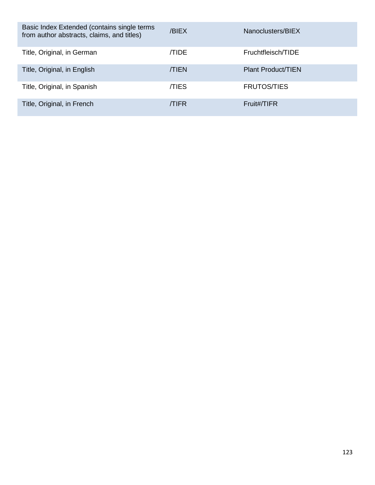| Basic Index Extended (contains single terms<br>from author abstracts, claims, and titles) | /BIEX       | Nanoclusters/BIEX         |
|-------------------------------------------------------------------------------------------|-------------|---------------------------|
| Title, Original, in German                                                                | <b>TIDE</b> | Fruchtfleisch/TIDE        |
| Title, Original, in English                                                               | <b>TIEN</b> | <b>Plant Product/TIEN</b> |
| Title, Original, in Spanish                                                               | <b>TIES</b> | <b>FRUTOS/TIES</b>        |
| Title, Original, in French                                                                | /TIFR       | Fruit#/TIFR               |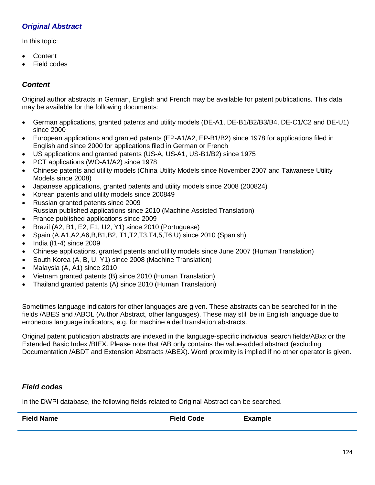# *Original Abstract*

In this topic:

- Content
- Field codes

# *Content*

Original author abstracts in German, English and French may be available for patent publications. This data may be available for the following documents:

- German applications, granted patents and utility models (DE-A1, DE-B1/B2/B3/B4, DE-C1/C2 and DE-U1) since 2000
- European applications and granted patents (EP-A1/A2, EP-B1/B2) since 1978 for applications filed in English and since 2000 for applications filed in German or French
- US applications and granted patents (US-A, US-A1, US-B1/B2) since 1975
- PCT applications (WO-A1/A2) since 1978
- Chinese patents and utility models (China Utility Models since November 2007 and Taiwanese Utility Models since 2008)
- Japanese applications, granted patents and utility models since 2008 (200824)
- Korean patents and utility models since 200849
- Russian granted patents since 2009 Russian published applications since 2010 (Machine Assisted Translation)
- France published applications since 2009
- Brazil (A2, B1, E2, F1, U2, Y1) since 2010 (Portuguese)
- Spain  $(A, A1, A2, A6, B, B1, B2, T1, T2, T3, T4, 5, T6, U)$  since 2010 (Spanish)
- India (I1-4) since 2009
- Chinese applications, granted patents and utility models since June 2007 (Human Translation)
- South Korea (A, B, U, Y1) since 2008 (Machine Translation)
- Malaysia (A, A1) since 2010
- Vietnam granted patents (B) since 2010 (Human Translation)
- Thailand granted patents (A) since 2010 (Human Translation)

Sometimes language indicators for other languages are given. These abstracts can be searched for in the fields /ABES and /ABOL (Author Abstract, other languages). These may still be in English language due to erroneous language indicators, e.g. for machine aided translation abstracts.

Original patent publication abstracts are indexed in the language-specific individual search fields/ABxx or the Extended Basic Index /BIEX. Please note that /AB only contains the value-added abstract (excluding Documentation /ABDT and Extension Abstracts /ABEX). Word proximity is implied if no other operator is given.

# *Field codes*

In the DWPI database, the following fields related to Original Abstract can be searched.

| <b>Field Name</b> | <b>Field Code</b> | <b>Example</b> |
|-------------------|-------------------|----------------|
|                   |                   |                |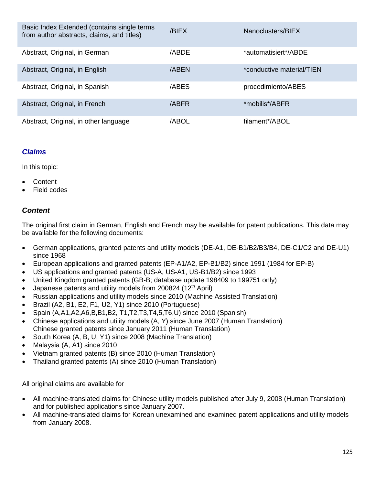| Basic Index Extended (contains single terms<br>from author abstracts, claims, and titles) | /BIEX | Nanoclusters/BIEX         |
|-------------------------------------------------------------------------------------------|-------|---------------------------|
| Abstract, Original, in German                                                             | /ABDE | *automatisiert*/ABDE      |
| Abstract, Original, in English                                                            | /ABEN | *conductive material/TIEN |
| Abstract, Original, in Spanish                                                            | /ABES | procedimiento/ABES        |
| Abstract, Original, in French                                                             | /ABFR | *mobilis*/ABFR            |
| Abstract, Original, in other language                                                     | /ABOL | filament*/ABOL            |

# *Claims*

In this topic:

- **Content**
- Field codes

# *Content*

The original first claim in German, English and French may be available for patent publications. This data may be available for the following documents:

- German applications, granted patents and utility models (DE-A1, DE-B1/B2/B3/B4, DE-C1/C2 and DE-U1) since 1968
- European applications and granted patents (EP-A1/A2, EP-B1/B2) since 1991 (1984 for EP-B)
- US applications and granted patents (US-A, US-A1, US-B1/B2) since 1993
- United Kingdom granted patents (GB-B; database update 198409 to 199751 only)
- Japanese patents and utility models from 200824 (12<sup>th</sup> April)
- Russian applications and utility models since 2010 (Machine Assisted Translation)
- Brazil (A2, B1, E2, F1, U2, Y1) since 2010 (Portuguese)
- Spain (A,A1,A2,A6,B,B1,B2, T1,T2,T3,T4,5,T6,U) since 2010 (Spanish)
- Chinese applications and utility models (A, Y) since June 2007 (Human Translation) Chinese granted patents since January 2011 (Human Translation)
- South Korea (A, B, U, Y1) since 2008 (Machine Translation)
- Malaysia (A, A1) since 2010
- Vietnam granted patents (B) since 2010 (Human Translation)
- Thailand granted patents (A) since 2010 (Human Translation)

All original claims are available for

- All machine-translated claims for Chinese utility models published after July 9, 2008 (Human Translation) and for published applications since January 2007.
- All machine-translated claims for Korean unexamined and examined patent applications and utility models from January 2008.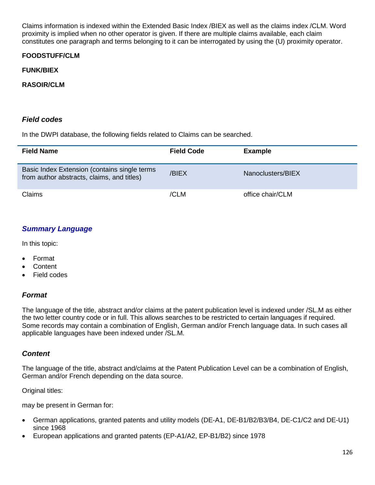Claims information is indexed within the Extended Basic Index /BIEX as well as the claims index /CLM. Word proximity is implied when no other operator is given. If there are multiple claims available, each claim constitutes one paragraph and terms belonging to it can be interrogated by using the (U) proximity operator.

### **FOODSTUFF/CLM**

#### **FUNK/BIEX**

#### **RASOIR/CLM**

### *Field codes*

In the DWPI database, the following fields related to Claims can be searched.

| <b>Field Name</b>                                                                          | <b>Field Code</b> | <b>Example</b>    |
|--------------------------------------------------------------------------------------------|-------------------|-------------------|
| Basic Index Extension (contains single terms<br>from author abstracts, claims, and titles) | /BIEX             | Nanoclusters/BIEX |
| Claims                                                                                     | /CLM              | office chair/CLM  |

### *Summary Language*

In this topic:

- Format
- **Content**
- Field codes

#### *Format*

The language of the title, abstract and/or claims at the patent publication level is indexed under /SL.M as either the two letter country code or in full. This allows searches to be restricted to certain languages if required. Some records may contain a combination of English, German and/or French language data. In such cases all applicable languages have been indexed under /SL.M.

#### *Content*

The language of the title, abstract and/claims at the Patent Publication Level can be a combination of English, German and/or French depending on the data source.

Original titles:

may be present in German for:

- German applications, granted patents and utility models (DE-A1, DE-B1/B2/B3/B4, DE-C1/C2 and DE-U1) since 1968
- European applications and granted patents (EP-A1/A2, EP-B1/B2) since 1978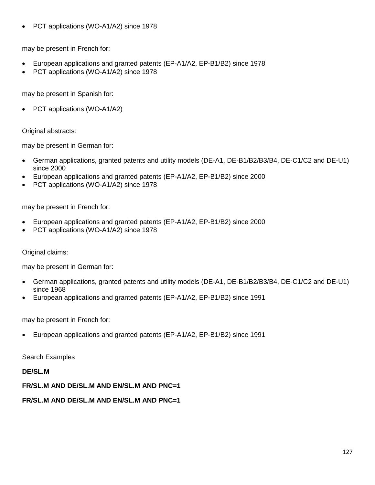• PCT applications (WO-A1/A2) since 1978

may be present in French for:

- European applications and granted patents (EP-A1/A2, EP-B1/B2) since 1978
- PCT applications (WO-A1/A2) since 1978

may be present in Spanish for:

PCT applications (WO-A1/A2)

Original abstracts:

may be present in German for:

- German applications, granted patents and utility models (DE-A1, DE-B1/B2/B3/B4, DE-C1/C2 and DE-U1) since 2000
- European applications and granted patents (EP-A1/A2, EP-B1/B2) since 2000
- PCT applications (WO-A1/A2) since 1978

may be present in French for:

- European applications and granted patents (EP-A1/A2, EP-B1/B2) since 2000
- PCT applications (WO-A1/A2) since 1978

Original claims:

may be present in German for:

- German applications, granted patents and utility models (DE-A1, DE-B1/B2/B3/B4, DE-C1/C2 and DE-U1) since 1968
- European applications and granted patents (EP-A1/A2, EP-B1/B2) since 1991

may be present in French for:

• European applications and granted patents (EP-A1/A2, EP-B1/B2) since 1991

Search Examples

**DE/SL.M**

**FR/SL.M AND DE/SL.M AND EN/SL.M AND PNC=1**

**FR/SL.M AND DE/SL.M AND EN/SL.M AND PNC=1**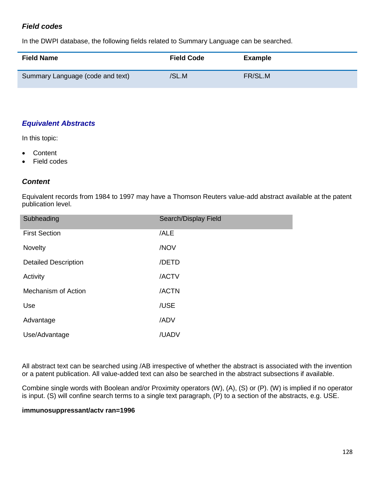# *Field codes*

In the DWPI database, the following fields related to Summary Language can be searched.

| <b>Field Name</b>                | <b>Field Code</b> | <b>Example</b> |
|----------------------------------|-------------------|----------------|
| Summary Language (code and text) | /SL.M             | FR/SL.M        |

## *Equivalent Abstracts*

In this topic:

- Content
- Field codes

## *Content*

Equivalent records from 1984 to 1997 may have a Thomson Reuters value-add abstract available at the patent publication level.

| Subheading                  | Search/Display Field |
|-----------------------------|----------------------|
| <b>First Section</b>        | /ALE                 |
| Novelty                     | /NOV                 |
| <b>Detailed Description</b> | /DETD                |
| Activity                    | /ACTV                |
| Mechanism of Action         | /ACTN                |
| Use                         | /USE                 |
| Advantage                   | /ADV                 |
| Use/Advantage               | /UADV                |

All abstract text can be searched using /AB irrespective of whether the abstract is associated with the invention or a patent publication. All value-added text can also be searched in the abstract subsections if available.

Combine single words with Boolean and/or Proximity operators (W), (A), (S) or (P). (W) is implied if no operator is input. (S) will confine search terms to a single text paragraph, (P) to a section of the abstracts, e.g. USE.

#### **immunosuppressant/actv ran=1996**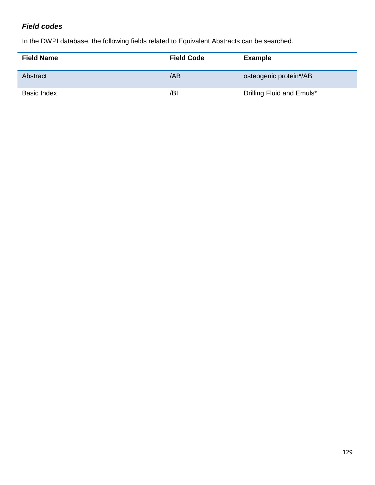# *Field codes*

In the DWPI database, the following fields related to Equivalent Abstracts can be searched.

| <b>Field Name</b>  | <b>Field Code</b> | <b>Example</b>            |
|--------------------|-------------------|---------------------------|
| Abstract           | /AB               | osteogenic protein*/AB    |
| <b>Basic Index</b> | /BI               | Drilling Fluid and Emuls* |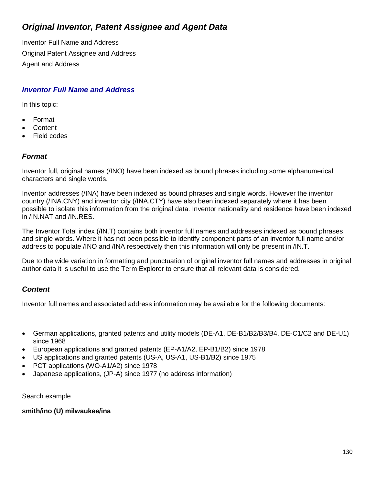# *Original Inventor, Patent Assignee and Agent Data*

Inventor Full Name and Address Original Patent Assignee and Address Agent and Address

## *Inventor Full Name and Address*

In this topic:

- Format
- **Content**
- Field codes

## *Format*

Inventor full, original names (/INO) have been indexed as bound phrases including some alphanumerical characters and single words.

Inventor addresses (/INA) have been indexed as bound phrases and single words. However the inventor country (/INA.CNY) and inventor city (/INA.CTY) have also been indexed separately where it has been possible to isolate this information from the original data. Inventor nationality and residence have been indexed in /IN.NAT and /IN.RES.

The Inventor Total index (/IN.T) contains both inventor full names and addresses indexed as bound phrases and single words. Where it has not been possible to identify component parts of an inventor full name and/or address to populate /INO and /INA respectively then this information will only be present in /IN.T.

Due to the wide variation in formatting and punctuation of original inventor full names and addresses in original author data it is useful to use the Term Explorer to ensure that all relevant data is considered.

# *Content*

Inventor full names and associated address information may be available for the following documents:

- German applications, granted patents and utility models (DE-A1, DE-B1/B2/B3/B4, DE-C1/C2 and DE-U1) since 1968
- European applications and granted patents (EP-A1/A2, EP-B1/B2) since 1978
- US applications and granted patents (US-A, US-A1, US-B1/B2) since 1975
- PCT applications (WO-A1/A2) since 1978
- Japanese applications, (JP-A) since 1977 (no address information)

Search example

**smith/ino (U) milwaukee/ina**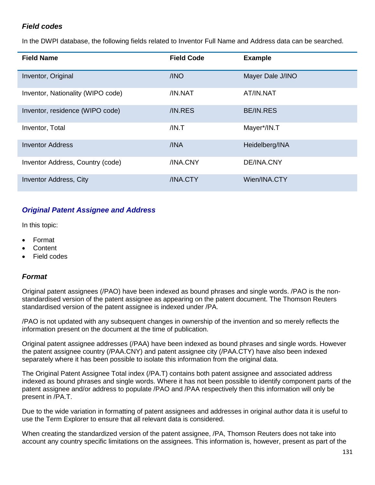# *Field codes*

In the DWPI database, the following fields related to Inventor Full Name and Address data can be searched.

| <b>Field Name</b>                 | <b>Field Code</b> | <b>Example</b>   |
|-----------------------------------|-------------------|------------------|
| Inventor, Original                | /INO              | Mayer Dale J/INO |
| Inventor, Nationality (WIPO code) | /IN.NAT           | AT/IN.NAT        |
| Inventor, residence (WIPO code)   | /IN.RES           | <b>BE/IN.RES</b> |
| Inventor, Total                   | /IN.T             | Mayer*/IN.T      |
| <b>Inventor Address</b>           | /INA              | Heidelberg/INA   |
| Inventor Address, Country (code)  | /INA.CNY          | DE/INA.CNY       |
| <b>Inventor Address, City</b>     | /INA.CTY          | Wien/INA.CTY     |

# *Original Patent Assignee and Address*

In this topic:

- Format
- Content
- Field codes

### *Format*

Original patent assignees (/PAO) have been indexed as bound phrases and single words. /PAO is the nonstandardised version of the patent assignee as appearing on the patent document. The Thomson Reuters standardised version of the patent assignee is indexed under /PA.

/PAO is not updated with any subsequent changes in ownership of the invention and so merely reflects the information present on the document at the time of publication.

Original patent assignee addresses (/PAA) have been indexed as bound phrases and single words. However the patent assignee country (/PAA.CNY) and patent assignee city (/PAA.CTY) have also been indexed separately where it has been possible to isolate this information from the original data.

The Original Patent Assignee Total index (/PA.T) contains both patent assignee and associated address indexed as bound phrases and single words. Where it has not been possible to identify component parts of the patent assignee and/or address to populate /PAO and /PAA respectively then this information will only be present in /PA.T.

Due to the wide variation in formatting of patent assignees and addresses in original author data it is useful to use the Term Explorer to ensure that all relevant data is considered.

When creating the standardized version of the patent assignee, /PA, Thomson Reuters does not take into account any country specific limitations on the assignees. This information is, however, present as part of the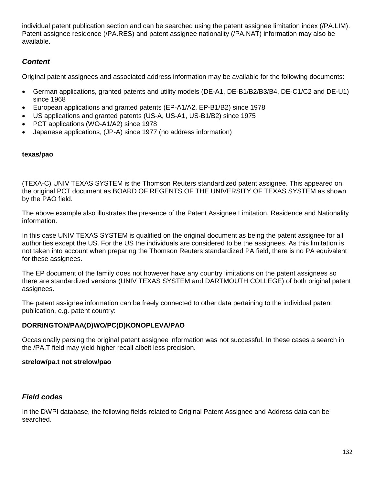individual patent publication section and can be searched using the patent assignee limitation index (/PA.LIM). Patent assignee residence (/PA.RES) and patent assignee nationality (/PA.NAT) information may also be available.

# *Content*

Original patent assignees and associated address information may be available for the following documents:

- German applications, granted patents and utility models (DE-A1, DE-B1/B2/B3/B4, DE-C1/C2 and DE-U1) since 1968
- European applications and granted patents (EP-A1/A2, EP-B1/B2) since 1978
- US applications and granted patents (US-A, US-A1, US-B1/B2) since 1975
- PCT applications (WO-A1/A2) since 1978
- Japanese applications, (JP-A) since 1977 (no address information)

#### **texas/pao**

(TEXA-C) UNIV TEXAS SYSTEM is the Thomson Reuters standardized patent assignee. This appeared on the original PCT document as BOARD OF REGENTS OF THE UNIVERSITY OF TEXAS SYSTEM as shown by the PAO field.

The above example also illustrates the presence of the Patent Assignee Limitation, Residence and Nationality information.

In this case UNIV TEXAS SYSTEM is qualified on the original document as being the patent assignee for all authorities except the US. For the US the individuals are considered to be the assignees. As this limitation is not taken into account when preparing the Thomson Reuters standardized PA field, there is no PA equivalent for these assignees.

The EP document of the family does not however have any country limitations on the patent assignees so there are standardized versions (UNIV TEXAS SYSTEM and DARTMOUTH COLLEGE) of both original patent assignees.

The patent assignee information can be freely connected to other data pertaining to the individual patent publication, e.g. patent country:

### **DORRINGTON/PAA(D)WO/PC(D)KONOPLEVA/PAO**

Occasionally parsing the original patent assignee information was not successful. In these cases a search in the /PA.T field may yield higher recall albeit less precision.

#### **strelow/pa.t not strelow/pao**

### *Field codes*

In the DWPI database, the following fields related to Original Patent Assignee and Address data can be searched.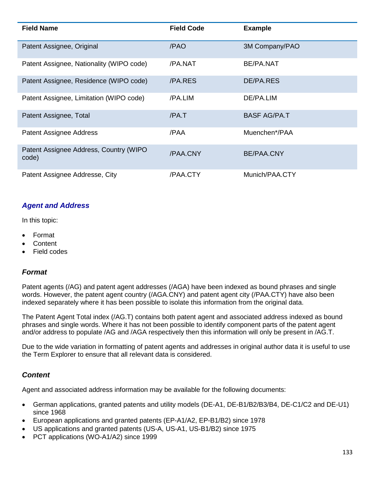| <b>Field Name</b>                                | <b>Field Code</b> | <b>Example</b>      |
|--------------------------------------------------|-------------------|---------------------|
| Patent Assignee, Original                        | /PAO              | 3M Company/PAO      |
| Patent Assignee, Nationality (WIPO code)         | /PA.NAT           | BE/PA.NAT           |
| Patent Assignee, Residence (WIPO code)           | /PA.RES           | DE/PA RES           |
| Patent Assignee, Limitation (WIPO code)          | /PA.LIM           | DE/PA.LIM           |
| Patent Assignee, Total                           | /PA.T             | <b>BASF AG/PA.T</b> |
| <b>Patent Assignee Address</b>                   | /PAA              | Muenchen*/PAA       |
| Patent Assignee Address, Country (WIPO)<br>code) | /PAA.CNY          | BE/PAA.CNY          |
| Patent Assignee Addresse, City                   | /PAA.CTY          | Munich/PAA.CTY      |

## *Agent and Address*

In this topic:

- Format
- **Content**
- Field codes

### *Format*

Patent agents (/AG) and patent agent addresses (/AGA) have been indexed as bound phrases and single words. However, the patent agent country (/AGA.CNY) and patent agent city (/PAA.CTY) have also been indexed separately where it has been possible to isolate this information from the original data.

The Patent Agent Total index (/AG.T) contains both patent agent and associated address indexed as bound phrases and single words. Where it has not been possible to identify component parts of the patent agent and/or address to populate /AG and /AGA respectively then this information will only be present in /AG.T.

Due to the wide variation in formatting of patent agents and addresses in original author data it is useful to use the Term Explorer to ensure that all relevant data is considered.

### *Content*

Agent and associated address information may be available for the following documents:

- German applications, granted patents and utility models (DE-A1, DE-B1/B2/B3/B4, DE-C1/C2 and DE-U1) since 1968
- European applications and granted patents (EP-A1/A2, EP-B1/B2) since 1978
- US applications and granted patents (US-A, US-A1, US-B1/B2) since 1975
- PCT applications (WO-A1/A2) since 1999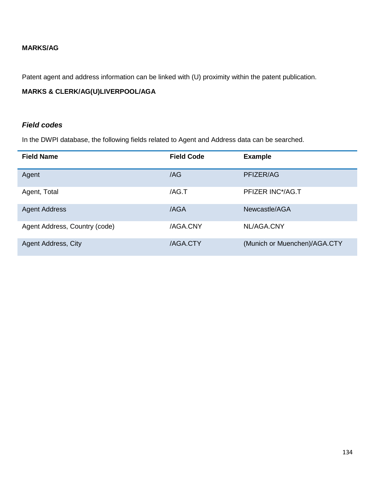### **MARKS/AG**

Patent agent and address information can be linked with (U) proximity within the patent publication.

## **MARKS & CLERK/AG(U)LIVERPOOL/AGA**

### *Field codes*

In the DWPI database, the following fields related to Agent and Address data can be searched.

| <b>Field Name</b>             | <b>Field Code</b> | <b>Example</b>               |
|-------------------------------|-------------------|------------------------------|
| Agent                         | /AG               | PFIZER/AG                    |
| Agent, Total                  | /AG.T             | PFIZER INC*/AG.T             |
| <b>Agent Address</b>          | /AGA              | Newcastle/AGA                |
| Agent Address, Country (code) | /AGA.CNY          | NL/AGA.CNY                   |
| Agent Address, City           | /AGA.CTY          | (Munich or Muenchen)/AGA.CTY |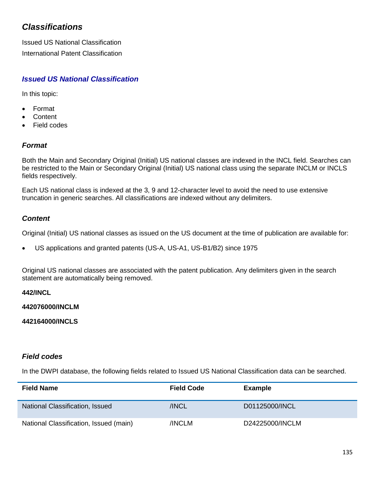# *Classifications*

Issued US National Classification International Patent Classification

# *Issued US National Classification*

In this topic:

- Format
- **Content**
- Field codes

## *Format*

Both the Main and Secondary Original (Initial) US national classes are indexed in the INCL field. Searches can be restricted to the Main or Secondary Original (Initial) US national class using the separate INCLM or INCLS fields respectively.

Each US national class is indexed at the 3, 9 and 12-character level to avoid the need to use extensive truncation in generic searches. All classifications are indexed without any delimiters.

# *Content*

Original (Initial) US national classes as issued on the US document at the time of publication are available for:

• US applications and granted patents (US-A, US-A1, US-B1/B2) since 1975

Original US national classes are associated with the patent publication. Any delimiters given in the search statement are automatically being removed.

**442/INCL**

**442076000/INCLM**

**442164000/INCLS**

### *Field codes*

In the DWPI database, the following fields related to Issued US National Classification data can be searched.

| <b>Field Name</b>                      | <b>Field Code</b> | Example         |
|----------------------------------------|-------------------|-----------------|
| <b>National Classification, Issued</b> | /INCL             | D01125000/INCL  |
| National Classification, Issued (main) | /INCLM            | D24225000/INCLM |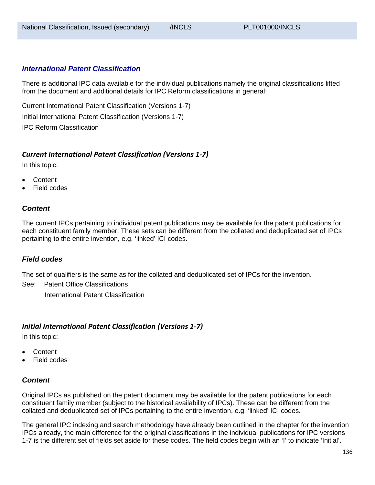### *International Patent Classification*

There is additional IPC data available for the individual publications namely the original classifications lifted from the document and additional details for IPC Reform classifications in general:

Current International Patent Classification (Versions 1-7) Initial International Patent Classification (Versions 1-7) IPC Reform Classification

### *Current International Patent Classification (Versions 1-7)*

In this topic:

- Content
- Field codes

### *Content*

The current IPCs pertaining to individual patent publications may be available for the patent publications for each constituent family member. These sets can be different from the collated and deduplicated set of IPCs pertaining to the entire invention, e.g. 'linked' ICI codes.

#### *Field codes*

The set of qualifiers is the same as for the collated and deduplicated set of IPCs for the invention.

See: Patent Office Classifications

International Patent Classification

#### *Initial International Patent Classification (Versions 1-7)*

In this topic:

- Content
- **Field codes**

### *Content*

Original IPCs as published on the patent document may be available for the patent publications for each constituent family member (subject to the historical availability of IPCs). These can be different from the collated and deduplicated set of IPCs pertaining to the entire invention, e.g. 'linked' ICI codes.

The general IPC indexing and search methodology have already been outlined in the chapter for the invention IPCs already, the main difference for the original classifications in the individual publications for IPC versions 1-7 is the different set of fields set aside for these codes. The field codes begin with an 'I' to indicate 'Initial'.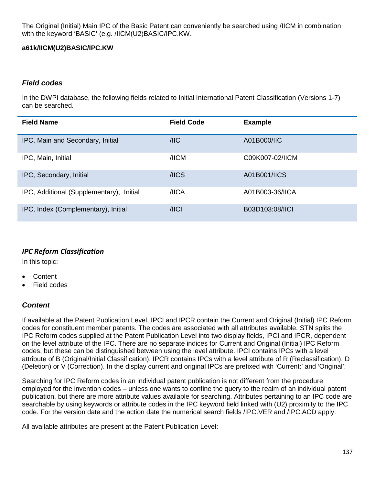The Original (Initial) Main IPC of the Basic Patent can conveniently be searched using /IICM in combination with the keyword 'BASIC' (e.g. /IICM(U2)BASIC/IPC.KW.

### **a61k/IICM(U2)BASIC/IPC.KW**

### *Field codes*

In the DWPI database, the following fields related to Initial International Patent Classification (Versions 1-7) can be searched.

| <b>Field Name</b>                        | <b>Field Code</b> | <b>Example</b>  |
|------------------------------------------|-------------------|-----------------|
| IPC, Main and Secondary, Initial         | $/$ IIC           | A01B000/IIC     |
| IPC, Main, Initial                       | /IICM             | C09K007-02/IICM |
| IPC, Secondary, Initial                  | /IICS             | A01B001/IICS    |
| IPC, Additional (Supplementary), Initial | /IICA             | A01B003-36/IICA |
| IPC, Index (Complementary), Initial      | $/$ IICI          | B03D103:08/IICI |

# *IPC Reform Classification*

In this topic:

- Content
- Field codes

# *Content*

If available at the Patent Publication Level, IPCI and IPCR contain the Current and Original (Initial) IPC Reform codes for constituent member patents. The codes are associated with all attributes available. STN splits the IPC Reform codes supplied at the Patent Publication Level into two display fields, IPCI and IPCR, dependent on the level attribute of the IPC. There are no separate indices for Current and Original (Initial) IPC Reform codes, but these can be distinguished between using the level attribute. IPCI contains IPCs with a level attribute of B (Original/Initial Classification). IPCR contains IPCs with a level attribute of R (Reclassification), D (Deletion) or V (Correction). In the display current and original IPCs are prefixed with 'Current:' and 'Original'.

Searching for IPC Reform codes in an individual patent publication is not different from the procedure employed for the invention codes – unless one wants to confine the query to the realm of an individual patent publication, but there are more attribute values available for searching. Attributes pertaining to an IPC code are searchable by using keywords or attribute codes in the IPC keyword field linked with (U2) proximity to the IPC code. For the version date and the action date the numerical search fields /IPC.VER and /IPC.ACD apply.

All available attributes are present at the Patent Publication Level: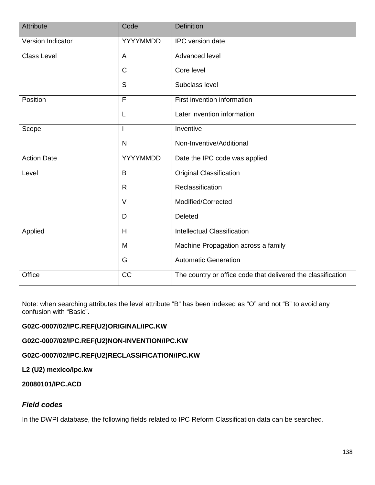| Attribute          | Code            | <b>Definition</b>                                            |
|--------------------|-----------------|--------------------------------------------------------------|
| Version Indicator  | YYYYMMDD        | IPC version date                                             |
| <b>Class Level</b> | A               | Advanced level                                               |
|                    | C               | Core level                                                   |
|                    | S               | Subclass level                                               |
| Position           | F               | First invention information                                  |
|                    | L               | Later invention information                                  |
| Scope              | I               | Inventive                                                    |
|                    | $\mathsf{N}$    | Non-Inventive/Additional                                     |
| <b>Action Date</b> | YYYYMMDD        | Date the IPC code was applied                                |
| Level              | B               | <b>Original Classification</b>                               |
|                    | R.              | Reclassification                                             |
|                    | V               | Modified/Corrected                                           |
|                    | D               | Deleted                                                      |
| Applied            | H               | <b>Intellectual Classification</b>                           |
|                    | M               | Machine Propagation across a family                          |
|                    | G               | <b>Automatic Generation</b>                                  |
| Office             | $\overline{CC}$ | The country or office code that delivered the classification |

Note: when searching attributes the level attribute "B" has been indexed as "O" and not "B" to avoid any confusion with "Basic".

# **G02C-0007/02/IPC.REF(U2)ORIGINAL/IPC.KW**

**G02C-0007/02/IPC.REF(U2)NON-INVENTION/IPC.KW**

**G02C-0007/02/IPC.REF(U2)RECLASSIFICATION/IPC.KW**

**L2 (U2) mexico/ipc.kw**

**20080101/IPC.ACD**

### *Field codes*

In the DWPI database, the following fields related to IPC Reform Classification data can be searched.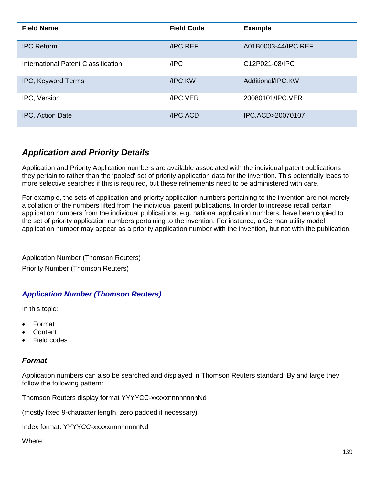| <b>Field Name</b>                   | <b>Field Code</b> | <b>Example</b>      |
|-------------------------------------|-------------------|---------------------|
| <b>IPC Reform</b>                   | /IPC.REF          | A01B0003-44/IPC.REF |
| International Patent Classification | /IPC              | C12P021-08/IPC      |
| IPC, Keyword Terms                  | /IPC.KW           | Additional/IPC.KW   |
| IPC, Version                        | <b>IPC VER</b>    | 20080101/IPC.VER    |
| <b>IPC, Action Date</b>             | /IPC.ACD          | IPC.ACD>20070107    |

# *Application and Priority Details*

Application and Priority Application numbers are available associated with the individual patent publications they pertain to rather than the 'pooled' set of priority application data for the invention. This potentially leads to more selective searches if this is required, but these refinements need to be administered with care.

For example, the sets of application and priority application numbers pertaining to the invention are not merely a collation of the numbers lifted from the individual patent publications. In order to increase recall certain application numbers from the individual publications, e.g. national application numbers, have been copied to the set of priority application numbers pertaining to the invention. For instance, a German utility model application number may appear as a priority application number with the invention, but not with the publication.

Application Number (Thomson Reuters) Priority Number (Thomson Reuters)

# *Application Number (Thomson Reuters)*

In this topic:

- Format
- Content
- Field codes

# *Format*

Application numbers can also be searched and displayed in Thomson Reuters standard. By and large they follow the following pattern:

Thomson Reuters display format YYYYCC-xxxxxnnnnnnnnNd

(mostly fixed 9-character length, zero padded if necessary)

Index format: YYYYCC-xxxxxnnnnnnnnNd

Where: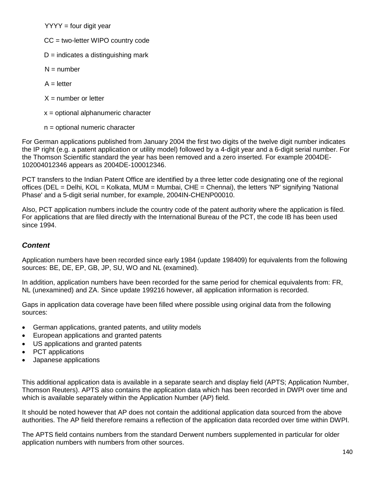$YYYY =$  four digit year

- CC = two-letter WIPO country code
- $D =$  indicates a distinguishing mark
- $N =$  number
- $A =$  letter
- $X =$  number or letter
- x = optional alphanumeric character
- n = optional numeric character

For German applications published from January 2004 the first two digits of the twelve digit number indicates the IP right (e.g. a patent application or utility model) followed by a 4-digit year and a 6-digit serial number. For the Thomson Scientific standard the year has been removed and a zero inserted. For example 2004DE-102004012346 appears as 2004DE-100012346.

PCT transfers to the Indian Patent Office are identified by a three letter code designating one of the regional offices (DEL = Delhi, KOL = Kolkata, MUM = Mumbai, CHE = Chennai), the letters 'NP' signifying 'National Phase' and a 5-digit serial number, for example, 2004IN-CHENP00010.

Also, PCT application numbers include the country code of the patent authority where the application is filed. For applications that are filed directly with the International Bureau of the PCT, the code IB has been used since 1994.

### *Content*

Application numbers have been recorded since early 1984 (update 198409) for equivalents from the following sources: BE, DE, EP, GB, JP, SU, WO and NL (examined).

In addition, application numbers have been recorded for the same period for chemical equivalents from: FR, NL (unexamined) and ZA. Since update 199216 however, all application information is recorded.

Gaps in application data coverage have been filled where possible using original data from the following sources:

- German applications, granted patents, and utility models
- European applications and granted patents
- US applications and granted patents
- PCT applications
- Japanese applications

This additional application data is available in a separate search and display field (APTS; Application Number, Thomson Reuters). APTS also contains the application data which has been recorded in DWPI over time and which is available separately within the Application Number (AP) field.

It should be noted however that AP does not contain the additional application data sourced from the above authorities. The AP field therefore remains a reflection of the application data recorded over time within DWPI.

The APTS field contains numbers from the standard Derwent numbers supplemented in particular for older application numbers with numbers from other sources.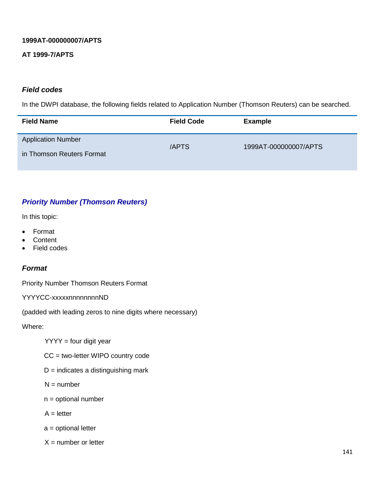### **1999AT-000000007/APTS**

### **AT 1999-7/APTS**

### *Field codes*

In the DWPI database, the following fields related to Application Number (Thomson Reuters) can be searched.

| <b>Field Name</b>                                      | <b>Field Code</b> | <b>Example</b>        |
|--------------------------------------------------------|-------------------|-----------------------|
| <b>Application Number</b><br>in Thomson Reuters Format | /APTS             | 1999AT-000000007/APTS |

## *Priority Number (Thomson Reuters)*

In this topic:

- Format
- **Content**
- Field codes

### *Format*

Priority Number Thomson Reuters Format

YYYYCC-xxxxxnnnnnnnnND

(padded with leading zeros to nine digits where necessary)

Where:

 $YYYY =$  four digit year

CC = two-letter WIPO country code

- $D =$  indicates a distinguishing mark
- $N =$  number
- n = optional number
- $A =$  letter
- a = optional letter
- $X =$  number or letter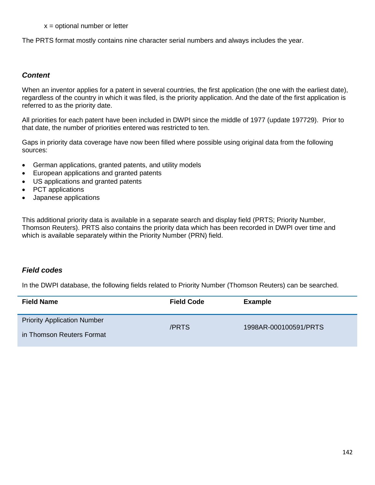#### $x =$  optional number or letter

The PRTS format mostly contains nine character serial numbers and always includes the year.

### *Content*

When an inventor applies for a patent in several countries, the first application (the one with the earliest date), regardless of the country in which it was filed, is the priority application. And the date of the first application is referred to as the priority date.

All priorities for each patent have been included in DWPI since the middle of 1977 (update 197729). Prior to that date, the number of priorities entered was restricted to ten.

Gaps in priority data coverage have now been filled where possible using original data from the following sources:

- German applications, granted patents, and utility models
- European applications and granted patents
- US applications and granted patents
- PCT applications
- Japanese applications

This additional priority data is available in a separate search and display field (PRTS; Priority Number, Thomson Reuters). PRTS also contains the priority data which has been recorded in DWPI over time and which is available separately within the Priority Number (PRN) field.

### *Field codes*

In the DWPI database, the following fields related to Priority Number (Thomson Reuters) can be searched.

| <b>Field Name</b>                                               | <b>Field Code</b> | <b>Example</b>        |
|-----------------------------------------------------------------|-------------------|-----------------------|
| <b>Priority Application Number</b><br>in Thomson Reuters Format | /PRTS             | 1998AR-000100591/PRTS |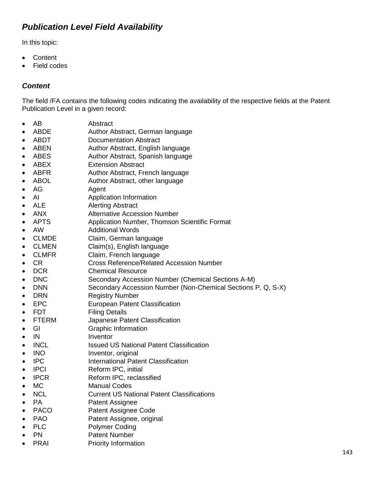# *Publication Level Field Availability*

In this topic:

- Content
- Field codes

# *Content*

The field /FA contains the following codes indicating the availability of the respective fields at the Patent Publication Level in a given record:

- AB Abstract
- ABDE Author Abstract, German language
- ABDT Documentation Abstract
- ABEN Author Abstract, English language
- ABES Author Abstract, Spanish language
- ABEX Extension Abstract
- ABFR Author Abstract, French language
- ABOL Author Abstract, other language
- AG Agent
- AI Application Information
- ALE Alerting Abstract
- ANX Alternative Accession Number
- APTS Application Number, Thomson Scientific Format
- AW Additional Words
- CLMDE Claim, German language
- CLMEN Claim(s), English language
- CLMFR Claim, French language
- CR Cross Reference/Related Accession Number
- DCR Chemical Resource
- DNC Secondary Accession Number (Chemical Sections A-M)
- DNN Secondary Accession Number (Non-Chemical Sections P, Q, S-X)
- DRN Registry Number
- EPC European Patent Classification
- FDT Filing Details
- FTERM Japanese Patent Classification
- GI Graphic Information
- IN Inventor
- INCL Issued US National Patent Classification
- INO Inventor, original
- IPC International Patent Classification
- IPCI Reform IPC, initial
- IPCR Reform IPC, reclassified
- MC Manual Codes<br>• NCL Current US Na
- NCL Current US National Patent Classifications
- PA Patent Assignee
- PACO Patent Assignee Code
- PAO Patent Assignee, original
- PLC Polymer Coding
- **PN** Patent Number
- PRAI Priority Information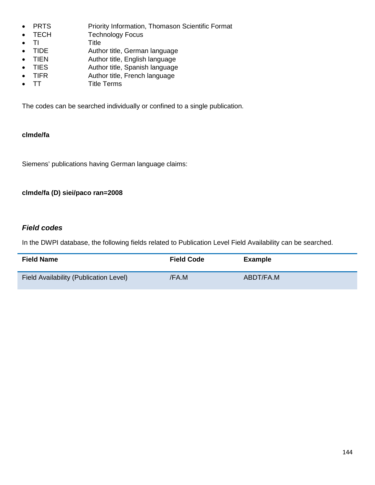- PRTS Priority Information, Thomason Scientific Format
- TECH Technology Focus
- TI Title
- TIDE Author title, German language
- TIEN Author title, English language
- TIES Author title, Spanish language
- TIFR Author title, French language
- TT Title Terms

The codes can be searched individually or confined to a single publication.

### **clmde/fa**

Siemens' publications having German language claims:

### **clmde/fa (D) siei/paco ran=2008**

### *Field codes*

In the DWPI database, the following fields related to Publication Level Field Availability can be searched.

| <b>Field Name</b>                      | <b>Field Code</b> | <b>Example</b> |
|----------------------------------------|-------------------|----------------|
| Field Availability (Publication Level) | /FA.M             | ABDT/FA.M      |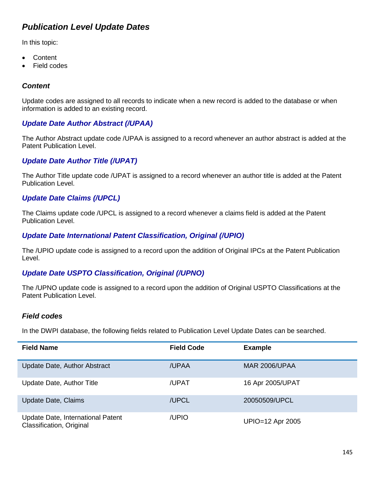# *Publication Level Update Dates*

In this topic:

- Content
- **Field codes**

### *Content*

Update codes are assigned to all records to indicate when a new record is added to the database or when information is added to an existing record.

### *Update Date Author Abstract (/UPAA)*

The Author Abstract update code /UPAA is assigned to a record whenever an author abstract is added at the Patent Publication Level.

#### *Update Date Author Title (/UPAT)*

The Author Title update code /UPAT is assigned to a record whenever an author title is added at the Patent Publication Level.

### *Update Date Claims (/UPCL)*

The Claims update code /UPCL is assigned to a record whenever a claims field is added at the Patent Publication Level.

#### *Update Date International Patent Classification, Original (/UPIO)*

The /UPIO update code is assigned to a record upon the addition of Original IPCs at the Patent Publication Level.

#### *Update Date USPTO Classification, Original (/UPNO)*

The /UPNO update code is assigned to a record upon the addition of Original USPTO Classifications at the Patent Publication Level.

#### *Field codes*

In the DWPI database, the following fields related to Publication Level Update Dates can be searched.

| <b>Field Name</b>                                             | <b>Field Code</b> | <b>Example</b>       |
|---------------------------------------------------------------|-------------------|----------------------|
| Update Date, Author Abstract                                  | /UPAA             | <b>MAR 2006/UPAA</b> |
| Update Date, Author Title                                     | /UPAT             | 16 Apr 2005/UPAT     |
| <b>Update Date, Claims</b>                                    | /UPCL             | 20050509/UPCL        |
| Update Date, International Patent<br>Classification, Original | /UPIO             | UPIO=12 Apr 2005     |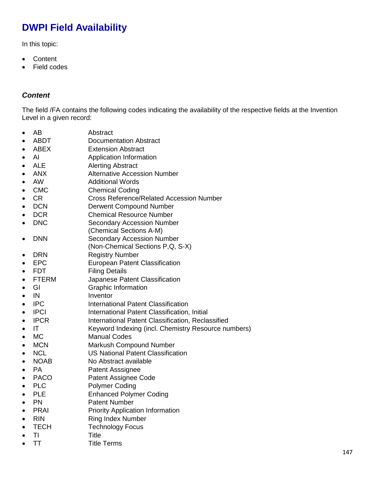# **DWPI Field Availability**

In this topic:

- Content
- Field codes

### *Content*

The field /FA contains the following codes indicating the availability of the respective fields at the Invention Level in a given record:

- AB Abstract
- ABDT Documentation Abstract<br>• ABEX Extension Abstract
- ABEX **Extension Abstract**
- 
- AI Application Information • ALE Alerting Abstract
- ANX Alternative Accession Number
- 
- AW Additional Words<br>• CMC Chemical Codina • CMC Chemical Coding
- CR Cross Reference/Related Accession Number
- DCN Derwent Compound Number
- DCR Chemical Resource Number<br>• DNC Secondary Accession Numbe
- DNC Secondary Accession Number (Chemical Sections A-M)
- DNN Secondary Accession Number
- (Non-Chemical Sections P,Q, S-X)
- DRN Registry Number
- EPC European Patent Classification
- FDT Filing Details
- FTERM Japanese Patent Classification
- GI Graphic Information
- IN Inventor
- IPC International Patent Classification
- IPCI International Patent Classification, Initial
- IPCR International Patent Classification, Reclassified
- IT Keyword Indexing (incl. Chemistry Resource numbers)
- MC Manual Codes
- MCN Markush Compound Number
- NCL US National Patent Classification
- NOAB No Abstract available
- PA Patent Asssignee
- PACO Patent Assignee Code
- 
- PLC Polymer Coding<br>• PLE Enhanced Polym • PLE Enhanced Polymer Coding
- PN Patent Number
- PRAI Priority Application Information
- RIN Ring Index Number
- TECH Technology Focus
- TI Title
- TT Title Terms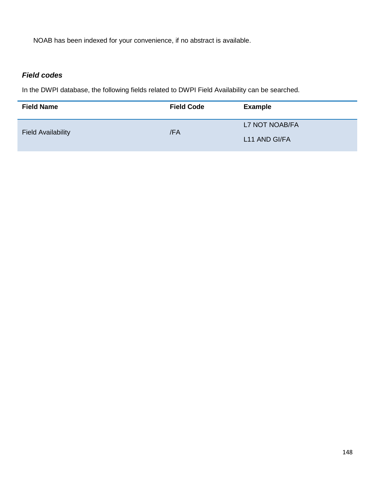NOAB has been indexed for your convenience, if no abstract is available.

### *Field codes*

In the DWPI database, the following fields related to DWPI Field Availability can be searched.

| <b>Field Name</b>         | <b>Field Code</b> | <b>Example</b> |
|---------------------------|-------------------|----------------|
| <b>Field Availability</b> | /FA               | L7 NOT NOAB/FA |
|                           |                   | L11 AND GI/FA  |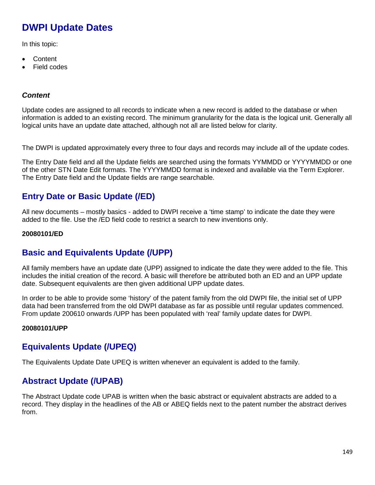# **DWPI Update Dates**

In this topic:

- Content
- Field codes

#### *Content*

Update codes are assigned to all records to indicate when a new record is added to the database or when information is added to an existing record. The minimum granularity for the data is the logical unit. Generally all logical units have an update date attached, although not all are listed below for clarity.

The DWPI is updated approximately every three to four days and records may include all of the update codes.

The Entry Date field and all the Update fields are searched using the formats YYMMDD or YYYYMMDD or one of the other STN Date Edit formats. The YYYYMMDD format is indexed and available via the Term Explorer. The Entry Date field and the Update fields are range searchable.

# **Entry Date or Basic Update (/ED)**

All new documents – mostly basics - added to DWPI receive a 'time stamp' to indicate the date they were added to the file. Use the /ED field code to restrict a search to new inventions only.

#### **20080101/ED**

### **Basic and Equivalents Update (/UPP)**

All family members have an update date (UPP) assigned to indicate the date they were added to the file. This includes the initial creation of the record. A basic will therefore be attributed both an ED and an UPP update date. Subsequent equivalents are then given additional UPP update dates.

In order to be able to provide some 'history' of the patent family from the old DWPI file, the initial set of UPP data had been transferred from the old DWPI database as far as possible until regular updates commenced. From update 200610 onwards /UPP has been populated with 'real' family update dates for DWPI.

#### **20080101/UPP**

# **Equivalents Update (/UPEQ)**

The Equivalents Update Date UPEQ is written whenever an equivalent is added to the family.

# **Abstract Update (/UPAB)**

The Abstract Update code UPAB is written when the basic abstract or equivalent abstracts are added to a record. They display in the headlines of the AB or ABEQ fields next to the patent number the abstract derives from.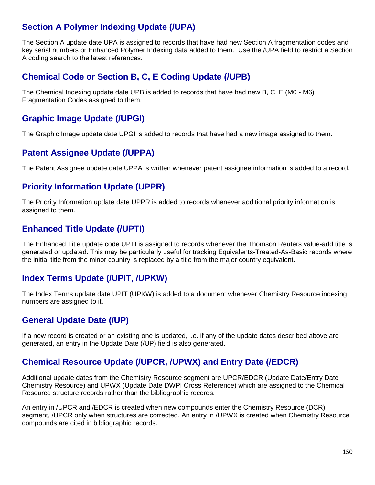# **Section A Polymer Indexing Update (/UPA)**

The Section A update date UPA is assigned to records that have had new Section A fragmentation codes and key serial numbers or Enhanced Polymer Indexing data added to them. Use the /UPA field to restrict a Section A coding search to the latest references.

### **Chemical Code or Section B, C, E Coding Update (/UPB)**

The Chemical Indexing update date UPB is added to records that have had new B, C, E (M0 - M6) Fragmentation Codes assigned to them.

### **Graphic Image Update (/UPGI)**

The Graphic Image update date UPGI is added to records that have had a new image assigned to them.

### **Patent Assignee Update (/UPPA)**

The Patent Assignee update date UPPA is written whenever patent assignee information is added to a record.

### **Priority Information Update (UPPR)**

The Priority Information update date UPPR is added to records whenever additional priority information is assigned to them.

### **Enhanced Title Update (/UPTI)**

The Enhanced Title update code UPTI is assigned to records whenever the Thomson Reuters value-add title is generated or updated. This may be particularly useful for tracking Equivalents-Treated-As-Basic records where the initial title from the minor country is replaced by a title from the major country equivalent.

### **Index Terms Update (/UPIT, /UPKW)**

The Index Terms update date UPIT (UPKW) is added to a document whenever Chemistry Resource indexing numbers are assigned to it.

# **General Update Date (/UP)**

If a new record is created or an existing one is updated, i.e. if any of the update dates described above are generated, an entry in the Update Date (/UP) field is also generated.

### **Chemical Resource Update (/UPCR, /UPWX) and Entry Date (/EDCR)**

Additional update dates from the Chemistry Resource segment are UPCR/EDCR (Update Date/Entry Date Chemistry Resource) and UPWX (Update Date DWPI Cross Reference) which are assigned to the Chemical Resource structure records rather than the bibliographic records.

An entry in /UPCR and /EDCR is created when new compounds enter the Chemistry Resource (DCR) segment, /UPCR only when structures are corrected. An entry in /UPWX is created when Chemistry Resource compounds are cited in bibliographic records.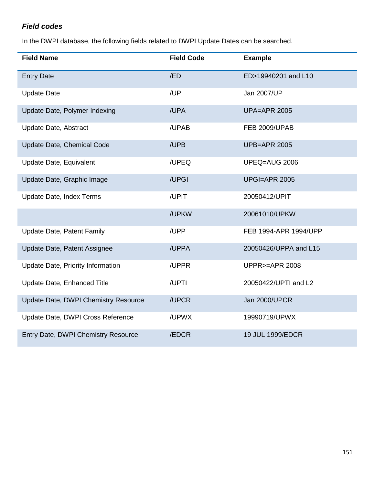### *Field codes*

In the DWPI database, the following fields related to DWPI Update Dates can be searched.

| <b>Field Name</b>                    | <b>Field Code</b> | <b>Example</b>           |
|--------------------------------------|-------------------|--------------------------|
| <b>Entry Date</b>                    | /ED               | ED>19940201 and L10      |
| <b>Update Date</b>                   | /UP               | Jan 2007/UP              |
| Update Date, Polymer Indexing        | /UPA              | <b>UPA=APR 2005</b>      |
| Update Date, Abstract                | /UPAB             | <b>FEB 2009/UPAB</b>     |
| Update Date, Chemical Code           | /UPB              | <b>UPB=APR 2005</b>      |
| Update Date, Equivalent              | /UPEQ             | UPEQ=AUG 2006            |
| Update Date, Graphic Image           | /UPGI             | <b>UPGI=APR 2005</b>     |
| Update Date, Index Terms             | /UPIT             | 20050412/UPIT            |
|                                      | /UPKW             | 20061010/UPKW            |
| <b>Update Date, Patent Family</b>    | /UPP              | FEB 1994-APR 1994/UPP    |
| Update Date, Patent Assignee         | /UPPA             | 20050426/UPPA and L15    |
| Update Date, Priority Information    | /UPPR             | <b>UPPR&gt;=APR 2008</b> |
| Update Date, Enhanced Title          | /UPTI             | 20050422/UPTI and L2     |
| Update Date, DWPI Chemistry Resource | /UPCR             | <b>Jan 2000/UPCR</b>     |
| Update Date, DWPI Cross Reference    | /UPWX             | 19990719/UPWX            |
| Entry Date, DWPI Chemistry Resource  | /EDCR             | 19 JUL 1999/EDCR         |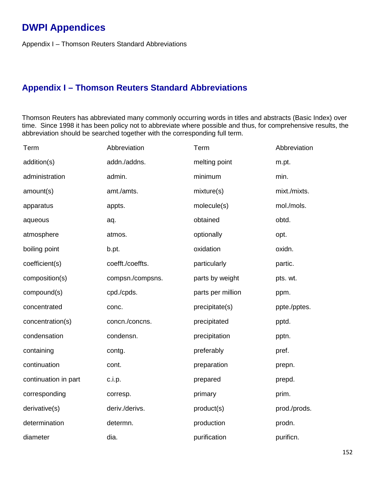# **DWPI Appendices**

Appendix I – Thomson Reuters Standard Abbreviations

# **Appendix I – Thomson Reuters Standard Abbreviations**

Thomson Reuters has abbreviated many commonly occurring words in titles and abstracts (Basic Index) over time. Since 1998 it has been policy not to abbreviate where possible and thus, for comprehensive results, the abbreviation should be searched together with the corresponding full term.

| Term                 | Abbreviation     | Term              | Abbreviation |
|----------------------|------------------|-------------------|--------------|
| addition(s)          | addn./addns.     | melting point     | m.pt.        |
| administration       | admin.           | minimum           | min.         |
| amount(s)            | amt./amts.       | mixture(s)        | mixt./mixts. |
| apparatus            | appts.           | molecule(s)       | mol./mols.   |
| aqueous              | aq.              | obtained          | obtd.        |
| atmosphere           | atmos.           | optionally        | opt.         |
| boiling point        | b.pt.            | oxidation         | oxidn.       |
| coefficient(s)       | coefft./coeffts. | particularly      | partic.      |
| composition(s)       | compsn./compsns. | parts by weight   | pts. wt.     |
| compound(s)          | cpd./cpds.       | parts per million | ppm.         |
| concentrated         | conc.            | precipitate(s)    | ppte./pptes. |
| concentration(s)     | concn./concns.   | precipitated      | pptd.        |
| condensation         | condensn.        | precipitation     | pptn.        |
| containing           | contg.           | preferably        | pref.        |
| continuation         | cont.            | preparation       | prepn.       |
| continuation in part | c.i.p.           | prepared          | prepd.       |
| corresponding        | corresp.         | primary           | prim.        |
| derivative(s)        | deriv./derivs.   | product(s)        | prod./prods. |
| determination        | determn.         | production        | prodn.       |
| diameter             | dia.             | purification      | purificn.    |